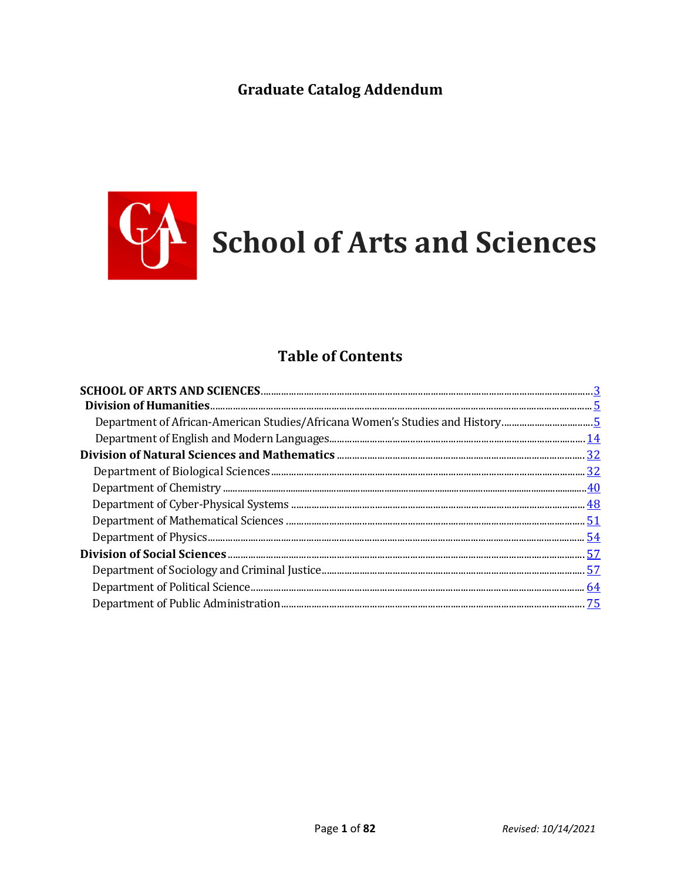# **Graduate Catalog Addendum**



# **Table of Contents**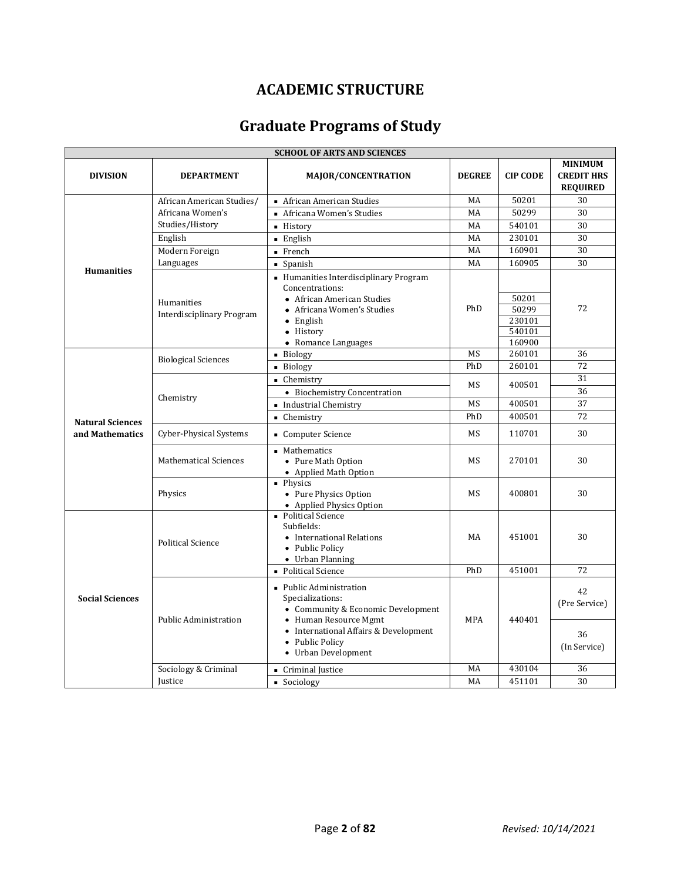# **ACADEMIC STRUCTURE**

# **Graduate Programs of Study**

| <b>SCHOOL OF ARTS AND SCIENCES</b>         |                                         |                                                                                                                                                                                               |               |                                              |                                                        |  |  |  |
|--------------------------------------------|-----------------------------------------|-----------------------------------------------------------------------------------------------------------------------------------------------------------------------------------------------|---------------|----------------------------------------------|--------------------------------------------------------|--|--|--|
| <b>DIVISION</b>                            | <b>DEPARTMENT</b>                       | <b>MAJOR/CONCENTRATION</b>                                                                                                                                                                    | <b>DEGREE</b> | <b>CIP CODE</b>                              | <b>MINIMUM</b><br><b>CREDIT HRS</b><br><b>REQUIRED</b> |  |  |  |
|                                            | African American Studies/               | ■ African American Studies                                                                                                                                                                    | MA            | 50201                                        | 30                                                     |  |  |  |
|                                            | Africana Women's                        | Africana Women's Studies                                                                                                                                                                      | MA            | 50299                                        | 30                                                     |  |  |  |
|                                            | Studies/History                         | - History                                                                                                                                                                                     | MA            | 540101                                       | 30                                                     |  |  |  |
|                                            | English                                 | $\blacksquare$ English                                                                                                                                                                        | MA            | 230101                                       | 30                                                     |  |  |  |
|                                            | Modern Foreign                          | $\blacksquare$ French                                                                                                                                                                         | MA            | 160901                                       | 30                                                     |  |  |  |
|                                            | Languages                               | • Spanish                                                                                                                                                                                     | MA            | 160905                                       | 30                                                     |  |  |  |
| <b>Humanities</b>                          | Humanities<br>Interdisciplinary Program | • Humanities Interdisciplinary Program<br>Concentrations:<br>• African American Studies<br>• Africana Women's Studies<br>$\bullet$ English<br>• History<br>• Romance Languages                | PhD           | 50201<br>50299<br>230101<br>540101<br>160900 | 72                                                     |  |  |  |
|                                            |                                         | Biology                                                                                                                                                                                       | <b>MS</b>     | 260101                                       | 36                                                     |  |  |  |
|                                            | <b>Biological Sciences</b>              | • Biology                                                                                                                                                                                     | PhD           | 260101                                       | 72                                                     |  |  |  |
|                                            | Chemistry                               | • Chemistry<br>• Biochemistry Concentration                                                                                                                                                   | MS            | 400501                                       | 31<br>36                                               |  |  |  |
|                                            |                                         | Industrial Chemistry                                                                                                                                                                          | <b>MS</b>     | 400501                                       | 37                                                     |  |  |  |
|                                            |                                         | • Chemistry                                                                                                                                                                                   | PhD           | 400501                                       | 72                                                     |  |  |  |
| <b>Natural Sciences</b><br>and Mathematics | Cyber-Physical Systems                  | • Computer Science                                                                                                                                                                            | <b>MS</b>     | 110701                                       | 30                                                     |  |  |  |
|                                            | <b>Mathematical Sciences</b>            | • Mathematics<br>• Pure Math Option<br>• Applied Math Option                                                                                                                                  | <b>MS</b>     | 270101                                       | 30                                                     |  |  |  |
|                                            | Physics                                 | • Physics<br>• Pure Physics Option<br>• Applied Physics Option                                                                                                                                | <b>MS</b>     | 400801                                       | 30                                                     |  |  |  |
|                                            | <b>Political Science</b>                | • Political Science<br>Subfields:<br>• International Relations<br>• Public Policy<br>• Urban Planning                                                                                         | MA            | 451001                                       | 30                                                     |  |  |  |
|                                            |                                         | • Political Science                                                                                                                                                                           | PhD           | 451001                                       | 72                                                     |  |  |  |
| <b>Social Sciences</b>                     | <b>Public Administration</b>            | • Public Administration<br>Specializations:<br>• Community & Economic Development<br>• Human Resource Mgmt<br>• International Affairs & Development<br>• Public Policy<br>• Urban Development | <b>MPA</b>    | 440401                                       | 42<br>(Pre Service)<br>36<br>(In Service)              |  |  |  |
|                                            | Sociology & Criminal                    | Criminal Justice                                                                                                                                                                              | MA            | 430104                                       | 36                                                     |  |  |  |
|                                            | Justice                                 | • Sociology                                                                                                                                                                                   | MA            | 451101                                       | 30                                                     |  |  |  |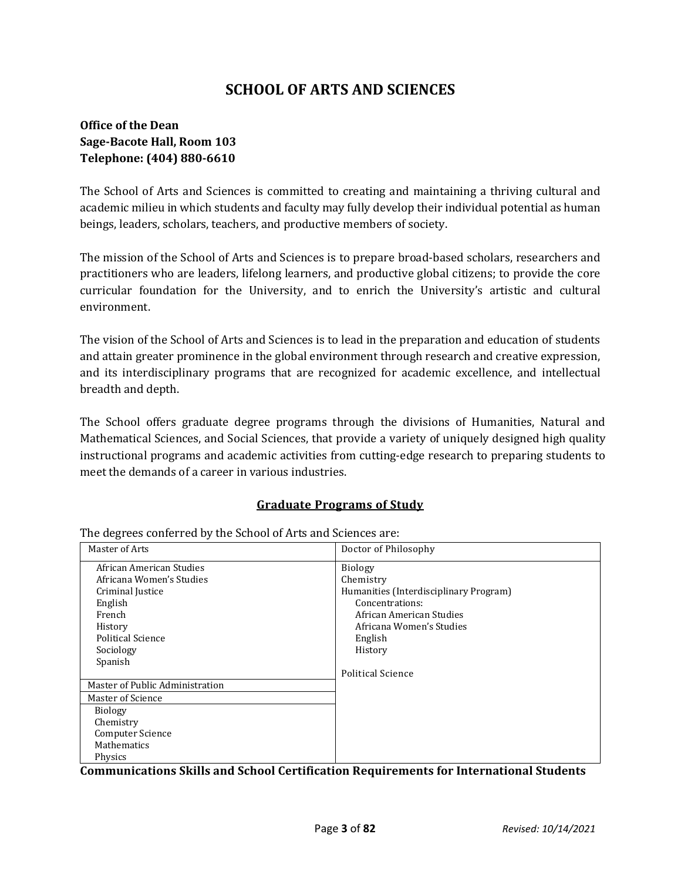# **SCHOOL OF ARTS AND SCIENCES**

# **Office of the Dean Sage-Bacote Hall, Room 103 Telephone: (404) 880-6610**

The School of Arts and Sciences is committed to creating and maintaining a thriving cultural and academic milieu in which students and faculty may fully develop their individual potential as human beings, leaders, scholars, teachers, and productive members of society.

The mission of the School of Arts and Sciences is to prepare broad-based scholars, researchers and practitioners who are leaders, lifelong learners, and productive global citizens; to provide the core curricular foundation for the University, and to enrich the University's artistic and cultural environment.

The vision of the School of Arts and Sciences is to lead in the preparation and education of students and attain greater prominence in the global environment through research and creative expression, and its interdisciplinary programs that are recognized for academic excellence, and intellectual breadth and depth.

The School offers graduate degree programs through the divisions of Humanities, Natural and Mathematical Sciences, and Social Sciences, that provide a variety of uniquely designed high quality instructional programs and academic activities from cutting-edge research to preparing students to meet the demands of a career in various industries.

## **Graduate Programs of Study**

| Master of Arts                  | Doctor of Philosophy                   |
|---------------------------------|----------------------------------------|
| African American Studies        | <b>Biology</b>                         |
| Africana Women's Studies        | Chemistry                              |
| Criminal Justice                | Humanities (Interdisciplinary Program) |
| English                         | Concentrations:                        |
| French                          | African American Studies               |
| History                         | Africana Women's Studies               |
| <b>Political Science</b>        | English                                |
| Sociology                       | History                                |
| Spanish                         |                                        |
|                                 | Political Science                      |
| Master of Public Administration |                                        |
| Master of Science               |                                        |
| <b>Biology</b>                  |                                        |
| Chemistry                       |                                        |
| <b>Computer Science</b>         |                                        |
| <b>Mathematics</b>              |                                        |
| Physics                         |                                        |

The degrees conferred by the School of Arts and Sciences are:

**Communications Skills and School Certification Requirements for International Students**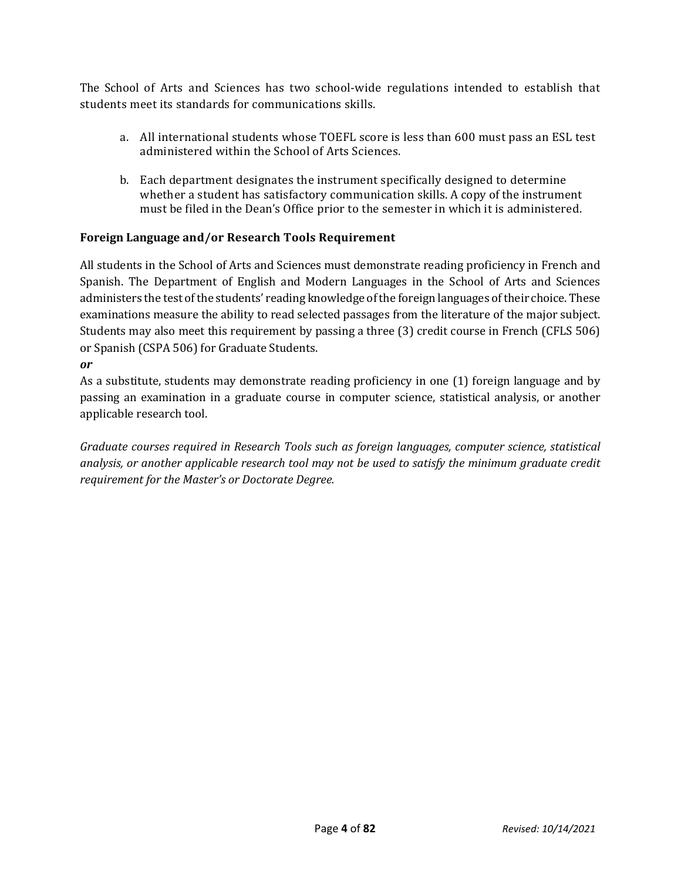The School of Arts and Sciences has two school-wide regulations intended to establish that students meet its standards for communications skills.

- a. All international students whose TOEFL score is less than 600 must pass an ESL test administered within the School of Arts Sciences.
- b. Each department designates the instrument specifically designed to determine whether a student has satisfactory communication skills. A copy of the instrument must be filed in the Dean's Office prior to the semester in which it is administered.

## **Foreign Language and/or Research Tools Requirement**

All students in the School of Arts and Sciences must demonstrate reading proficiency in French and Spanish. The Department of English and Modern Languages in the School of Arts and Sciences administers the test of the students' reading knowledge of the foreign languages of their choice. These examinations measure the ability to read selected passages from the literature of the major subject. Students may also meet this requirement by passing a three (3) credit course in French (CFLS 506) or Spanish (CSPA 506) for Graduate Students.

*or*

As a substitute, students may demonstrate reading proficiency in one (1) foreign language and by passing an examination in a graduate course in computer science, statistical analysis, or another applicable research tool.

*Graduate courses required in Research Tools such as foreign languages, computer science, statistical analysis, or another applicable research tool may not be used to satisfy the minimum graduate credit requirement for the Master's or Doctorate Degree.*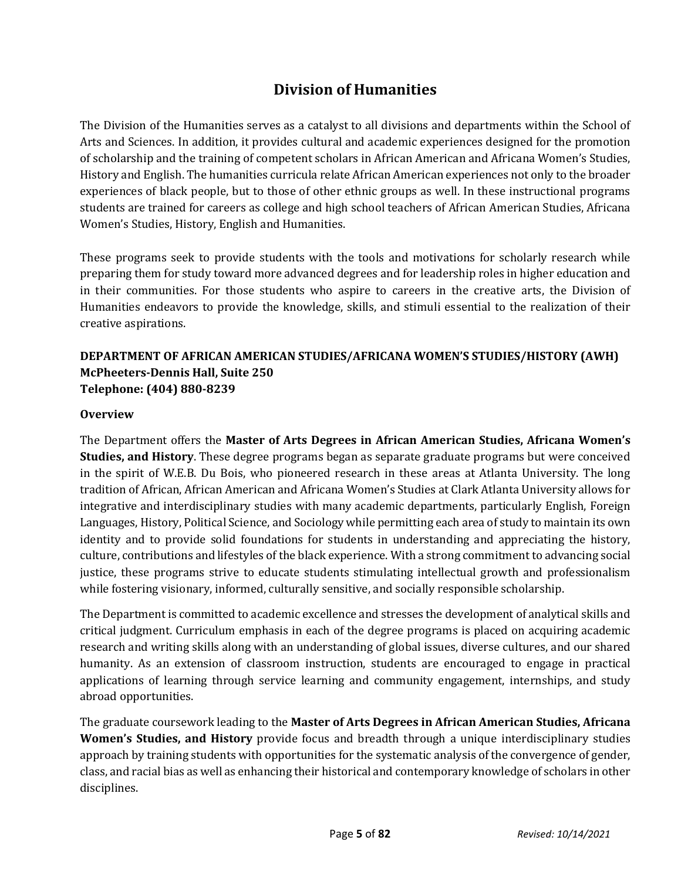# **Division of Humanities**

The Division of the Humanities serves as a catalyst to all divisions and departments within the School of Arts and Sciences. In addition, it provides cultural and academic experiences designed for the promotion of scholarship and the training of competent scholars in African American and Africana Women's Studies, History and English. The humanities curricula relate African American experiences not only to the broader experiences of black people, but to those of other ethnic groups as well. In these instructional programs students are trained for careers as college and high school teachers of African American Studies, Africana Women's Studies, History, English and Humanities.

These programs seek to provide students with the tools and motivations for scholarly research while preparing them for study toward more advanced degrees and for leadership roles in higher education and in their communities. For those students who aspire to careers in the creative arts, the Division of Humanities endeavors to provide the knowledge, skills, and stimuli essential to the realization of their creative aspirations.

# **DEPARTMENT OF AFRICAN AMERICAN STUDIES/AFRICANA WOMEN'S STUDIES/HISTORY (AWH) McPheeters-Dennis Hall, Suite 250 Telephone: (404) 880-8239**

#### **Overview**

The Department offers the **Master of Arts Degrees in African American Studies, Africana Women's Studies, and History**. These degree programs began as separate graduate programs but were conceived in the spirit of W.E.B. Du Bois, who pioneered research in these areas at Atlanta University. The long tradition of African, African American and Africana Women's Studies at Clark Atlanta University allows for integrative and interdisciplinary studies with many academic departments, particularly English, Foreign Languages, History, Political Science, and Sociology while permitting each area of study to maintain its own identity and to provide solid foundations for students in understanding and appreciating the history, culture, contributions and lifestyles of the black experience. With a strong commitment to advancing social justice, these programs strive to educate students stimulating intellectual growth and professionalism while fostering visionary, informed, culturally sensitive, and socially responsible scholarship.

The Department is committed to academic excellence and stresses the development of analytical skills and critical judgment. Curriculum emphasis in each of the degree programs is placed on acquiring academic research and writing skills along with an understanding of global issues, diverse cultures, and our shared humanity. As an extension of classroom instruction, students are encouraged to engage in practical applications of learning through service learning and community engagement, internships, and study abroad opportunities.

The graduate coursework leading to the **Master of Arts Degrees in African American Studies, Africana Women's Studies, and History** provide focus and breadth through a unique interdisciplinary studies approach by training students with opportunities for the systematic analysis of the convergence of gender, class, and racial bias as well as enhancing their historical and contemporary knowledge of scholars in other disciplines.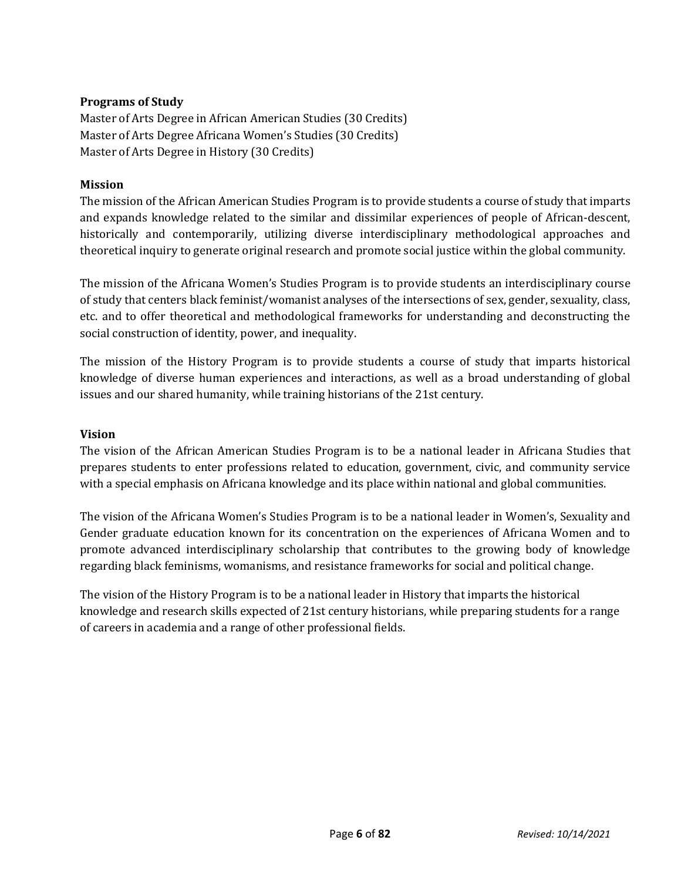## **Programs of Study**

Master of Arts Degree in African American Studies (30 Credits) Master of Arts Degree Africana Women's Studies (30 Credits) Master of Arts Degree in History (30 Credits)

#### **Mission**

The mission of the African American Studies Program is to provide students a course of study that imparts and expands knowledge related to the similar and dissimilar experiences of people of African-descent, historically and contemporarily, utilizing diverse interdisciplinary methodological approaches and theoretical inquiry to generate original research and promote social justice within the global community.

The mission of the Africana Women's Studies Program is to provide students an interdisciplinary course of study that centers black feminist/womanist analyses of the intersections of sex, gender, sexuality, class, etc. and to offer theoretical and methodological frameworks for understanding and deconstructing the social construction of identity, power, and inequality.

The mission of the History Program is to provide students a course of study that imparts historical knowledge of diverse human experiences and interactions, as well as a broad understanding of global issues and our shared humanity, while training historians of the 21st century.

#### **Vision**

The vision of the African American Studies Program is to be a national leader in Africana Studies that prepares students to enter professions related to education, government, civic, and community service with a special emphasis on Africana knowledge and its place within national and global communities.

The vision of the Africana Women's Studies Program is to be a national leader in Women's, Sexuality and Gender graduate education known for its concentration on the experiences of Africana Women and to promote advanced interdisciplinary scholarship that contributes to the growing body of knowledge regarding black feminisms, womanisms, and resistance frameworks for social and political change.

The vision of the History Program is to be a national leader in History that imparts the historical knowledge and research skills expected of 21st century historians, while preparing students for a range of careers in academia and a range of other professional fields.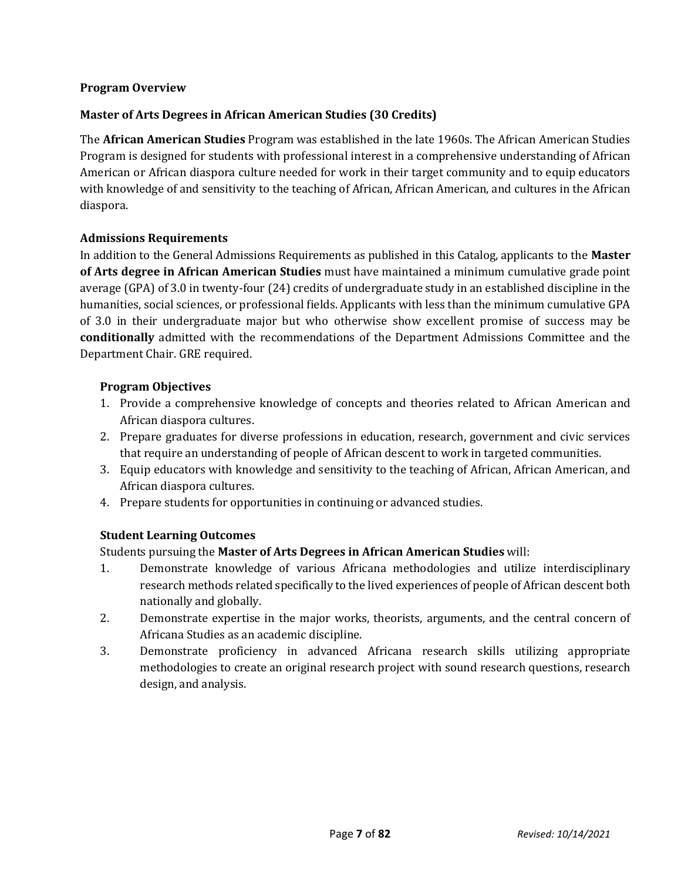## **Program Overview**

## **Master of Arts Degrees in African American Studies (30 Credits)**

The **African American Studies** Program was established in the late 1960s. The African American Studies Program is designed for students with professional interest in a comprehensive understanding of African American or African diaspora culture needed for work in their target community and to equip educators with knowledge of and sensitivity to the teaching of African, African American, and cultures in the African diaspora.

## **Admissions Requirements**

In addition to the General Admissions Requirements as published in this Catalog, applicants to the **Master of Arts degree in African American Studies** must have maintained a minimum cumulative grade point average (GPA) of 3.0 in twenty-four (24) credits of undergraduate study in an established discipline in the humanities, social sciences, or professional fields. Applicants with less than the minimum cumulative GPA of 3.0 in their undergraduate major but who otherwise show excellent promise of success may be **conditionally** admitted with the recommendations of the Department Admissions Committee and the Department Chair. GRE required.

#### **Program Objectives**

- 1. Provide a comprehensive knowledge of concepts and theories related to African American and African diaspora cultures.
- 2. Prepare graduates for diverse professions in education, research, government and civic services that require an understanding of people of African descent to work in targeted communities.
- 3. Equip educators with knowledge and sensitivity to the teaching of African, African American, and African diaspora cultures.
- 4. Prepare students for opportunities in continuing or advanced studies.

## **Student Learning Outcomes**

Students pursuing the **Master of Arts Degrees in African American Studies** will:

- 1. Demonstrate knowledge of various Africana methodologies and utilize interdisciplinary research methods related specifically to the lived experiences of people of African descent both nationally and globally.
- 2. Demonstrate expertise in the major works, theorists, arguments, and the central concern of Africana Studies as an academic discipline.
- 3. Demonstrate proficiency in advanced Africana research skills utilizing appropriate methodologies to create an original research project with sound research questions, research design, and analysis.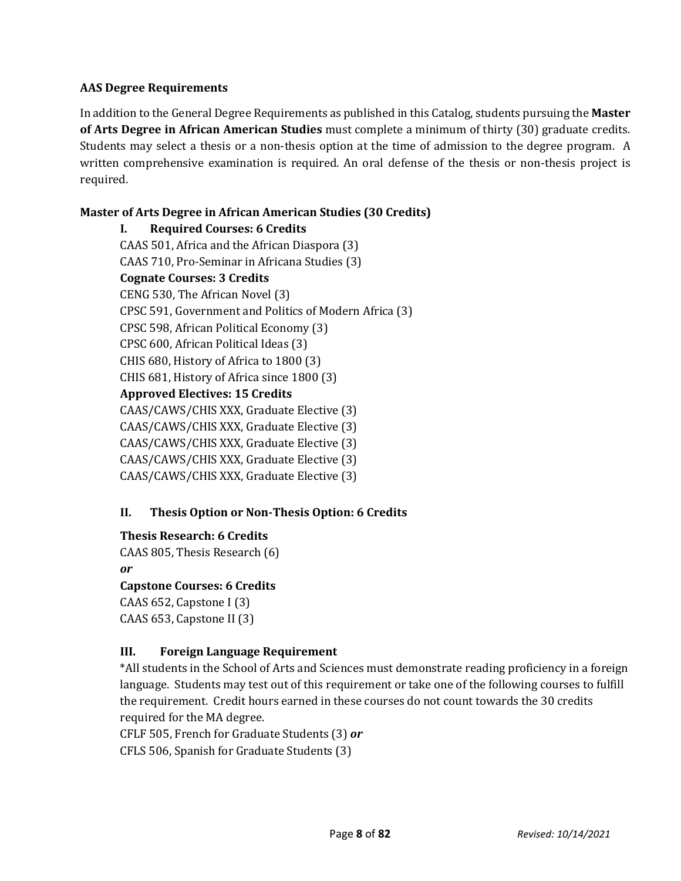## **AAS Degree Requirements**

In addition to the General Degree Requirements as published in this Catalog, students pursuing the **Master of Arts Degree in African American Studies** must complete a minimum of thirty (30) graduate credits. Students may select a thesis or a non-thesis option at the time of admission to the degree program. A written comprehensive examination is required. An oral defense of the thesis or non-thesis project is required.

# **Master of Arts Degree in African American Studies (30 Credits)**

**I. Required Courses: 6 Credits** CAAS 501, Africa and the African Diaspora (3) CAAS 710, Pro-Seminar in Africana Studies (3) **Cognate Courses: 3 Credits** CENG 530, The African Novel (3) CPSC 591, Government and Politics of Modern Africa (3) CPSC 598, African Political Economy (3) CPSC 600, African Political Ideas (3) CHIS 680, History of Africa to 1800 (3) CHIS 681, History of Africa since 1800 (3) **Approved Electives: 15 Credits** CAAS/CAWS/CHIS XXX, Graduate Elective (3) CAAS/CAWS/CHIS XXX, Graduate Elective (3) CAAS/CAWS/CHIS XXX, Graduate Elective (3) CAAS/CAWS/CHIS XXX, Graduate Elective (3) CAAS/CAWS/CHIS XXX, Graduate Elective (3)

## **II. Thesis Option or Non-Thesis Option: 6 Credits**

## **Thesis Research: 6 Credits**

CAAS 805, Thesis Research (6) *or*

## **Capstone Courses: 6 Credits**

CAAS 652, Capstone I (3) CAAS 653, Capstone II (3)

## **III. Foreign Language Requirement**

\*All students in the School of Arts and Sciences must demonstrate reading proficiency in a foreign language. Students may test out of this requirement or take one of the following courses to fulfill the requirement. Credit hours earned in these courses do not count towards the 30 credits required for the MA degree.

CFLF 505, French for Graduate Students (3) *or*

CFLS 506, Spanish for Graduate Students (3)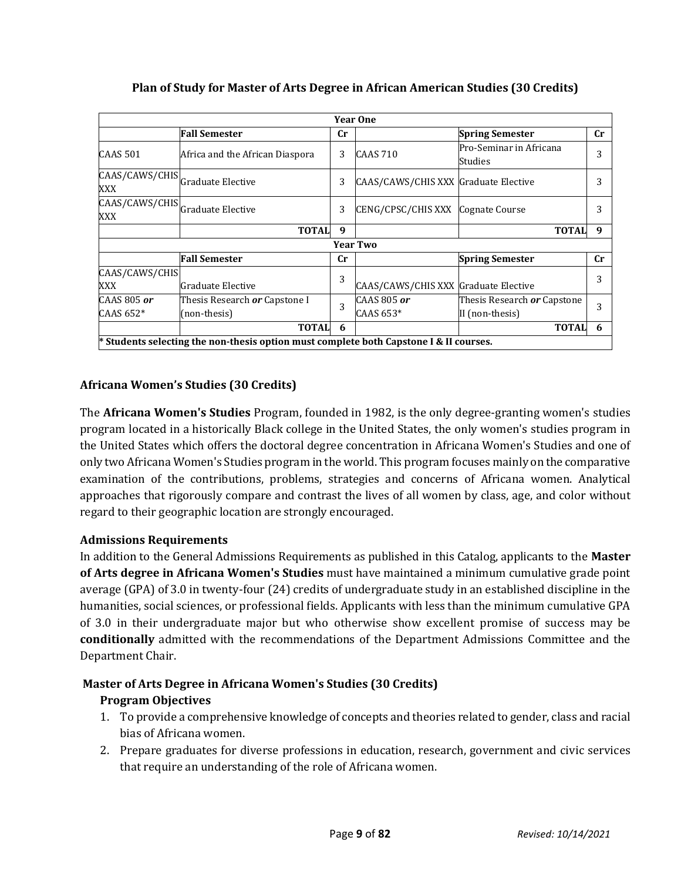|                                         |                                                                                        |                | <b>Year One</b>                      |                                    |             |
|-----------------------------------------|----------------------------------------------------------------------------------------|----------------|--------------------------------------|------------------------------------|-------------|
|                                         | <b>Fall Semester</b>                                                                   | Cr             |                                      | <b>Spring Semester</b>             | <b>Cr</b>   |
| CAAS 501                                | Africa and the African Diaspora                                                        | 3              | <b>CAAS 710</b>                      | Pro-Seminar in Africana<br>Studies | 3           |
| CAAS/CAWS/CHIS Graduate Elective<br>XXX |                                                                                        | 3              | CAAS/CAWS/CHIS XXX Graduate Elective |                                    |             |
| CAAS/CAWS/CHIS Graduate Elective<br>XXX |                                                                                        | 3              | CENG/CPSC/CHIS XXX Cognate Course    |                                    |             |
|                                         | <b>TOTAL</b>                                                                           | 9              |                                      | <b>TOTAL</b>                       | 9           |
|                                         |                                                                                        |                | <b>Year Two</b>                      |                                    |             |
|                                         | <b>Fall Semester</b>                                                                   | $\mathbf{C}$ r |                                      | <b>Spring Semester</b>             | $_{\rm Cr}$ |
| CAAS/CAWS/CHIS<br>XXX                   | Graduate Elective                                                                      | 3              | CAAS/CAWS/CHIS XXX Graduate Elective |                                    | 3           |
| CAAS 805 $or$                           | Thesis Research or Capstone I                                                          |                | CAAS 805 or                          | Thesis Research or Capstone        |             |
| CAAS $652*$                             | (non-thesis)                                                                           | 3              | CAAS 653*                            | II (non-thesis)                    | 3           |
|                                         | <b>TOTAL</b>                                                                           | 6              |                                      | <b>TOTAL</b>                       | 6           |
|                                         | * Students selecting the non-thesis option must complete both Capstone I & II courses. |                |                                      |                                    |             |

## **Plan of Study for Master of Arts Degree in African American Studies (30 Credits)**

# **Africana Women's Studies (30 Credits)**

The **Africana Women's Studies** Program, founded in 1982, is the only degree-granting women's studies program located in a historically Black college in the United States, the only women's studies program in the United States which offers the doctoral degree concentration in Africana Women's Studies and one of only two Africana Women's Studies program in the world. This program focuses mainly on the comparative examination of the contributions, problems, strategies and concerns of Africana women. Analytical approaches that rigorously compare and contrast the lives of all women by class, age, and color without regard to their geographic location are strongly encouraged.

## **Admissions Requirements**

In addition to the General Admissions Requirements as published in this Catalog, applicants to the **Master of Arts degree in Africana Women's Studies** must have maintained a minimum cumulative grade point average (GPA) of 3.0 in twenty-four (24) credits of undergraduate study in an established discipline in the humanities, social sciences, or professional fields. Applicants with less than the minimum cumulative GPA of 3.0 in their undergraduate major but who otherwise show excellent promise of success may be **conditionally** admitted with the recommendations of the Department Admissions Committee and the Department Chair.

# **Master of Arts Degree in Africana Women's Studies (30 Credits)**

# **Program Objectives**

- 1. To provide a comprehensive knowledge of concepts and theories related to gender, class and racial bias of Africana women.
- 2. Prepare graduates for diverse professions in education, research, government and civic services that require an understanding of the role of Africana women.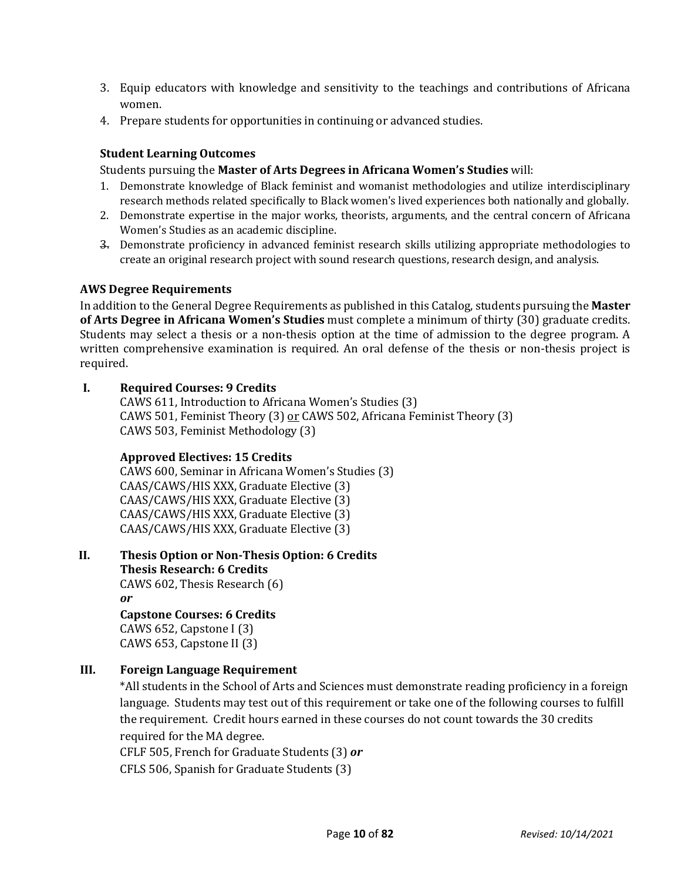- 3. Equip educators with knowledge and sensitivity to the teachings and contributions of Africana women.
- 4. Prepare students for opportunities in continuing or advanced studies.

#### **Student Learning Outcomes**

Students pursuing the **Master of Arts Degrees in Africana Women's Studies** will:

- 1. Demonstrate knowledge of Black feminist and womanist methodologies and utilize interdisciplinary research methods related specifically to Black women's lived experiences both nationally and globally.
- 2. Demonstrate expertise in the major works, theorists, arguments, and the central concern of Africana Women's Studies as an academic discipline.
- 3. Demonstrate proficiency in advanced feminist research skills utilizing appropriate methodologies to create an original research project with sound research questions, research design, and analysis.

#### **AWS Degree Requirements**

In addition to the General Degree Requirements as published in this Catalog, students pursuing the **Master of Arts Degree in Africana Women's Studies** must complete a minimum of thirty (30) graduate credits. Students may select a thesis or a non-thesis option at the time of admission to the degree program. A written comprehensive examination is required. An oral defense of the thesis or non-thesis project is required.

#### **I. Required Courses: 9 Credits**

CAWS 611, Introduction to Africana Women's Studies (3) CAWS 501, Feminist Theory (3) or CAWS 502, Africana Feminist Theory (3) CAWS 503, Feminist Methodology (3)

## **Approved Electives: 15 Credits**

CAWS 600, Seminar in Africana Women's Studies (3) CAAS/CAWS/HIS XXX, Graduate Elective (3) CAAS/CAWS/HIS XXX, Graduate Elective (3) CAAS/CAWS/HIS XXX, Graduate Elective (3) CAAS/CAWS/HIS XXX, Graduate Elective (3)

**II. Thesis Option or Non-Thesis Option: 6 Credits**

**Thesis Research: 6 Credits** CAWS 602, Thesis Research (6) *or* **Capstone Courses: 6 Credits**

CAWS 652, Capstone I (3) CAWS 653, Capstone II (3)

## **III. Foreign Language Requirement**

\*All students in the School of Arts and Sciences must demonstrate reading proficiency in a foreign language. Students may test out of this requirement or take one of the following courses to fulfill the requirement. Credit hours earned in these courses do not count towards the 30 credits required for the MA degree.

CFLF 505, French for Graduate Students (3) *or* CFLS 506, Spanish for Graduate Students (3)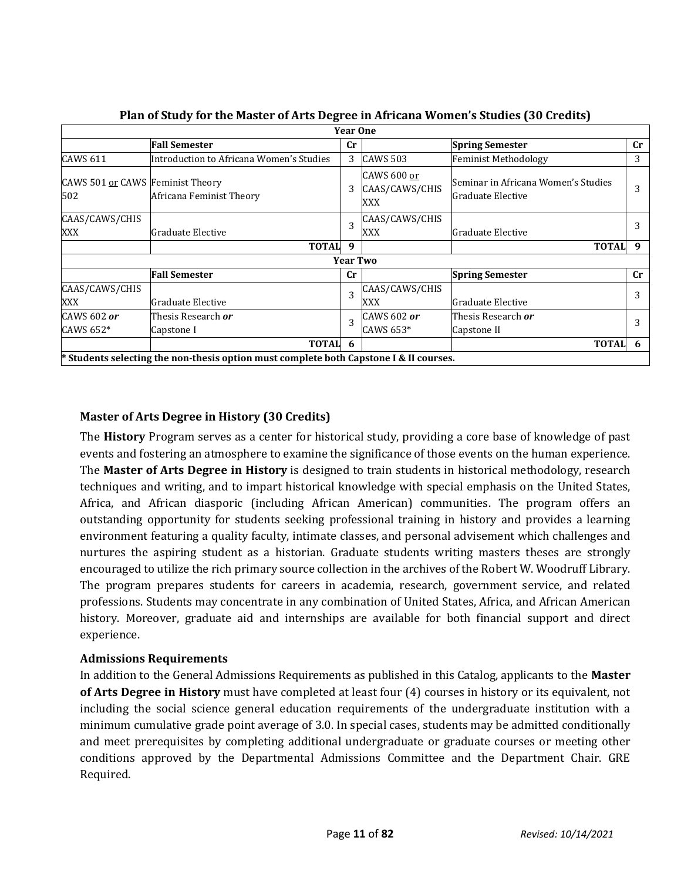|                                         |                                                                                        | <b>Year One</b> |                                      |                                                          |                        |
|-----------------------------------------|----------------------------------------------------------------------------------------|-----------------|--------------------------------------|----------------------------------------------------------|------------------------|
|                                         | <b>Fall Semester</b>                                                                   | <b>Cr</b>       |                                      | <b>Spring Semester</b>                                   | Cr                     |
| <b>CAWS 611</b>                         | Introduction to Africana Women's Studies                                               | 3               | <b>CAWS 503</b>                      | <b>Feminist Methodology</b>                              | 3                      |
| CAWS 501 or CAWS Feminist Theory<br>502 | Africana Feminist Theory                                                               | 3               | CAWS 600 or<br>CAAS/CAWS/CHIS<br>XXX | Seminar in Africana Women's Studies<br>Graduate Elective | 3                      |
| CAAS/CAWS/CHIS<br>XXX                   | Graduate Elective                                                                      | 3               | CAAS/CAWS/CHIS<br>XXX                | Graduate Elective                                        |                        |
|                                         | <b>TOTAL</b>                                                                           | 9               |                                      | <b>TOTAL</b>                                             | 9                      |
|                                         |                                                                                        | <b>Year Two</b> |                                      |                                                          |                        |
|                                         | <b>Fall Semester</b>                                                                   | <b>Cr</b>       |                                      | <b>Spring Semester</b>                                   | $\mathbf{C}\mathbf{r}$ |
| CAAS/CAWS/CHIS<br>XXX                   | Graduate Elective                                                                      | 3               | CAAS/CAWS/CHIS<br>XXX                | Graduate Elective                                        | 3                      |
| CAWS 602 or<br>CAWS 652*                | Thesis Research <b>or</b><br>Capstone I                                                | 3               | CAWS 602 or<br>CAWS 653*             | Thesis Research <b>or</b><br>Capstone II                 | 3                      |
|                                         | <b>TOTAL</b>                                                                           | -6              |                                      | <b>TOTAL</b>                                             | 6                      |
|                                         | * Students selecting the non-thesis option must complete both Capstone I & II courses. |                 |                                      |                                                          |                        |

**Plan of Study for the Master of Arts Degree in Africana Women's Studies (30 Credits)**

# **Master of Arts Degree in History (30 Credits)**

The **History** Program serves as a center for historical study, providing a core base of knowledge of past events and fostering an atmosphere to examine the significance of those events on the human experience. The **Master of Arts Degree in History** is designed to train students in historical methodology, research techniques and writing, and to impart historical knowledge with special emphasis on the United States, Africa, and African diasporic (including African American) communities. The program offers an outstanding opportunity for students seeking professional training in history and provides a learning environment featuring a quality faculty, intimate classes, and personal advisement which challenges and nurtures the aspiring student as a historian. Graduate students writing masters theses are strongly encouraged to utilize the rich primary source collection in the archives of the Robert W. Woodruff Library. The program prepares students for careers in academia, research, government service, and related professions. Students may concentrate in any combination of United States, Africa, and African American history. Moreover, graduate aid and internships are available for both financial support and direct experience.

## **Admissions Requirements**

In addition to the General Admissions Requirements as published in this Catalog, applicants to the **Master of Arts Degree in History** must have completed at least four (4) courses in history or its equivalent, not including the social science general education requirements of the undergraduate institution with a minimum cumulative grade point average of 3.0. In special cases, students may be admitted conditionally and meet prerequisites by completing additional undergraduate or graduate courses or meeting other conditions approved by the Departmental Admissions Committee and the Department Chair. GRE Required.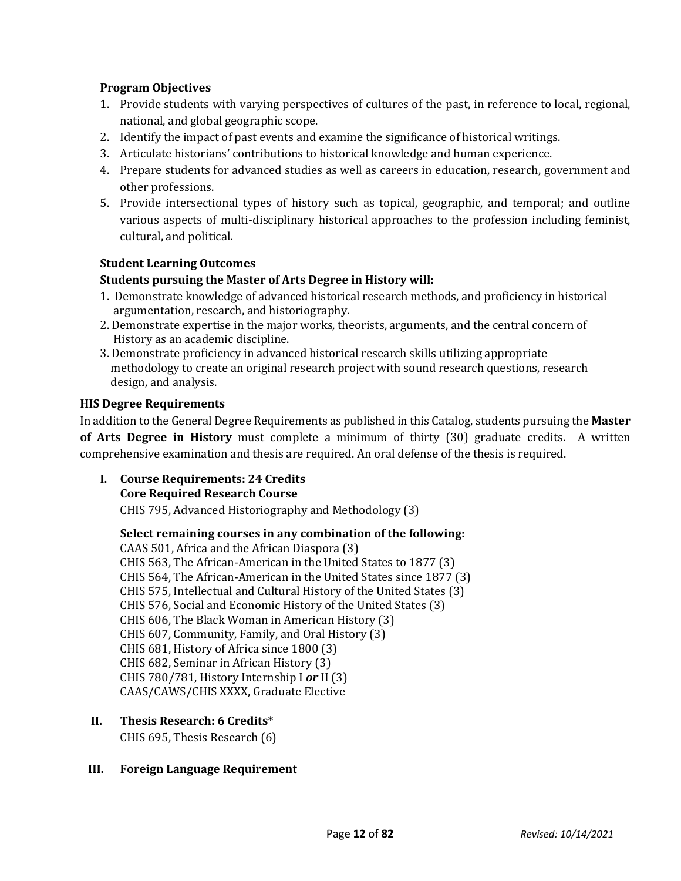## **Program Objectives**

- 1. Provide students with varying perspectives of cultures of the past, in reference to local, regional, national, and global geographic scope.
- 2. Identify the impact of past events and examine the significance of historical writings.
- 3. Articulate historians' contributions to historical knowledge and human experience.
- 4. Prepare students for advanced studies as well as careers in education, research, government and other professions.
- 5. Provide intersectional types of history such as topical, geographic, and temporal; and outline various aspects of multi-disciplinary historical approaches to the profession including feminist, cultural, and political.

## **Student Learning Outcomes**

#### **Students pursuing the Master of Arts Degree in History will:**

- 1. Demonstrate knowledge of advanced historical research methods, and proficiency in historical argumentation, research, and historiography.
- 2. Demonstrate expertise in the major works, theorists, arguments, and the central concern of History as an academic discipline.
- 3. Demonstrate proficiency in advanced historical research skills utilizing appropriate methodology to create an original research project with sound research questions, research design, and analysis.

#### **HIS Degree Requirements**

In addition to the General Degree Requirements as published in this Catalog, students pursuing the **Master of Arts Degree in History** must complete a minimum of thirty (30) graduate credits. A written comprehensive examination and thesis are required. An oral defense of the thesis is required.

**I. Course Requirements: 24 Credits**

#### **Core Required Research Course**

CHIS 795, Advanced Historiography and Methodology (3)

## **Select remaining courses in any combination of the following:**

CAAS 501, Africa and the African Diaspora (3) CHIS 563, The African-American in the United States to 1877 (3) CHIS 564, The African-American in the United States since 1877 (3) CHIS 575, Intellectual and Cultural History of the United States (3) CHIS 576, Social and Economic History of the United States (3) CHIS 606, The Black Woman in American History (3) CHIS 607, Community, Family, and Oral History (3) CHIS 681, History of Africa since 1800 (3) CHIS 682, Seminar in African History (3) CHIS 780/781, History Internship I *or* II (3) CAAS/CAWS/CHIS XXXX, Graduate Elective

## **II. Thesis Research: 6 Credits\***

CHIS 695, Thesis Research (6)

## **III. Foreign Language Requirement**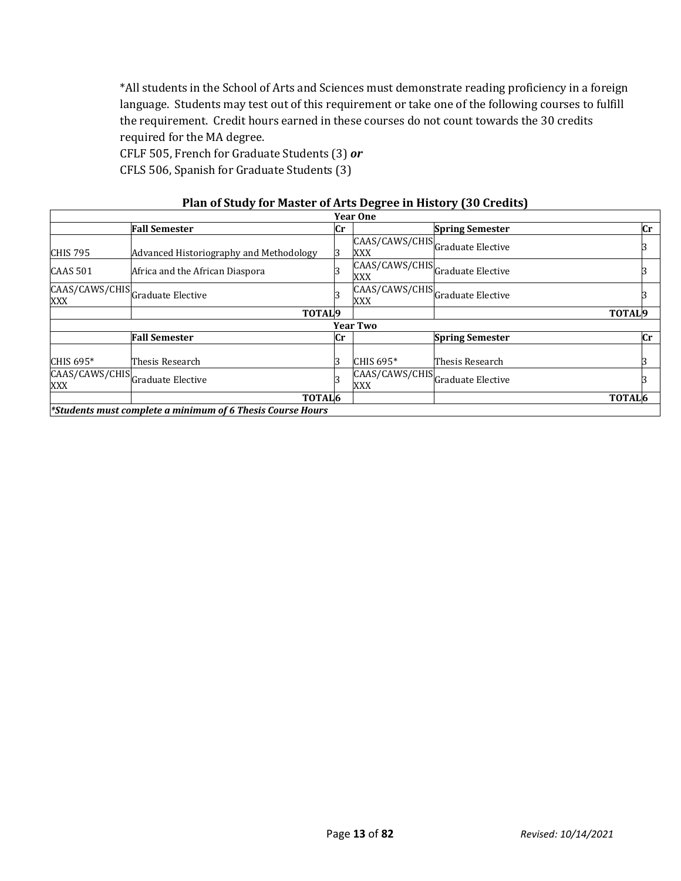\*All students in the School of Arts and Sciences must demonstrate reading proficiency in a foreign language. Students may test out of this requirement or take one of the following courses to fulfill the requirement. Credit hours earned in these courses do not count towards the 30 credits required for the MA degree.

CFLF 505, French for Graduate Students (3) *or*

CFLS 506, Spanish for Graduate Students (3)

|                 |                                                            |    | <b>Year One</b>                         |                        |                        |  |
|-----------------|------------------------------------------------------------|----|-----------------------------------------|------------------------|------------------------|--|
|                 | <b>Fall Semester</b>                                       | Cr |                                         | <b>Spring Semester</b> | $\mathbf{C}\mathbf{r}$ |  |
| <b>CHIS 795</b> | Advanced Historiography and Methodology                    |    | CAAS/CAWS/CHISGraduate Elective<br>XXX  |                        |                        |  |
| <b>CAAS 501</b> | Africa and the African Diaspora                            |    | CAAS/CAWS/CHIS Graduate Elective<br>XXX |                        |                        |  |
| <b>XXX</b>      | CAAS/CAWS/CHISCGraduate Elective                           |    | CAAS/CAWS/CHIS Graduate Elective<br>XXX |                        |                        |  |
|                 | TOTAL <sub>9</sub>                                         |    |                                         |                        | TOTAL <sub>9</sub>     |  |
|                 |                                                            |    | <b>Year Two</b>                         |                        |                        |  |
|                 | <b>Fall Semester</b>                                       | Сr |                                         | <b>Spring Semester</b> | $\mathbf{C}\mathbf{r}$ |  |
| CHIS 695*       | Thesis Research                                            |    | CHIS 695*                               | Thesis Research        |                        |  |
| <b>XXX</b>      | CAAS/CAWS/CHIS Graduate Elective                           |    | CAAS/CAWS/CHISGraduate Elective<br>XXX  |                        |                        |  |
|                 | TOTAL <sub>6</sub>                                         |    |                                         |                        | TOTAL <sub>6</sub>     |  |
|                 | *Students must complete a minimum of 6 Thesis Course Hours |    |                                         |                        |                        |  |

#### **Plan of Study for Master of Arts Degree in History (30 Credits)**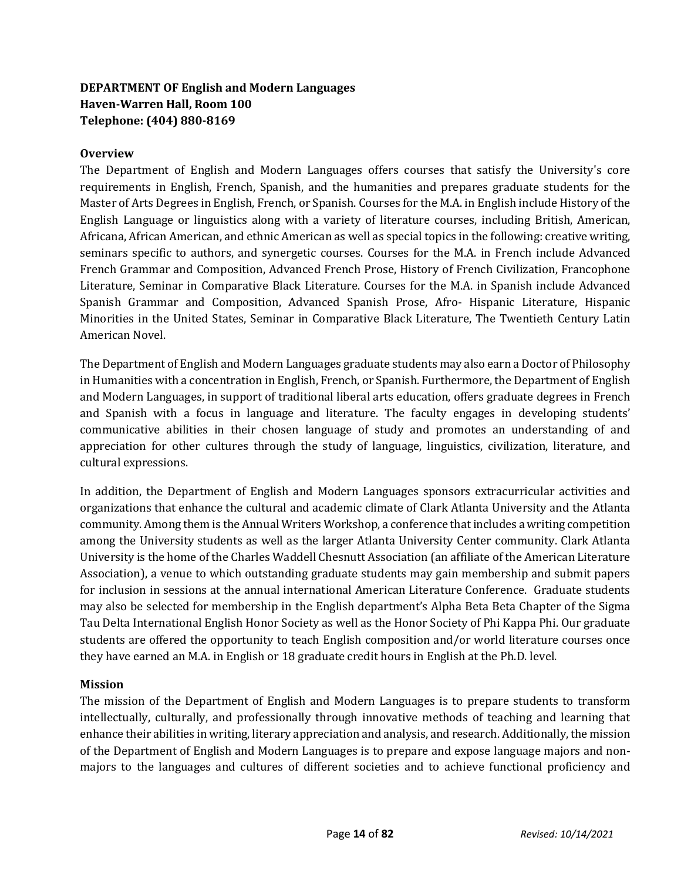# **DEPARTMENT OF English and Modern Languages Haven-Warren Hall, Room 100 Telephone: (404) 880-8169**

## **Overview**

The Department of English and Modern Languages offers courses that satisfy the University's core requirements in English, French, Spanish, and the humanities and prepares graduate students for the Master of Arts Degrees in English, French, or Spanish. Courses for the M.A. in English include History of the English Language or linguistics along with a variety of literature courses, including British, American, Africana, African American, and ethnic American as well as special topics in the following: creative writing, seminars specific to authors, and synergetic courses. Courses for the M.A. in French include Advanced French Grammar and Composition, Advanced French Prose, History of French Civilization, Francophone Literature, Seminar in Comparative Black Literature. Courses for the M.A. in Spanish include Advanced Spanish Grammar and Composition, Advanced Spanish Prose, Afro- Hispanic Literature, Hispanic Minorities in the United States, Seminar in Comparative Black Literature, The Twentieth Century Latin American Novel.

The Department of English and Modern Languages graduate students may also earn a Doctor of Philosophy in Humanities with a concentration in English, French, or Spanish. Furthermore, the Department of English and Modern Languages, in support of traditional liberal arts education, offers graduate degrees in French and Spanish with a focus in language and literature. The faculty engages in developing students' communicative abilities in their chosen language of study and promotes an understanding of and appreciation for other cultures through the study of language, linguistics, civilization, literature, and cultural expressions.

In addition, the Department of English and Modern Languages sponsors extracurricular activities and organizations that enhance the cultural and academic climate of Clark Atlanta University and the Atlanta community. Among them is the Annual Writers Workshop, a conference that includes a writing competition among the University students as well as the larger Atlanta University Center community. Clark Atlanta University is the home of the Charles Waddell Chesnutt Association (an affiliate of the American Literature Association), a venue to which outstanding graduate students may gain membership and submit papers for inclusion in sessions at the annual international American Literature Conference. Graduate students may also be selected for membership in the English department's Alpha Beta Beta Chapter of the Sigma Tau Delta International English Honor Society as well as the Honor Society of Phi Kappa Phi. Our graduate students are offered the opportunity to teach English composition and/or world literature courses once they have earned an M.A. in English or 18 graduate credit hours in English at the Ph.D. level.

## **Mission**

The mission of the Department of English and Modern Languages is to prepare students to transform intellectually, culturally, and professionally through innovative methods of teaching and learning that enhance their abilities in writing, literary appreciation and analysis, and research. Additionally, the mission of the Department of English and Modern Languages is to prepare and expose language majors and nonmajors to the languages and cultures of different societies and to achieve functional proficiency and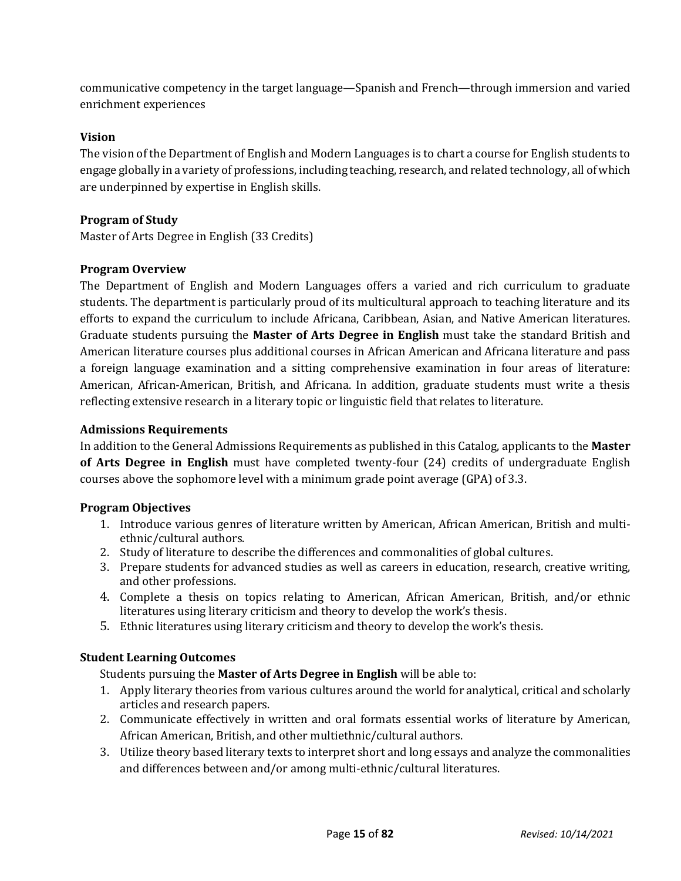communicative competency in the target language—Spanish and French—through immersion and varied enrichment experiences

## **Vision**

The vision of the Department of English and Modern Languages is to chart a course for English students to engage globally in a variety of professions, including teaching, research, and related technology, all of which are underpinned by expertise in English skills.

## **Program of Study**

Master of Arts Degree in English (33 Credits)

## **Program Overview**

The Department of English and Modern Languages offers a varied and rich curriculum to graduate students. The department is particularly proud of its multicultural approach to teaching literature and its efforts to expand the curriculum to include Africana, Caribbean, Asian, and Native American literatures. Graduate students pursuing the **Master of Arts Degree in English** must take the standard British and American literature courses plus additional courses in African American and Africana literature and pass a foreign language examination and a sitting comprehensive examination in four areas of literature: American, African-American, British, and Africana. In addition, graduate students must write a thesis reflecting extensive research in a literary topic or linguistic field that relates to literature.

## **Admissions Requirements**

In addition to the General Admissions Requirements as published in this Catalog, applicants to the **Master of Arts Degree in English** must have completed twenty-four (24) credits of undergraduate English courses above the sophomore level with a minimum grade point average (GPA) of 3.3.

## **Program Objectives**

- 1. Introduce various genres of literature written by American, African American, British and multiethnic/cultural authors.
- 2. Study of literature to describe the differences and commonalities of global cultures.
- 3. Prepare students for advanced studies as well as careers in education, research, creative writing, and other professions.
- 4. Complete a thesis on topics relating to American, African American, British, and/or ethnic literatures using literary criticism and theory to develop the work's thesis.
- 5. Ethnic literatures using literary criticism and theory to develop the work's thesis.

## **Student Learning Outcomes**

Students pursuing the **Master of Arts Degree in English** will be able to:

- 1. Apply literary theories from various cultures around the world for analytical, critical and scholarly articles and research papers.
- 2. Communicate effectively in written and oral formats essential works of literature by American, African American, British, and other multiethnic/cultural authors.
- 3. Utilize theory based literary texts to interpret short and long essays and analyze the commonalities and differences between and/or among multi-ethnic/cultural literatures.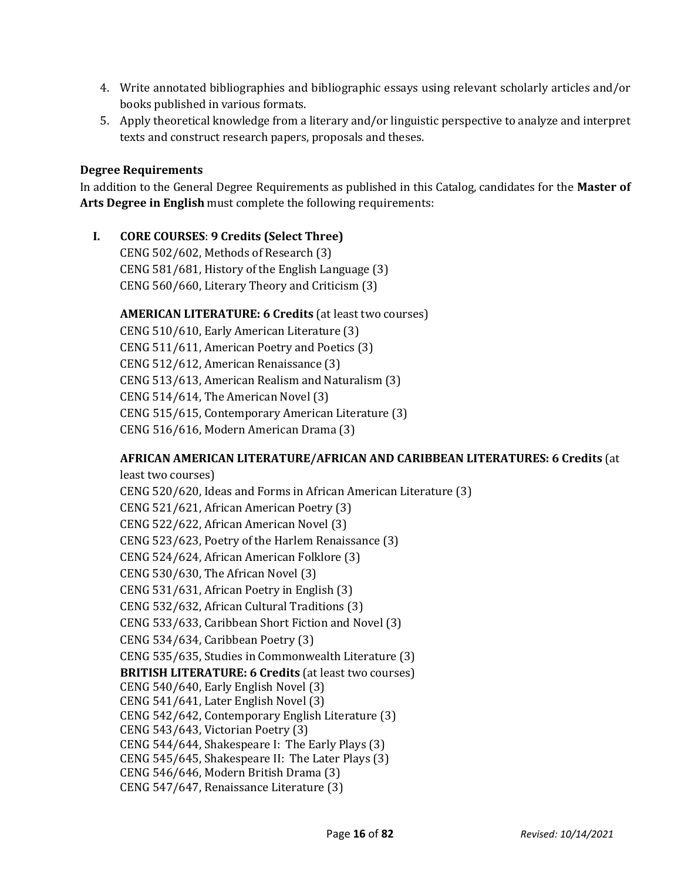- 4. Write annotated bibliographies and bibliographic essays using relevant scholarly articles and/or books published in various formats.
- 5. Apply theoretical knowledge from a literary and/or linguistic perspective to analyze and interpret texts and construct research papers, proposals and theses.

#### **Degree Requirements**

In addition to the General Degree Requirements as published in this Catalog, candidates for the **Master of Arts Degree in English** must complete the following requirements:

## **I. CORE COURSES**: **9 Credits (Select Three)**

CENG 502/602, Methods of Research (3) CENG 581/681, History of the English Language (3) CENG 560/660, Literary Theory and Criticism (3)

#### **AMERICAN LITERATURE: 6 Credits** (at least two courses)

CENG 510/610, Early American Literature (3) CENG 511/611, American Poetry and Poetics (3) CENG 512/612, American Renaissance (3) CENG 513/613, American Realism and Naturalism (3) CENG 514/614, The American Novel (3) CENG 515/615, Contemporary American Literature (3) CENG 516/616, Modern American Drama (3)

#### **AFRICAN AMERICAN LITERATURE/AFRICAN AND CARIBBEAN LITERATURES: 6 Credits** (at

least two courses) CENG 520/620, Ideas and Forms in African American Literature (3) CENG 521/621, African American Poetry (3) CENG 522/622, African American Novel (3) CENG 523/623, Poetry of the Harlem Renaissance (3) CENG 524/624, African American Folklore (3) CENG 530/630, The African Novel (3) CENG 531/631, African Poetry in English (3) CENG 532/632, African Cultural Traditions (3) CENG 533/633, Caribbean Short Fiction and Novel (3) CENG 534/634, Caribbean Poetry (3) CENG 535/635, Studies in Commonwealth Literature (3) **BRITISH LITERATURE: 6 Credits** (at least two courses) CENG 540/640, Early English Novel (3) CENG 541/641, Later English Novel (3) CENG 542/642, Contemporary English Literature (3) CENG 543/643, Victorian Poetry (3) CENG 544/644, Shakespeare I: The Early Plays (3) CENG 545/645, Shakespeare II: The Later Plays (3) CENG 546/646, Modern British Drama (3) CENG 547/647, Renaissance Literature (3)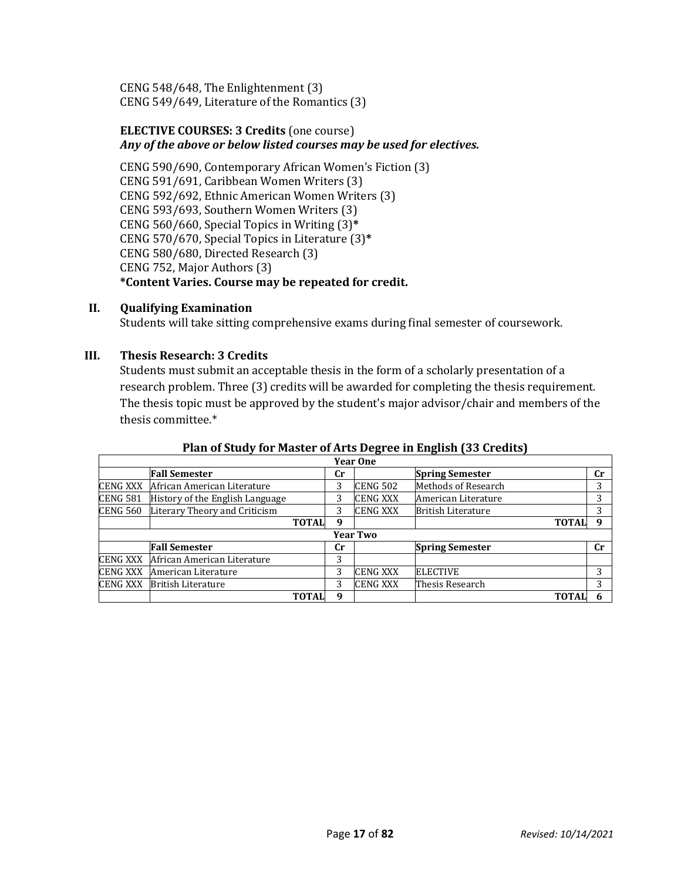CENG 548/648, The Enlightenment (3) CENG 549/649, Literature of the Romantics (3)

#### **ELECTIVE COURSES: 3 Credits** (one course) *Any of the above or below listed courses may be used for electives.*

CENG 590/690, Contemporary African Women's Fiction (3) CENG 591/691, Caribbean Women Writers (3) CENG 592/692, Ethnic American Women Writers (3) CENG 593/693, Southern Women Writers (3) CENG 560/660, Special Topics in Writing (3)**\*** CENG 570/670, Special Topics in Literature (3)**\*** CENG 580/680, Directed Research (3) CENG 752, Major Authors (3) **\*Content Varies. Course may be repeated for credit.**

#### **II. Qualifying Examination**

Students will take sitting comprehensive exams during final semester of coursework.

#### **III. Thesis Research: 3 Credits**

Students must submit an acceptable thesis in the form of a scholarly presentation of a research problem. Three (3) credits will be awarded for completing the thesis requirement. The thesis topic must be approved by the student's major advisor/chair and members of the thesis committee.\*

#### **Plan of Study for Master of Arts Degree in English (33 Credits)**

|                 | .,<br><b>Year One</b>           |             |                 |                            |             |  |  |  |
|-----------------|---------------------------------|-------------|-----------------|----------------------------|-------------|--|--|--|
|                 | <b>Fall Semester</b>            | Cr          |                 | <b>Spring Semester</b>     | cr          |  |  |  |
| <b>CENG XXX</b> | African American Literature     | 3           | <b>CENG 502</b> | <b>Methods of Research</b> | 3           |  |  |  |
| <b>CENG 581</b> | History of the English Language | 3           | <b>CENG XXX</b> | American Literature        | 3           |  |  |  |
| <b>CENG 560</b> | Literary Theory and Criticism   | 3           | <b>CENG XXX</b> | <b>British Literature</b>  | 3           |  |  |  |
|                 | <b>TOTAL</b>                    | 9           |                 | <b>TOTAL</b>               | $\mathbf q$ |  |  |  |
|                 |                                 |             | <b>Year Two</b> |                            |             |  |  |  |
|                 | <b>Fall Semester</b>            | $_{\rm Cr}$ |                 | <b>Spring Semester</b>     | cr          |  |  |  |
| <b>CENG XXX</b> | African American Literature     | 3           |                 |                            |             |  |  |  |
| <b>CENG XXX</b> | American Literature             | 3           | <b>CENG XXX</b> | <b>ELECTIVE</b>            | 3           |  |  |  |
| <b>CENG XXX</b> | <b>British Literature</b>       | 3           | <b>CENG XXX</b> | Thesis Research            | 3           |  |  |  |
|                 | <b>TOTAI</b>                    | q           |                 | <b>TOTAI</b>               |             |  |  |  |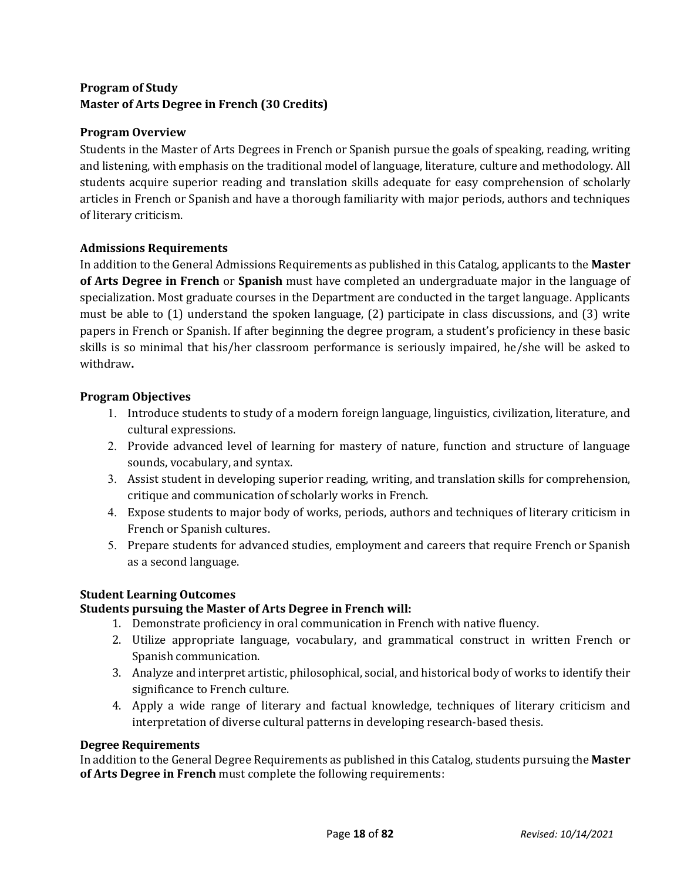# **Program of Study Master of Arts Degree in French (30 Credits)**

## **Program Overview**

Students in the Master of Arts Degrees in French or Spanish pursue the goals of speaking, reading, writing and listening, with emphasis on the traditional model of language, literature, culture and methodology. All students acquire superior reading and translation skills adequate for easy comprehension of scholarly articles in French or Spanish and have a thorough familiarity with major periods, authors and techniques of literary criticism.

## **Admissions Requirements**

In addition to the General Admissions Requirements as published in this Catalog, applicants to the **Master of Arts Degree in French** or **Spanish** must have completed an undergraduate major in the language of specialization. Most graduate courses in the Department are conducted in the target language. Applicants must be able to (1) understand the spoken language, (2) participate in class discussions, and (3) write papers in French or Spanish. If after beginning the degree program, a student's proficiency in these basic skills is so minimal that his/her classroom performance is seriously impaired, he/she will be asked to withdraw**.**

## **Program Objectives**

- 1. Introduce students to study of a modern foreign language, linguistics, civilization, literature, and cultural expressions.
- 2. Provide advanced level of learning for mastery of nature, function and structure of language sounds, vocabulary, and syntax.
- 3. Assist student in developing superior reading, writing, and translation skills for comprehension, critique and communication of scholarly works in French.
- 4. Expose students to major body of works, periods, authors and techniques of literary criticism in French or Spanish cultures.
- 5. Prepare students for advanced studies, employment and careers that require French or Spanish as a second language.

## **Student Learning Outcomes**

# **Students pursuing the Master of Arts Degree in French will:**

- 1. Demonstrate proficiency in oral communication in French with native fluency.
- 2. Utilize appropriate language, vocabulary, and grammatical construct in written French or Spanish communication.
- 3. Analyze and interpret artistic, philosophical, social, and historical body of works to identify their significance to French culture.
- 4. Apply a wide range of literary and factual knowledge, techniques of literary criticism and interpretation of diverse cultural patterns in developing research-based thesis.

## **Degree Requirements**

In addition to the General Degree Requirements as published in this Catalog, students pursuing the **Master of Arts Degree in French** must complete the following requirements: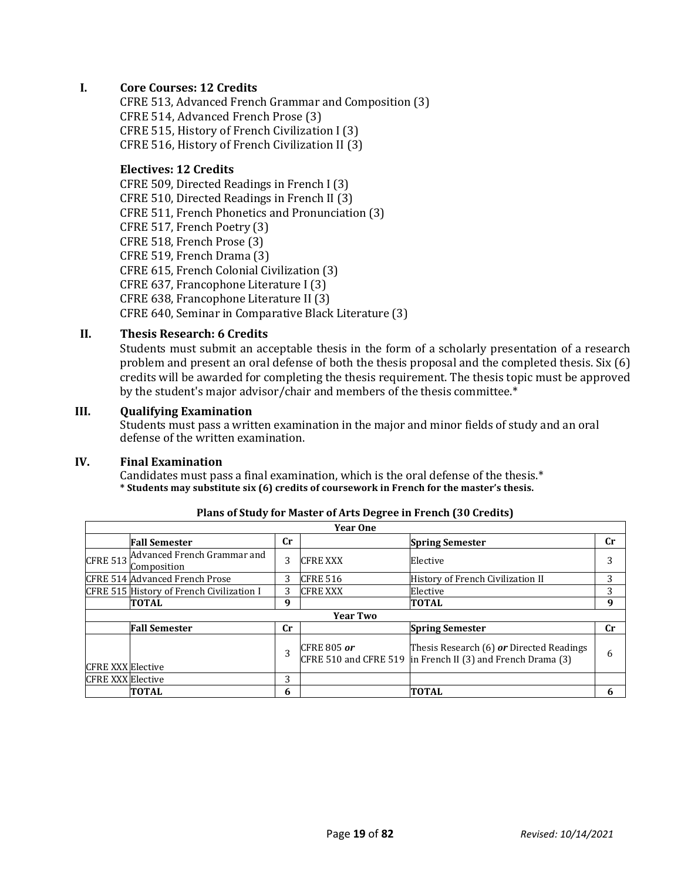#### **I. Core Courses: 12 Credits**

CFRE 513, Advanced French Grammar and Composition (3) CFRE 514, Advanced French Prose (3) CFRE 515, History of French Civilization I (3) CFRE 516, History of French Civilization II (3)

#### **Electives: 12 Credits**

CFRE 509, Directed Readings in French I (3) CFRE 510, Directed Readings in French II (3) CFRE 511, French Phonetics and Pronunciation (3) CFRE 517, French Poetry (3) CFRE 518, French Prose (3) CFRE 519, French Drama (3) CFRE 615, French Colonial Civilization (3) CFRE 637, Francophone Literature I (3) CFRE 638, Francophone Literature II (3) CFRE 640, Seminar in Comparative Black Literature (3)

#### **II. Thesis Research: 6 Credits**

Students must submit an acceptable thesis in the form of a scholarly presentation of a research problem and present an oral defense of both the thesis proposal and the completed thesis. Six (6) credits will be awarded for completing the thesis requirement. The thesis topic must be approved by the student's major advisor/chair and members of the thesis committee.\*

#### **III. Qualifying Examination**

Students must pass a written examination in the major and minor fields of study and an oral defense of the written examination.

#### **IV. Final Examination**

Candidates must pass a final examination, which is the oral defense of the thesis.\* **\* Students may substitute six (6) credits of coursework in French for the master's thesis.**

|                          | <b>Year One</b>                            |             |                    |                                                                                                         |           |  |  |  |
|--------------------------|--------------------------------------------|-------------|--------------------|---------------------------------------------------------------------------------------------------------|-----------|--|--|--|
|                          | <b>Fall Semester</b>                       | <b>Cr</b>   |                    | <b>Spring Semester</b>                                                                                  | <b>Cr</b> |  |  |  |
| <b>CFRE 513</b>          | Advanced French Grammar and<br>Composition | 3           | <b>CFRE XXX</b>    | Elective                                                                                                |           |  |  |  |
|                          | <b>CFRE 514 Advanced French Prose</b>      | 3           | <b>CFRE 516</b>    | History of French Civilization II                                                                       | 3         |  |  |  |
|                          | CFRE 515 History of French Civilization I  | 3           | <b>CFRE XXX</b>    | Elective                                                                                                | 3         |  |  |  |
|                          | <b>TOTAL</b>                               | 9           |                    | <b>TOTAL</b>                                                                                            | 9         |  |  |  |
|                          |                                            |             | <b>Year Two</b>    |                                                                                                         |           |  |  |  |
|                          | <b>Fall Semester</b>                       | $_{\rm Cr}$ |                    | <b>Spring Semester</b>                                                                                  | Cr        |  |  |  |
| <b>CFRE XXX</b> Elective |                                            | 3           | <b>CFRE 805 or</b> | Thesis Research (6) or Directed Readings<br>CFRE 510 and CFRE 519 in French II (3) and French Drama (3) | 6         |  |  |  |
| <b>CFRE XXX</b> Elective |                                            | 3           |                    |                                                                                                         |           |  |  |  |
|                          | TOTAL                                      | 6           |                    | <b>TOTAL</b>                                                                                            | 6         |  |  |  |

#### **Plans of Study for Master of Arts Degree in French (30 Credits)**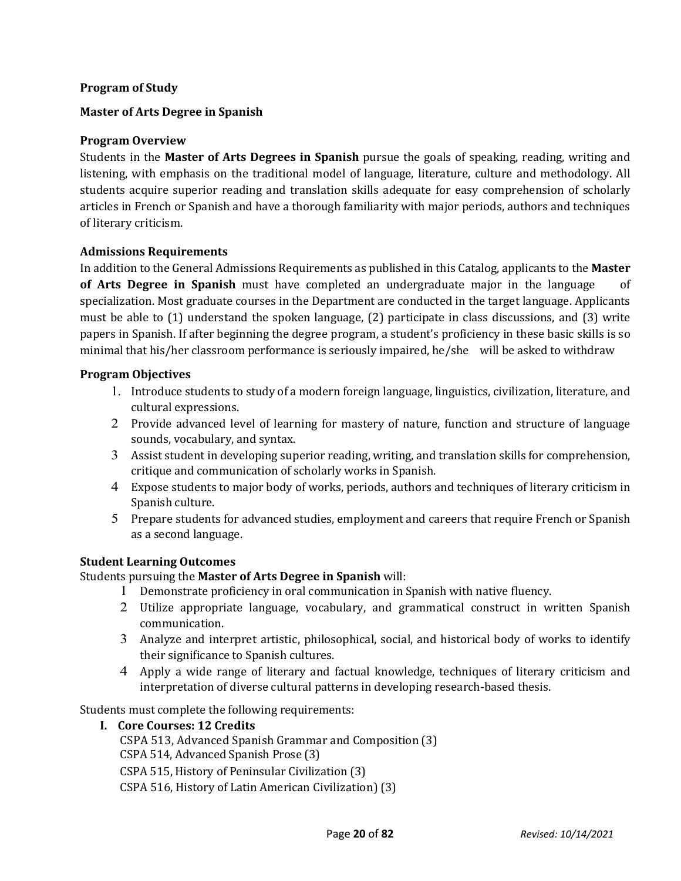#### **Program of Study**

#### **Master of Arts Degree in Spanish**

#### **Program Overview**

Students in the **Master of Arts Degrees in Spanish** pursue the goals of speaking, reading, writing and listening, with emphasis on the traditional model of language, literature, culture and methodology. All students acquire superior reading and translation skills adequate for easy comprehension of scholarly articles in French or Spanish and have a thorough familiarity with major periods, authors and techniques of literary criticism.

#### **Admissions Requirements**

In addition to the General Admissions Requirements as published in this Catalog, applicants to the **Master of Arts Degree in Spanish** must have completed an undergraduate major in the language of specialization. Most graduate courses in the Department are conducted in the target language. Applicants must be able to (1) understand the spoken language, (2) participate in class discussions, and (3) write papers in Spanish. If after beginning the degree program, a student's proficiency in these basic skills is so minimal that his/her classroom performance is seriously impaired, he/she will be asked to withdraw

#### **Program Objectives**

- 1. Introduce students to study of a modern foreign language, linguistics, civilization, literature, and cultural expressions.
- 2 Provide advanced level of learning for mastery of nature, function and structure of language sounds, vocabulary, and syntax.
- 3 Assist student in developing superior reading, writing, and translation skills for comprehension, critique and communication of scholarly works in Spanish.
- 4 Expose students to major body of works, periods, authors and techniques of literary criticism in Spanish culture.
- 5 Prepare students for advanced studies, employment and careers that require French or Spanish as a second language.

#### **Student Learning Outcomes**

#### Students pursuing the **Master of Arts Degree in Spanish** will:

- 1 Demonstrate proficiency in oral communication in Spanish with native fluency.
- 2 Utilize appropriate language, vocabulary, and grammatical construct in written Spanish communication.
- 3 Analyze and interpret artistic, philosophical, social, and historical body of works to identify their significance to Spanish cultures.
- 4 Apply a wide range of literary and factual knowledge, techniques of literary criticism and interpretation of diverse cultural patterns in developing research-based thesis.

Students must complete the following requirements:

#### **I. Core Courses: 12 Credits**

CSPA 513, Advanced Spanish Grammar and Composition (3) CSPA 514, Advanced Spanish Prose (3) CSPA 515, History of Peninsular Civilization (3) CSPA 516, History of Latin American Civilization) (3)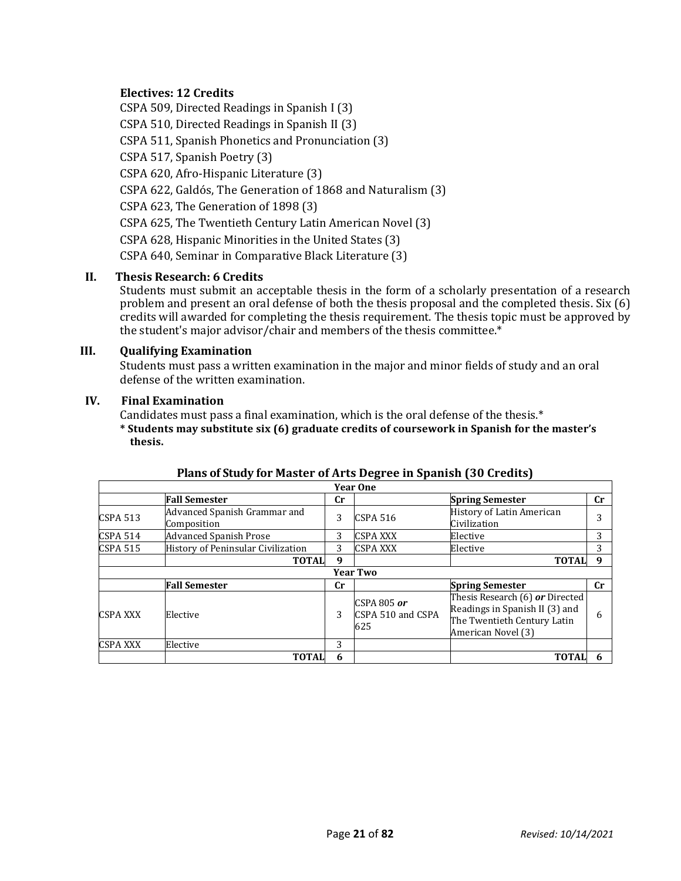## **Electives: 12 Credits**

CSPA 509, Directed Readings in Spanish I (3) CSPA 510, Directed Readings in Spanish II (3) CSPA 511, Spanish Phonetics and Pronunciation (3) CSPA 517, Spanish Poetry (3) CSPA 620, Afro-Hispanic Literature (3) CSPA 622, Galdós, The Generation of 1868 and Naturalism (3) CSPA 623, The Generation of 1898 (3) CSPA 625, The Twentieth Century Latin American Novel (3) CSPA 628, Hispanic Minorities in the United States (3) CSPA 640, Seminar in Comparative Black Literature (3)

## **II. Thesis Research: 6 Credits**

Students must submit an acceptable thesis in the form of a scholarly presentation of a research problem and present an oral defense of both the thesis proposal and the completed thesis. Six (6) credits will awarded for completing the thesis requirement. The thesis topic must be approved by the student's major advisor/chair and members of the thesis committee.\*

#### **III. Qualifying Examination**

Students must pass a written examination in the major and minor fields of study and an oral defense of the written examination.

#### **IV. Final Examination**

Candidates must pass a final examination, which is the oral defense of the thesis.\*

**\* Students may substitute six (6) graduate credits of coursework in Spanish for the master's thesis.**

|                 |                                             |           | <b>Year One</b>                           |                                                                                                                        |             |
|-----------------|---------------------------------------------|-----------|-------------------------------------------|------------------------------------------------------------------------------------------------------------------------|-------------|
|                 | <b>Fall Semester</b>                        | <b>Cr</b> |                                           | <b>Spring Semester</b>                                                                                                 | $_{\rm Cr}$ |
| CSPA 513        | Advanced Spanish Grammar and<br>Composition | 3         | <b>CSPA 516</b>                           | History of Latin American<br>Civilization                                                                              | 3           |
| <b>CSPA 514</b> | <b>Advanced Spanish Prose</b>               | 3         | <b>CSPA XXX</b>                           | Elective                                                                                                               | 3           |
| <b>CSPA 515</b> | History of Peninsular Civilization          | 3         | <b>CSPA XXX</b>                           | Elective                                                                                                               | 3           |
|                 | <b>TOTAL</b>                                | 9         |                                           | <b>TOTAL</b>                                                                                                           | q           |
|                 |                                             |           | <b>Year Two</b>                           |                                                                                                                        |             |
|                 | <b>Fall Semester</b>                        | Cr        |                                           | <b>Spring Semester</b>                                                                                                 | cr          |
| <b>CSPA XXX</b> | Elective                                    | 3         | CSPA 805 $or$<br>CSPA 510 and CSPA<br>625 | Thesis Research (6) or Directed<br>Readings in Spanish II (3) and<br>The Twentieth Century Latin<br>American Novel (3) | 6           |
| <b>CSPA XXX</b> | Elective                                    | 3         |                                           |                                                                                                                        |             |
|                 | <b>TOTAL</b>                                | 6         |                                           | <b>TOTAL</b>                                                                                                           |             |

#### **Plans of Study for Master of Arts Degree in Spanish (30 Credits)**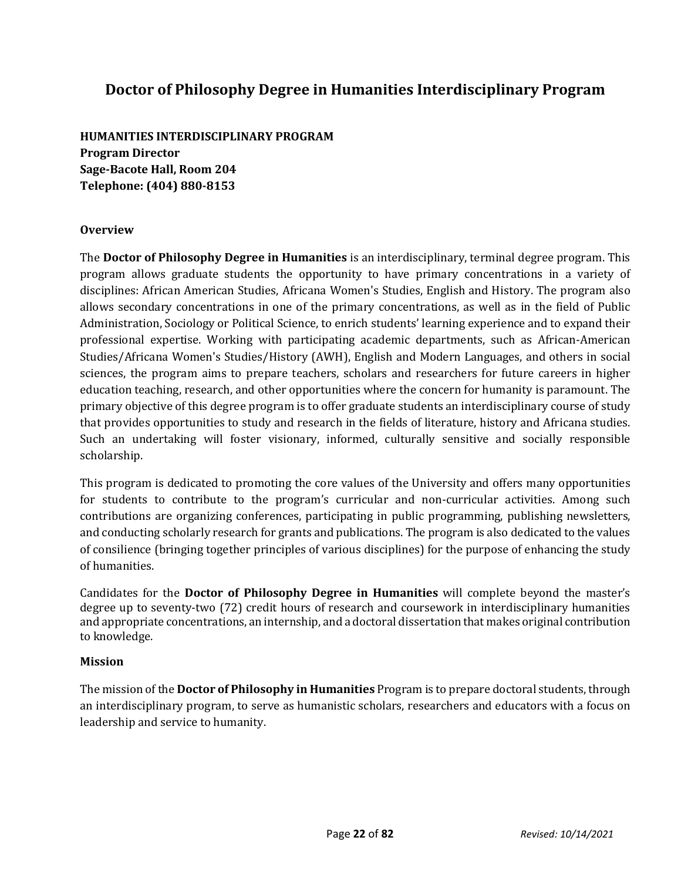# **Doctor of Philosophy Degree in Humanities Interdisciplinary Program**

**HUMANITIES INTERDISCIPLINARY PROGRAM Program Director Sage-Bacote Hall, Room 204 Telephone: (404) 880-8153**

## **Overview**

The **Doctor of Philosophy Degree in Humanities** is an interdisciplinary, terminal degree program. This program allows graduate students the opportunity to have primary concentrations in a variety of disciplines: African American Studies, Africana Women's Studies, English and History. The program also allows secondary concentrations in one of the primary concentrations, as well as in the field of Public Administration, Sociology or Political Science, to enrich students' learning experience and to expand their professional expertise. Working with participating academic departments, such as African-American Studies/Africana Women's Studies/History (AWH), English and Modern Languages, and others in social sciences, the program aims to prepare teachers, scholars and researchers for future careers in higher education teaching, research, and other opportunities where the concern for humanity is paramount. The primary objective of this degree program is to offer graduate students an interdisciplinary course of study that provides opportunities to study and research in the fields of literature, history and Africana studies. Such an undertaking will foster visionary, informed, culturally sensitive and socially responsible scholarship.

This program is dedicated to promoting the core values of the University and offers many opportunities for students to contribute to the program's curricular and non-curricular activities. Among such contributions are organizing conferences, participating in public programming, publishing newsletters, and conducting scholarly research for grants and publications. The program is also dedicated to the values of consilience (bringing together principles of various disciplines) for the purpose of enhancing the study of humanities.

Candidates for the **Doctor of Philosophy Degree in Humanities** will complete beyond the master's degree up to seventy-two (72) credit hours of research and coursework in interdisciplinary humanities and appropriate concentrations, an internship, and a doctoral dissertation that makes original contribution to knowledge.

#### **Mission**

The mission of the **Doctor of Philosophy in Humanities** Program is to prepare doctoral students, through an interdisciplinary program, to serve as humanistic scholars, researchers and educators with a focus on leadership and service to humanity.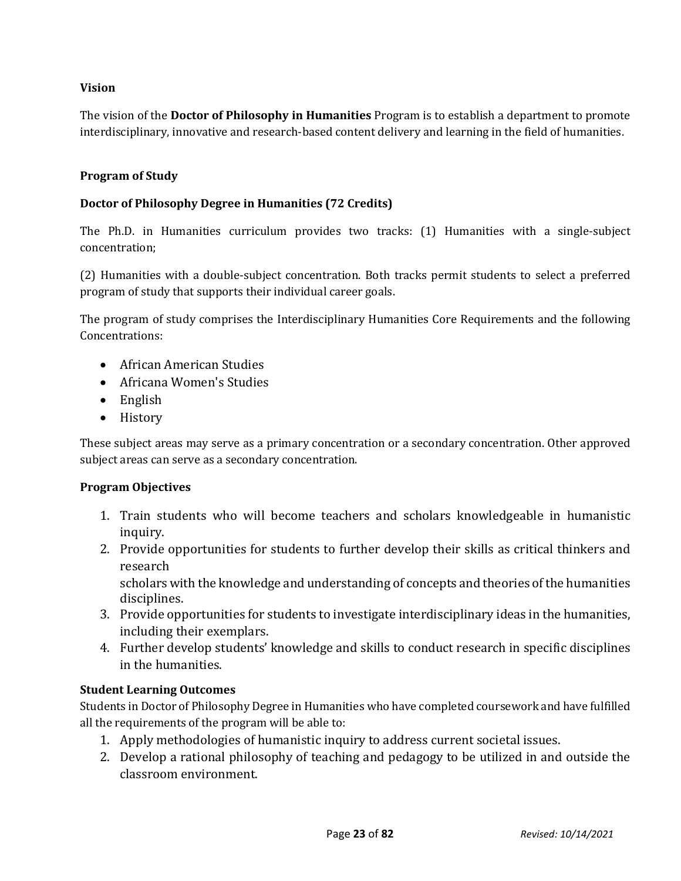## **Vision**

The vision of the **Doctor of Philosophy in Humanities** Program is to establish a department to promote interdisciplinary, innovative and research-based content delivery and learning in the field of humanities.

## **Program of Study**

#### **Doctor of Philosophy Degree in Humanities (72 Credits)**

The Ph.D. in Humanities curriculum provides two tracks: (1) Humanities with a single-subject concentration;

(2) Humanities with a double-subject concentration. Both tracks permit students to select a preferred program of study that supports their individual career goals.

The program of study comprises the Interdisciplinary Humanities Core Requirements and the following Concentrations:

- African American Studies
- Africana Women's Studies
- English
- History

These subject areas may serve as a primary concentration or a secondary concentration. Other approved subject areas can serve as a secondary concentration.

#### **Program Objectives**

- 1. Train students who will become teachers and scholars knowledgeable in humanistic inquiry.
- 2. Provide opportunities for students to further develop their skills as critical thinkers and research

scholars with the knowledge and understanding of concepts and theories of the humanities disciplines.

- 3. Provide opportunities for students to investigate interdisciplinary ideas in the humanities, including their exemplars.
- 4. Further develop students' knowledge and skills to conduct research in specific disciplines in the humanities.

## **Student Learning Outcomes**

Students in Doctor of Philosophy Degree in Humanities who have completed coursework and have fulfilled all the requirements of the program will be able to:

- 1. Apply methodologies of humanistic inquiry to address current societal issues.
- 2. Develop a rational philosophy of teaching and pedagogy to be utilized in and outside the classroom environment.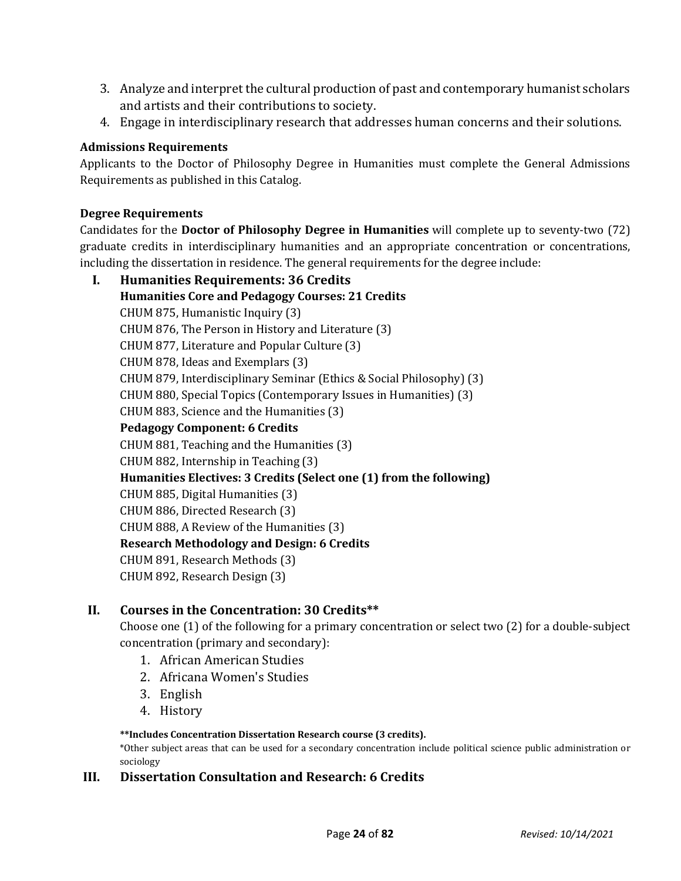- 3. Analyze and interpret the cultural production of past and contemporary humanist scholars and artists and their contributions to society.
- 4. Engage in interdisciplinary research that addresses human concerns and their solutions.

## **Admissions Requirements**

Applicants to the Doctor of Philosophy Degree in Humanities must complete the General Admissions Requirements as published in this Catalog.

## **Degree Requirements**

Candidates for the **Doctor of Philosophy Degree in Humanities** will complete up to seventy-two (72) graduate credits in interdisciplinary humanities and an appropriate concentration or concentrations, including the dissertation in residence. The general requirements for the degree include:

**I. Humanities Requirements: 36 Credits Humanities Core and Pedagogy Courses: 21 Credits** CHUM 875, Humanistic Inquiry (3) CHUM 876, The Person in History and Literature (3) CHUM 877, Literature and Popular Culture (3) CHUM 878, Ideas and Exemplars (3) CHUM 879, Interdisciplinary Seminar (Ethics & Social Philosophy) (3) CHUM 880, Special Topics (Contemporary Issues in Humanities) (3) CHUM 883, Science and the Humanities (3) **Pedagogy Component: 6 Credits** CHUM 881, Teaching and the Humanities (3) CHUM 882, Internship in Teaching (3) **Humanities Electives: 3 Credits (Select one (1) from the following)** CHUM 885, Digital Humanities (3) CHUM 886, Directed Research (3) CHUM 888, A Review of the Humanities (3) **Research Methodology and Design: 6 Credits** CHUM 891, Research Methods (3) CHUM 892, Research Design (3)

# **II. Courses in the Concentration: 30 Credits\*\***

Choose one (1) of the following for a primary concentration or select two (2) for a double-subject concentration (primary and secondary):

- 1. African American Studies
- 2. Africana Women's Studies
- 3. English
- 4. History

#### **\*\*Includes Concentration Dissertation Research course (3 credits).**

\*Other subject areas that can be used for a secondary concentration include political science public administration or sociology

## **III. Dissertation Consultation and Research: 6 Credits**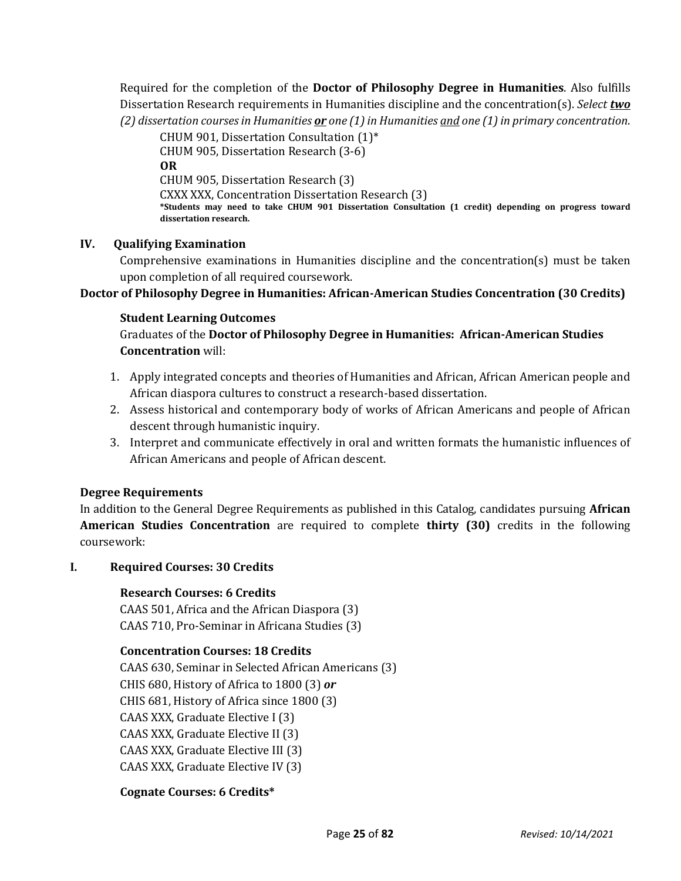Required for the completion of the **Doctor of Philosophy Degree in Humanities**. Also fulfills Dissertation Research requirements in Humanities discipline and the concentration(s). *Select two (2) dissertation courses in Humanities or one (1) in Humanities and one (1) in primary concentration*.

CHUM 901, Dissertation Consultation (1)\* CHUM 905, Dissertation Research (3-6) **OR** CHUM 905, Dissertation Research (3) CXXX XXX, Concentration Dissertation Research (3) **\*Students may need to take CHUM 901 Dissertation Consultation (1 credit) depending on progress toward dissertation research.**

#### **IV. Qualifying Examination**

Comprehensive examinations in Humanities discipline and the concentration(s) must be taken upon completion of all required coursework.

## **Doctor of Philosophy Degree in Humanities: African-American Studies Concentration (30 Credits)**

#### **Student Learning Outcomes**

Graduates of the **Doctor of Philosophy Degree in Humanities: African-American Studies Concentration** will:

- 1. Apply integrated concepts and theories of Humanities and African, African American people and African diaspora cultures to construct a research-based dissertation.
- 2. Assess historical and contemporary body of works of African Americans and people of African descent through humanistic inquiry.
- 3. Interpret and communicate effectively in oral and written formats the humanistic influences of African Americans and people of African descent.

#### **Degree Requirements**

In addition to the General Degree Requirements as published in this Catalog, candidates pursuing **African American Studies Concentration** are required to complete **thirty (30)** credits in the following coursework:

#### **I. Required Courses: 30 Credits**

#### **Research Courses: 6 Credits**

CAAS 501, Africa and the African Diaspora (3) CAAS 710, Pro-Seminar in Africana Studies (3)

#### **Concentration Courses: 18 Credits**

CAAS 630, Seminar in Selected African Americans (3) CHIS 680, History of Africa to 1800 (3) *or* CHIS 681, History of Africa since 1800 (3) CAAS XXX, Graduate Elective I (3) CAAS XXX, Graduate Elective II (3) CAAS XXX, Graduate Elective III (3) CAAS XXX, Graduate Elective IV (3)

## **Cognate Courses: 6 Credits\***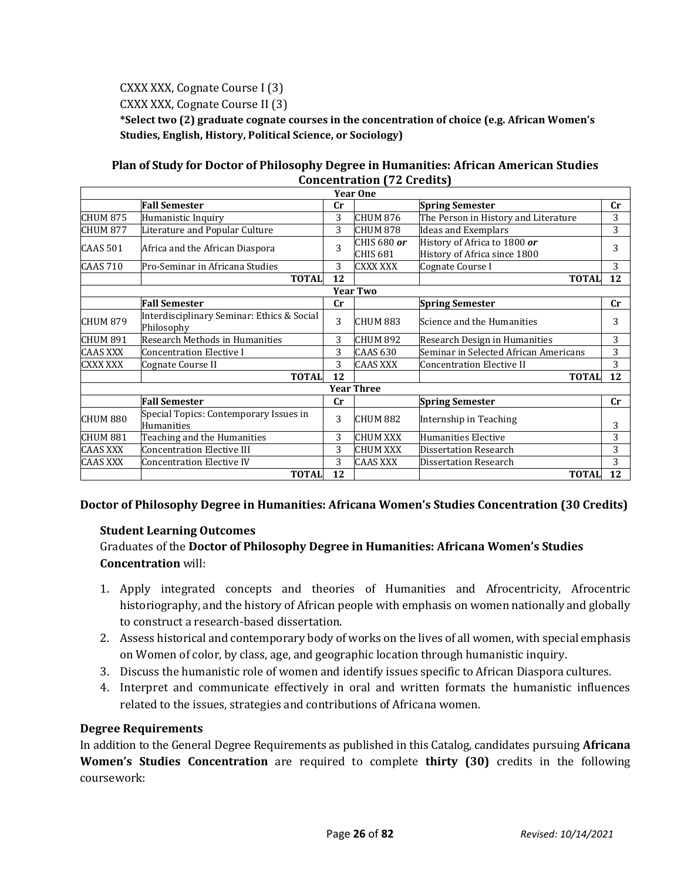CXXX XXX, Cognate Course I (3)

CXXX XXX, Cognate Course II (3)

**\*Select two (2) graduate cognate courses in the concentration of choice (e.g. African Women's Studies, English, History, Political Science, or Sociology)**

## **Plan of Study for Doctor of Philosophy Degree in Humanities: African American Studies Concentration (72 Credits)**

|                 |                                                             |             | <b>Year One</b>         |                                                              |    |
|-----------------|-------------------------------------------------------------|-------------|-------------------------|--------------------------------------------------------------|----|
|                 | <b>Fall Semester</b>                                        | $_{\rm Cr}$ |                         | <b>Spring Semester</b>                                       | cr |
| CHUM 875        | Humanistic Inquiry                                          | 3           | <b>CHUM 876</b>         | The Person in History and Literature                         | 3  |
| CHUM 877        | Literature and Popular Culture                              | 3           | <b>CHUM 878</b>         | <b>Ideas and Exemplars</b>                                   | 3  |
| CAAS 501        | Africa and the African Diaspora                             | 3           | CHIS 680 or<br>CHIS 681 | History of Africa to 1800 or<br>History of Africa since 1800 | 3  |
| <b>CAAS 710</b> | Pro-Seminar in Africana Studies                             | 3           | <b>CXXX XXX</b>         | Cognate Course I                                             | 3  |
|                 | <b>TOTAL</b>                                                | 12          |                         | <b>TOTAL</b>                                                 | 12 |
|                 |                                                             |             | <b>Year Two</b>         |                                                              |    |
|                 | <b>Fall Semester</b>                                        | cr          |                         | <b>Spring Semester</b>                                       | cr |
| CHUM 879        | Interdisciplinary Seminar: Ethics & Social<br>Philosophy    | 3           | CHUM 883                | Science and the Humanities                                   | 3  |
| CHUM 891        | Research Methods in Humanities                              | 3           | CHUM 892                | Research Design in Humanities                                | 3  |
| <b>CAAS XXX</b> | <b>Concentration Elective I</b>                             | 3           | <b>CAAS 630</b>         | Seminar in Selected African Americans                        | 3  |
| <b>CXXX XXX</b> | Cognate Course II                                           | 3           | <b>CAAS XXX</b>         | Concentration Elective II                                    | 3  |
|                 | <b>TOTAL</b>                                                | 12          |                         | <b>TOTAL</b>                                                 | 12 |
|                 |                                                             |             | <b>Year Three</b>       |                                                              |    |
|                 | <b>Fall Semester</b>                                        | cr          |                         | <b>Spring Semester</b>                                       | cr |
| CHUM 880        | Special Topics: Contemporary Issues in<br><b>Humanities</b> | 3           | CHUM 882                | Internship in Teaching                                       | 3  |
| <b>CHUM 881</b> | Teaching and the Humanities                                 | 3           | <b>CHUM XXX</b>         | Humanities Elective                                          | 3  |
| <b>CAAS XXX</b> | <b>Concentration Elective III</b>                           | 3           | <b>CHUM XXX</b>         | <b>Dissertation Research</b>                                 | 3  |
| <b>CAAS XXX</b> | <b>Concentration Elective IV</b>                            | 3           | <b>CAAS XXX</b>         | <b>Dissertation Research</b>                                 | 3  |
|                 | <b>TOTAL</b>                                                | 12          |                         | <b>TOTAL</b>                                                 | 12 |

## **Doctor of Philosophy Degree in Humanities: Africana Women's Studies Concentration (30 Credits)**

## **Student Learning Outcomes**

Graduates of the **Doctor of Philosophy Degree in Humanities: Africana Women's Studies Concentration** will:

- 1. Apply integrated concepts and theories of Humanities and Afrocentricity, Afrocentric historiography, and the history of African people with emphasis on women nationally and globally to construct a research-based dissertation.
- 2. Assess historical and contemporary body of works on the lives of all women, with special emphasis on Women of color, by class, age, and geographic location through humanistic inquiry.
- 3. Discuss the humanistic role of women and identify issues specific to African Diaspora cultures.
- 4. Interpret and communicate effectively in oral and written formats the humanistic influences related to the issues, strategies and contributions of Africana women.

## **Degree Requirements**

In addition to the General Degree Requirements as published in this Catalog, candidates pursuing **Africana Women's Studies Concentration** are required to complete **thirty (30)** credits in the following coursework: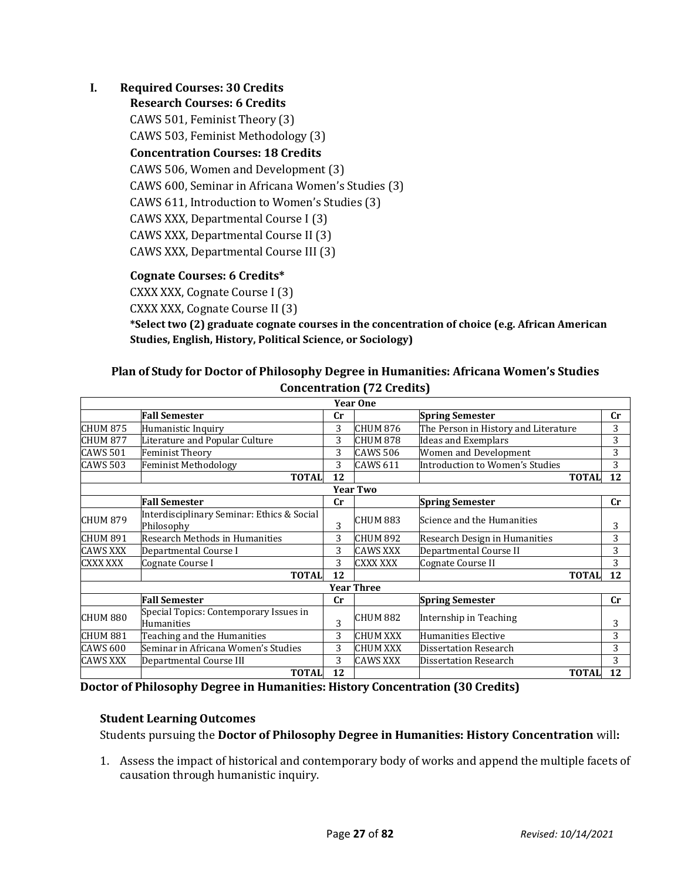## **I. Required Courses: 30 Credits**

**Research Courses: 6 Credits** CAWS 501, Feminist Theory (3) CAWS 503, Feminist Methodology (3) **Concentration Courses: 18 Credits** CAWS 506, Women and Development (3) CAWS 600, Seminar in Africana Women's Studies (3) CAWS 611, Introduction to Women's Studies (3) CAWS XXX, Departmental Course I (3) CAWS XXX, Departmental Course II (3) CAWS XXX, Departmental Course III (3)

# **Cognate Courses: 6 Credits\***

CXXX XXX, Cognate Course I (3)

CXXX XXX, Cognate Course II (3)

**\*Select two (2) graduate cognate courses in the concentration of choice (e.g. African American Studies, English, History, Political Science, or Sociology)**

## **Plan of Study for Doctor of Philosophy Degree in Humanities: Africana Women's Studies Concentration (72 Credits)**

|                 |                                                          |             | <b>Year One</b>   |                                      |    |
|-----------------|----------------------------------------------------------|-------------|-------------------|--------------------------------------|----|
|                 | <b>Fall Semester</b>                                     | $_{\rm Cr}$ |                   | <b>Spring Semester</b>               | cr |
| CHUM 875        | Humanistic Inquiry                                       | 3           | <b>CHUM 876</b>   | The Person in History and Literature | 3  |
| CHUM 877        | Literature and Popular Culture                           | 3           | CHUM 878          | <b>Ideas and Exemplars</b>           | 3  |
| <b>CAWS 501</b> | <b>Feminist Theory</b>                                   | 3           | <b>CAWS 506</b>   | Women and Development                | 3  |
| <b>CAWS 503</b> | <b>Feminist Methodology</b>                              | 3           | <b>CAWS 611</b>   | Introduction to Women's Studies      | 3  |
|                 | <b>TOTAL</b>                                             | 12          |                   | <b>TOTAL</b>                         | 12 |
|                 |                                                          |             | <b>Year Two</b>   |                                      |    |
|                 | <b>Fall Semester</b>                                     | <b>Cr</b>   |                   | <b>Spring Semester</b>               | cr |
| <b>CHUM 879</b> | Interdisciplinary Seminar: Ethics & Social<br>Philosophy | 3           | CHUM 883          | Science and the Humanities           | 3  |
| CHUM 891        | Research Methods in Humanities                           | 3           | <b>CHUM 892</b>   | Research Design in Humanities        | 3  |
| <b>CAWS XXX</b> | Departmental Course I                                    | 3           | <b>CAWS XXX</b>   | Departmental Course II               | 3  |
| CXXX XXX        | Cognate Course I                                         | 3           | <b>CXXX XXX</b>   | Cognate Course II                    | 3  |
|                 | <b>TOTAL</b>                                             | 12          |                   | <b>TOTAL</b>                         | 12 |
|                 |                                                          |             | <b>Year Three</b> |                                      |    |
|                 | <b>Fall Semester</b>                                     | $_{\rm Cr}$ |                   | <b>Spring Semester</b>               | cr |
| CHUM 880        | Special Topics: Contemporary Issues in<br>Humanities     | 3           | CHUM 882          | Internship in Teaching               | 3  |
| CHUM 881        | Teaching and the Humanities                              | 3           | <b>CHUM XXX</b>   | Humanities Elective                  | 3  |
| <b>CAWS 600</b> | Seminar in Africana Women's Studies                      | 3           | <b>CHUM XXX</b>   | Dissertation Research                | 3  |
| <b>CAWS XXX</b> | Departmental Course III                                  | 3           | <b>CAWS XXX</b>   | <b>Dissertation Research</b>         | 3  |
|                 | <b>TOTAL</b>                                             | 12          |                   | <b>TOTAL</b>                         | 12 |

**Doctor of Philosophy Degree in Humanities: History Concentration (30 Credits)**

#### **Student Learning Outcomes**

Students pursuing the **Doctor of Philosophy Degree in Humanities: History Concentration** will**:**

1. Assess the impact of historical and contemporary body of works and append the multiple facets of causation through humanistic inquiry.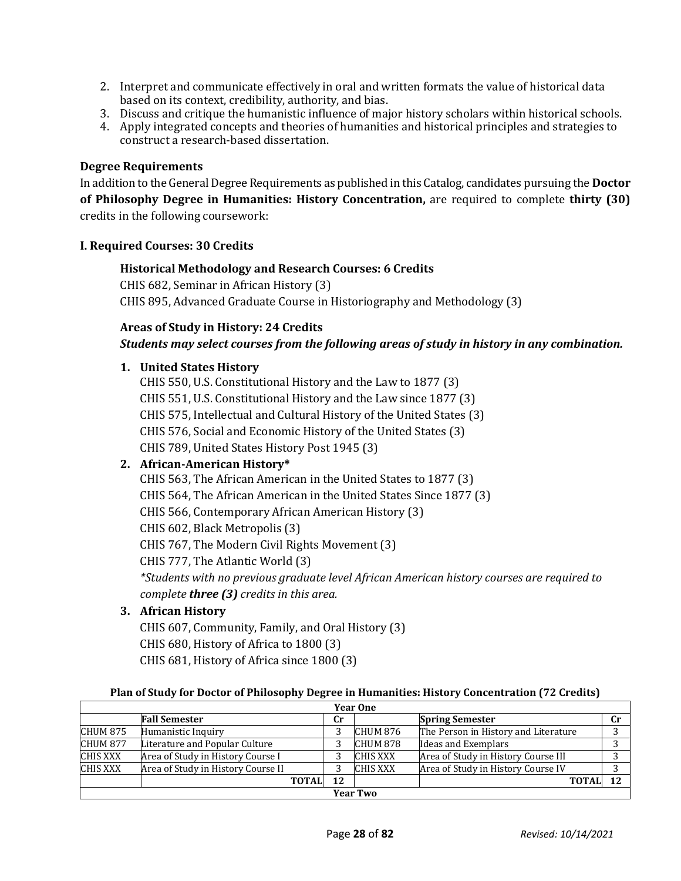- 2. Interpret and communicate effectively in oral and written formats the value of historical data based on its context, credibility, authority, and bias.
- 3. Discuss and critique the humanistic influence of major history scholars within historical schools.
- 4. Apply integrated concepts and theories of humanities and historical principles and strategies to construct a research-based dissertation.

#### **Degree Requirements**

In addition to the General Degree Requirements as published in this Catalog, candidates pursuing the **Doctor of Philosophy Degree in Humanities: History Concentration,** are required to complete **thirty (30)**  credits in the following coursework:

#### **I. Required Courses: 30 Credits**

#### **Historical Methodology and Research Courses: 6 Credits**

CHIS 682, Seminar in African History (3) CHIS 895, Advanced Graduate Course in Historiography and Methodology (3)

## **Areas of Study in History: 24 Credits**

## *Students may select courses from the following areas of study in history in any combination.*

#### **1. United States History**

CHIS 550, U.S. Constitutional History and the Law to 1877 (3) CHIS 551, U.S. Constitutional History and the Law since 1877 (3) CHIS 575, Intellectual and Cultural History of the United States (3) CHIS 576, Social and Economic History of the United States (3) CHIS 789, United States History Post 1945 (3)

## **2. African-American History\***

CHIS 563, The African American in the United States to 1877 (3) CHIS 564, The African American in the United States Since 1877 (3) CHIS 566, Contemporary African American History (3) CHIS 602, Black Metropolis (3) CHIS 767, The Modern Civil Rights Movement (3) CHIS 777, The Atlantic World (3) *\*Students with no previous graduate level African American history courses are required to complete three (3) credits in this area.*

## **3. African History**

CHIS 607, Community, Family, and Oral History (3) CHIS 680, History of Africa to 1800 (3) CHIS 681, History of Africa since 1800 (3)

#### **Plan of Study for Doctor of Philosophy Degree in Humanities: History Concentration (72 Credits)**

|                 | <b>Year One</b>                    |              |    |                 |                                      |  |  |  |
|-----------------|------------------------------------|--------------|----|-----------------|--------------------------------------|--|--|--|
|                 | <b>Fall Semester</b>               |              | Сr |                 | <b>Spring Semester</b>               |  |  |  |
| <b>CHUM 875</b> | Humanistic Inquiry                 |              | ◠  | CHUM 876        | The Person in History and Literature |  |  |  |
| <b>CHUM 877</b> | Literature and Popular Culture     |              |    | CHUM 878        | Ideas and Exemplars                  |  |  |  |
| <b>CHIS XXX</b> | Area of Study in History Course I  |              |    | <b>CHIS XXX</b> | Area of Study in History Course III  |  |  |  |
| <b>CHIS XXX</b> | Area of Study in History Course II |              |    | <b>CHIS XXX</b> | Area of Study in History Course IV   |  |  |  |
|                 |                                    | <b>TOTAL</b> | 12 |                 | <b>TOTAL</b>                         |  |  |  |
|                 | <b>Year Two</b>                    |              |    |                 |                                      |  |  |  |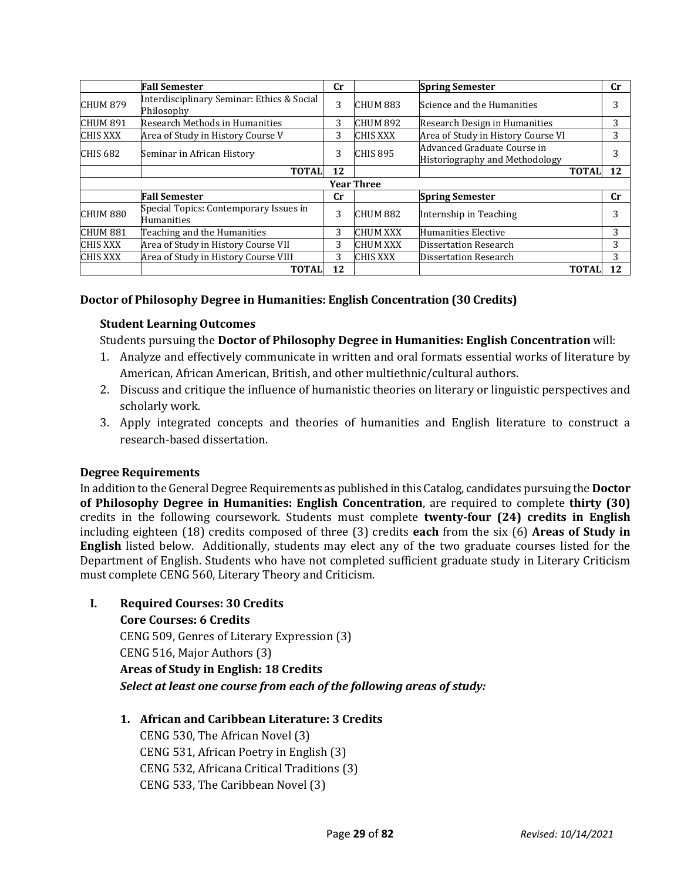|                     | <b>Fall Semester</b>                                     | $_{\rm Cr}$ |                 | <b>Spring Semester</b>                                        | $\mathbf{C}$ r |  |  |  |
|---------------------|----------------------------------------------------------|-------------|-----------------|---------------------------------------------------------------|----------------|--|--|--|
| <b>CHUM 879</b>     | Interdisciplinary Seminar: Ethics & Social<br>Philosophy | 3           | CHUM 883        | Science and the Humanities                                    | 3              |  |  |  |
| <b>CHUM 891</b>     | Research Methods in Humanities                           | 3           | <b>CHUM 892</b> | Research Design in Humanities                                 | 3              |  |  |  |
| <b>CHIS XXX</b>     | Area of Study in History Course V                        | 3           | <b>CHIS XXX</b> | Area of Study in History Course VI                            | 3              |  |  |  |
| CHIS <sub>682</sub> | Seminar in African History                               | 3           | <b>CHIS 895</b> | Advanced Graduate Course in<br>Historiography and Methodology | 3              |  |  |  |
|                     | <b>TOTAL</b>                                             | 12          |                 | <b>TOTAL</b>                                                  | 12             |  |  |  |
| <b>Year Three</b>   |                                                          |             |                 |                                                               |                |  |  |  |
|                     | <b>Fall Semester</b>                                     | <b>Cr</b>   |                 | <b>Spring Semester</b>                                        | <b>Cr</b>      |  |  |  |
| <b>CHUM 880</b>     | Special Topics: Contemporary Issues in<br>Humanities     | 3           | CHUM 882        | Internship in Teaching                                        | 3              |  |  |  |
| CHUM 881            | Teaching and the Humanities                              | 3           | <b>CHUM XXX</b> | Humanities Elective                                           | 3              |  |  |  |
| CHIS XXX            | Area of Study in History Course VII                      | 3           | <b>CHUM XXX</b> | Dissertation Research                                         | 3              |  |  |  |
| <b>CHIS XXX</b>     | Area of Study in History Course VIII                     | 3           | <b>CHIS XXX</b> | Dissertation Research                                         | 3              |  |  |  |
|                     | <b>TOTAL</b>                                             | 12          |                 | <b>TOTAL</b>                                                  | 12             |  |  |  |

## **Doctor of Philosophy Degree in Humanities: English Concentration (30 Credits)**

## **Student Learning Outcomes**

Students pursuing the **Doctor of Philosophy Degree in Humanities: English Concentration** will:

- 1. Analyze and effectively communicate in written and oral formats essential works of literature by American, African American, British, and other multiethnic/cultural authors.
- 2. Discuss and critique the influence of humanistic theories on literary or linguistic perspectives and scholarly work.
- 3. Apply integrated concepts and theories of humanities and English literature to construct a research-based dissertation.

#### **Degree Requirements**

In addition to the General Degree Requirements as published in this Catalog, candidates pursuing the **Doctor of Philosophy Degree in Humanities: English Concentration**, are required to complete **thirty (30)**  credits in the following coursework. Students must complete **twenty-four (24) credits in English** including eighteen (18) credits composed of three (3) credits **each** from the six (6) **Areas of Study in English** listed below. Additionally, students may elect any of the two graduate courses listed for the Department of English. Students who have not completed sufficient graduate study in Literary Criticism must complete CENG 560, Literary Theory and Criticism.

**I. Required Courses: 30 Credits**

**Core Courses: 6 Credits** CENG 509, Genres of Literary Expression (3) CENG 516, Major Authors (3) **Areas of Study in English: 18 Credits** *Select at least one course from each of the following areas of study:*

## **1. African and Caribbean Literature: 3 Credits**

CENG 530, The African Novel (3) CENG 531, African Poetry in English (3) CENG 532, Africana Critical Traditions (3) CENG 533, The Caribbean Novel (3)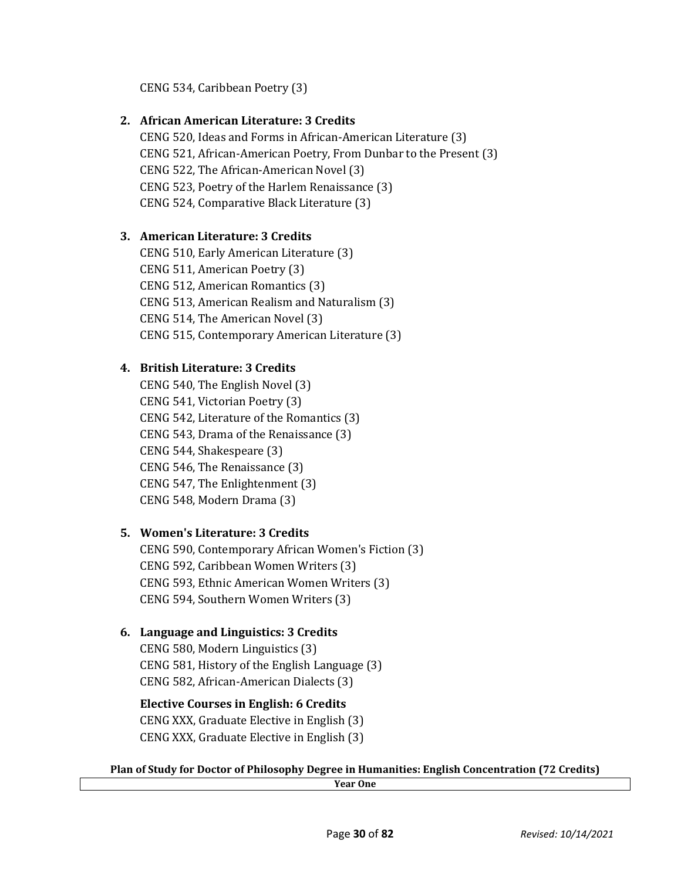CENG 534, Caribbean Poetry (3)

## **2. African American Literature: 3 Credits**

CENG 520, Ideas and Forms in African-American Literature (3) CENG 521, African-American Poetry, From Dunbar to the Present (3) CENG 522, The African-American Novel (3) CENG 523, Poetry of the Harlem Renaissance (3) CENG 524, Comparative Black Literature (3)

# **3. American Literature: 3 Credits**

CENG 510, Early American Literature (3) CENG 511, American Poetry (3) CENG 512, American Romantics (3) CENG 513, American Realism and Naturalism (3) CENG 514, The American Novel (3) CENG 515, Contemporary American Literature (3)

# **4. British Literature: 3 Credits**

CENG 540, The English Novel (3) CENG 541, Victorian Poetry (3) CENG 542, Literature of the Romantics (3) CENG 543, Drama of the Renaissance (3) CENG 544, Shakespeare (3) CENG 546, The Renaissance (3) CENG 547, The Enlightenment (3) CENG 548, Modern Drama (3)

# **5. Women's Literature: 3 Credits**

CENG 590, Contemporary African Women's Fiction (3) CENG 592, Caribbean Women Writers (3) CENG 593, Ethnic American Women Writers (3) CENG 594, Southern Women Writers (3)

# **6. Language and Linguistics: 3 Credits**

CENG 580, Modern Linguistics (3) CENG 581, History of the English Language (3) CENG 582, African-American Dialects (3)

# **Elective Courses in English: 6 Credits** CENG XXX, Graduate Elective in English (3) CENG XXX, Graduate Elective in English (3)

# **Plan of Study for Doctor of Philosophy Degree in Humanities: English Concentration (72 Credits)**

**Year One**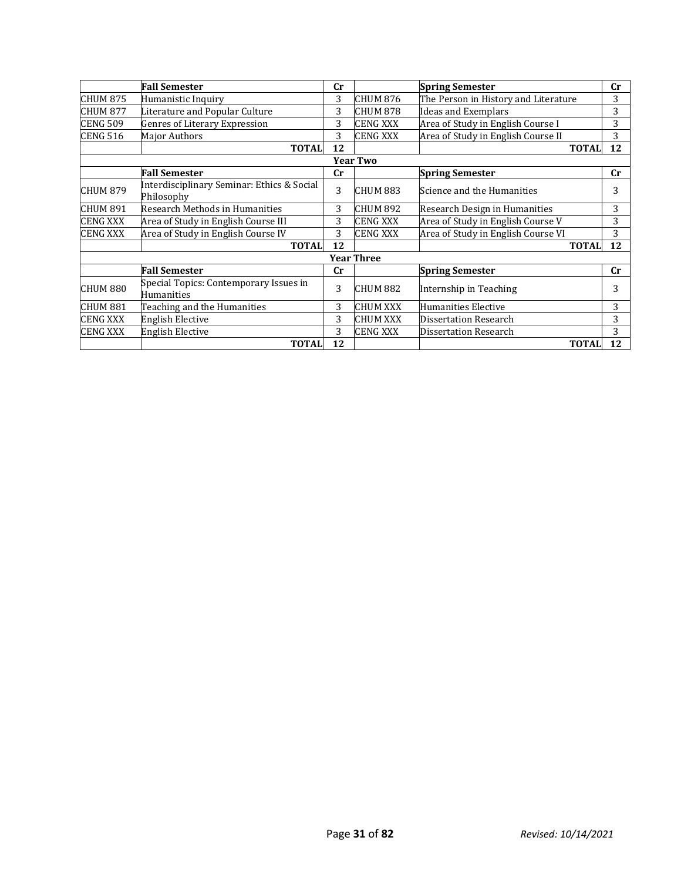|                   | <b>Fall Semester</b>                                     | <b>Cr</b> |                 | <b>Spring Semester</b>               | $_{\rm Cr}$ |  |  |  |
|-------------------|----------------------------------------------------------|-----------|-----------------|--------------------------------------|-------------|--|--|--|
| CHUM 875          | Humanistic Inquiry                                       | 3         | CHUM 876        | The Person in History and Literature | 3           |  |  |  |
| <b>CHUM 877</b>   | Literature and Popular Culture                           | 3         | <b>CHUM 878</b> | <b>Ideas and Exemplars</b>           | 3           |  |  |  |
| <b>CENG 509</b>   | Genres of Literary Expression                            | 3         | <b>CENG XXX</b> | Area of Study in English Course I    | 3           |  |  |  |
| <b>CENG 516</b>   | Major Authors                                            | 3         | <b>CENG XXX</b> | Area of Study in English Course II   | 3           |  |  |  |
|                   | <b>TOTAL</b>                                             | 12        |                 | <b>TOTAL</b>                         | 12          |  |  |  |
| <b>Year Two</b>   |                                                          |           |                 |                                      |             |  |  |  |
|                   | <b>Fall Semester</b>                                     | cr        |                 | <b>Spring Semester</b>               | cr          |  |  |  |
| <b>CHUM 879</b>   | Interdisciplinary Seminar: Ethics & Social<br>Philosophy | 3         | CHUM 883        | Science and the Humanities           | 3           |  |  |  |
| CHUM 891          | Research Methods in Humanities                           | 3         | CHUM 892        | Research Design in Humanities        | 3           |  |  |  |
| <b>CENG XXX</b>   | Area of Study in English Course III                      | 3         | <b>CENG XXX</b> | Area of Study in English Course V    | 3           |  |  |  |
| CENG XXX          | Area of Study in English Course IV                       | 3         | <b>CENG XXX</b> | Area of Study in English Course VI   | 3           |  |  |  |
|                   | <b>TOTAL</b>                                             | 12        |                 | <b>TOTAL</b>                         | 12          |  |  |  |
| <b>Year Three</b> |                                                          |           |                 |                                      |             |  |  |  |
|                   | <b>Fall Semester</b>                                     | cr        |                 | <b>Spring Semester</b>               | cr          |  |  |  |
| CHUM 880          | Special Topics: Contemporary Issues in<br>Humanities     | 3         | CHUM 882        | Internship in Teaching               | 3           |  |  |  |
| <b>CHUM 881</b>   | Teaching and the Humanities                              | 3         | <b>CHUM XXX</b> | Humanities Elective                  | 3           |  |  |  |
| CENG XXX          | <b>English Elective</b>                                  | 3         | <b>CHUM XXX</b> | <b>Dissertation Research</b>         | 3           |  |  |  |
| <b>CENG XXX</b>   | <b>English Elective</b>                                  | 3         | <b>CENG XXX</b> | <b>Dissertation Research</b>         | 3           |  |  |  |
|                   | <b>TOTAL</b>                                             | 12        |                 | <b>TOTAL</b>                         | 12          |  |  |  |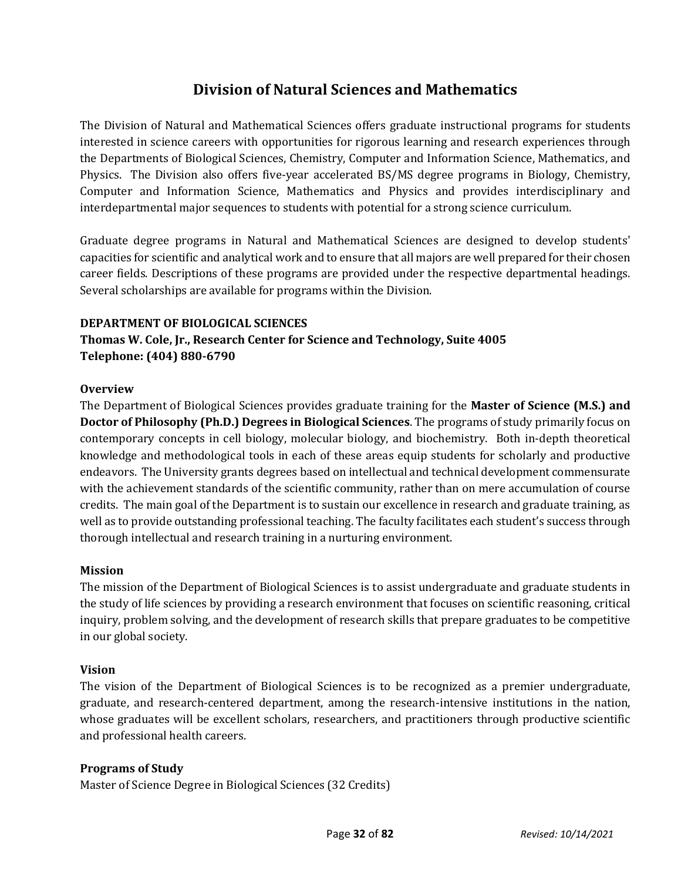# **Division of Natural Sciences and Mathematics**

<span id="page-31-0"></span>The Division of Natural and Mathematical Sciences offers graduate instructional programs for students interested in science careers with opportunities for rigorous learning and research experiences through the Departments of Biological Sciences, Chemistry, Computer and Information Science, Mathematics, and Physics. The Division also offers five-year accelerated BS/MS degree programs in Biology, Chemistry, Computer and Information Science, Mathematics and Physics and provides interdisciplinary and interdepartmental major sequences to students with potential for a strong science curriculum.

Graduate degree programs in Natural and Mathematical Sciences are designed to develop students' capacities for scientific and analytical work and to ensure that all majors are well prepared for their chosen career fields. Descriptions of these programs are provided under the respective departmental headings. Several scholarships are available for programs within the Division.

#### **DEPARTMENT OF BIOLOGICAL SCIENCES**

# **Thomas W. Cole, Jr., Research Center for Science and Technology, Suite 4005 Telephone: (404) 880-6790**

#### **Overview**

The Department of Biological Sciences provides graduate training for the **Master of Science (M.S.) and Doctor of Philosophy (Ph.D.) Degrees in Biological Sciences**. The programs of study primarily focus on contemporary concepts in cell biology, molecular biology, and biochemistry. Both in-depth theoretical knowledge and methodological tools in each of these areas equip students for scholarly and productive endeavors. The University grants degrees based on intellectual and technical development commensurate with the achievement standards of the scientific community, rather than on mere accumulation of course credits. The main goal of the Department is to sustain our excellence in research and graduate training, as well as to provide outstanding professional teaching. The faculty facilitates each student's success through thorough intellectual and research training in a nurturing environment.

#### **Mission**

The mission of the Department of Biological Sciences is to assist undergraduate and graduate students in the study of life sciences by providing a research environment that focuses on scientific reasoning, critical inquiry, problem solving, and the development of research skills that prepare graduates to be competitive in our global society.

## **Vision**

The vision of the Department of Biological Sciences is to be recognized as a premier undergraduate, graduate, and research-centered department, among the research-intensive institutions in the nation, whose graduates will be excellent scholars, researchers, and practitioners through productive scientific and professional health careers.

#### **Programs of Study**

Master of Science Degree in Biological Sciences (32 Credits)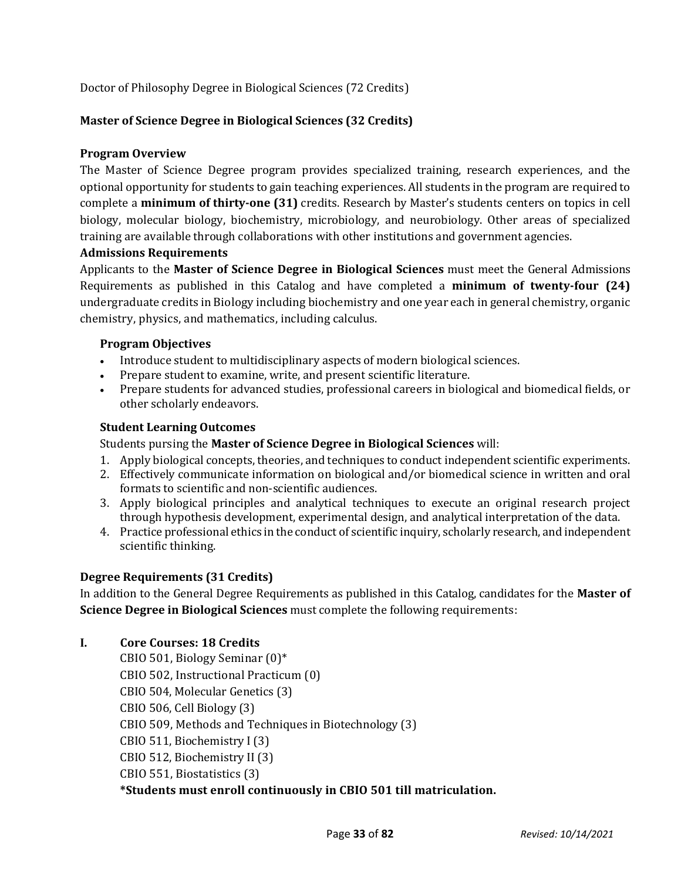Doctor of Philosophy Degree in Biological Sciences (72 Credits)

## **Master of Science Degree in Biological Sciences (32 Credits)**

## **Program Overview**

The Master of Science Degree program provides specialized training, research experiences, and the optional opportunity for students to gain teaching experiences. All students in the program are required to complete a **minimum of thirty-one (31)** credits. Research by Master's students centers on topics in cell biology, molecular biology, biochemistry, microbiology, and neurobiology. Other areas of specialized training are available through collaborations with other institutions and government agencies.

## **Admissions Requirements**

Applicants to the **Master of Science Degree in Biological Sciences** must meet the General Admissions Requirements as published in this Catalog and have completed a **minimum of twenty-four (24)**  undergraduate credits in Biology including biochemistry and one year each in general chemistry, organic chemistry, physics, and mathematics, including calculus.

## **Program Objectives**

- Introduce student to multidisciplinary aspects of modern biological sciences.
- Prepare student to examine, write, and present scientific literature.
- Prepare students for advanced studies, professional careers in biological and biomedical fields, or other scholarly endeavors.

## **Student Learning Outcomes**

Students pursing the **Master of Science Degree in Biological Sciences** will:

- 1. Apply biological concepts, theories, and techniques to conduct independent scientific experiments.
- 2. Effectively communicate information on biological and/or biomedical science in written and oral formats to scientific and non-scientific audiences.
- 3. Apply biological principles and analytical techniques to execute an original research project through hypothesis development, experimental design, and analytical interpretation of the data.
- 4. Practice professional ethics in the conduct of scientific inquiry, scholarly research, and independent scientific thinking.

# **Degree Requirements (31 Credits)**

In addition to the General Degree Requirements as published in this Catalog, candidates for the **Master of Science Degree in Biological Sciences** must complete the following requirements:

**I. Core Courses: 18 Credits**

CBIO 501, Biology Seminar (0)\* CBIO 502, Instructional Practicum (0) CBIO 504, Molecular Genetics (3) CBIO 506, Cell Biology (3) CBIO 509, Methods and Techniques in Biotechnology (3) CBIO 511, Biochemistry I (3) CBIO 512, Biochemistry II (3) CBIO 551, Biostatistics (3) **\*Students must enroll continuously in CBIO 501 till matriculation.**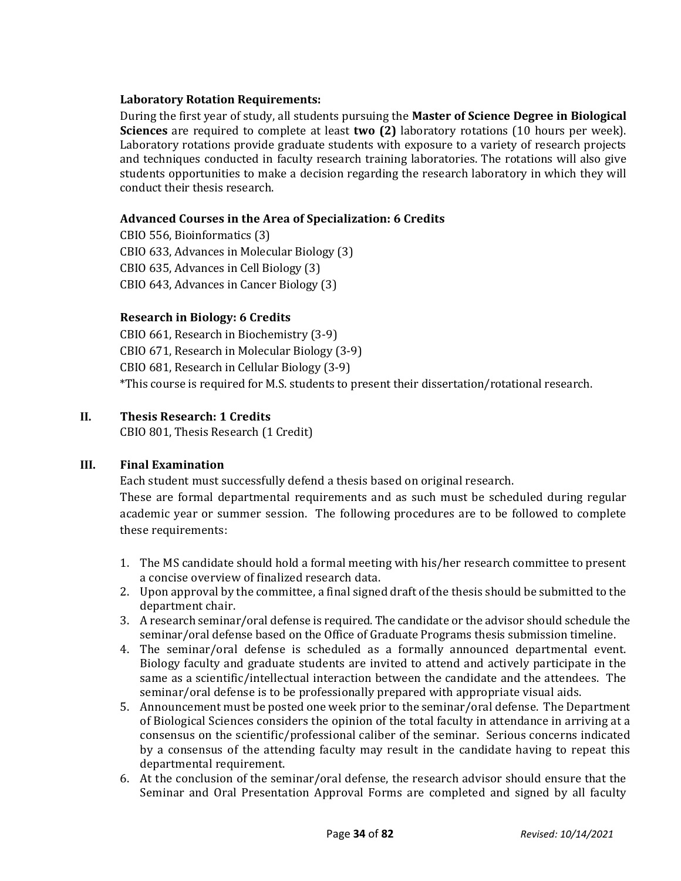## **Laboratory Rotation Requirements:**

During the first year of study, all students pursuing the **Master of Science Degree in Biological Sciences** are required to complete at least **two (2)** laboratory rotations (10 hours per week). Laboratory rotations provide graduate students with exposure to a variety of research projects and techniques conducted in faculty research training laboratories. The rotations will also give students opportunities to make a decision regarding the research laboratory in which they will conduct their thesis research.

## **Advanced Courses in the Area of Specialization: 6 Credits**

CBIO 556, Bioinformatics (3) CBIO 633, Advances in Molecular Biology (3) CBIO 635, Advances in Cell Biology (3) CBIO 643, Advances in Cancer Biology (3)

## **Research in Biology: 6 Credits**

CBIO 661, Research in Biochemistry (3-9) CBIO 671, Research in Molecular Biology (3-9) CBIO 681, Research in Cellular Biology (3-9) \*This course is required for M.S. students to present their dissertation/rotational research.

## **II. Thesis Research: 1 Credits**

CBIO 801, Thesis Research (1 Credit)

## **III. Final Examination**

Each student must successfully defend a thesis based on original research.

These are formal departmental requirements and as such must be scheduled during regular academic year or summer session. The following procedures are to be followed to complete these requirements:

- 1. The MS candidate should hold a formal meeting with his/her research committee to present a concise overview of finalized research data.
- 2. Upon approval by the committee, a final signed draft of the thesis should be submitted to the department chair.
- 3. A research seminar/oral defense is required. The candidate or the advisor should schedule the seminar/oral defense based on the Office of Graduate Programs thesis submission timeline.
- 4. The seminar/oral defense is scheduled as a formally announced departmental event. Biology faculty and graduate students are invited to attend and actively participate in the same as a scientific/intellectual interaction between the candidate and the attendees. The seminar/oral defense is to be professionally prepared with appropriate visual aids.
- 5. Announcement must be posted one week prior to the seminar/oral defense. The Department of Biological Sciences considers the opinion of the total faculty in attendance in arriving at a consensus on the scientific/professional caliber of the seminar. Serious concerns indicated by a consensus of the attending faculty may result in the candidate having to repeat this departmental requirement.
- 6. At the conclusion of the seminar/oral defense, the research advisor should ensure that the Seminar and Oral Presentation Approval Forms are completed and signed by all faculty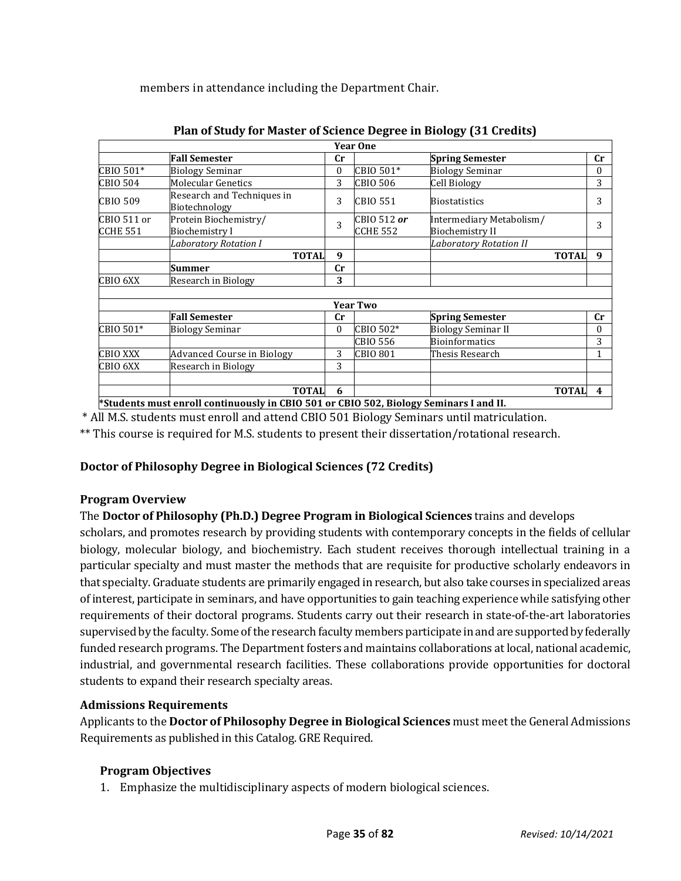members in attendance including the Department Chair.

|                                    |                                                                                                     |           | <b>Year One</b>         |                                                    |             |
|------------------------------------|-----------------------------------------------------------------------------------------------------|-----------|-------------------------|----------------------------------------------------|-------------|
|                                    | <b>Fall Semester</b>                                                                                | Cr        |                         | <b>Spring Semester</b>                             | $_{\rm Cr}$ |
| CBIO 501*                          | <b>Biology Seminar</b>                                                                              | 0         | CBIO 501*               | <b>Biology Seminar</b>                             | 0           |
| CBIO 504                           | <b>Molecular Genetics</b>                                                                           | 3         | <b>CBIO 506</b>         | Cell Biology                                       | 3           |
| CBIO 509                           | Research and Techniques in<br>Biotechnology                                                         | 3         | <b>CBIO 551</b>         | <b>Biostatistics</b>                               | 3           |
| CBIO 511 or<br>CCHE <sub>551</sub> | Protein Biochemistry/<br>Biochemistry I                                                             | 3         | CBIO 512 or<br>CCHE 552 | Intermediary Metabolism/<br><b>Biochemistry II</b> | 3           |
|                                    | <b>Laboratory Rotation I</b>                                                                        |           |                         | <b>Laboratory Rotation II</b>                      |             |
|                                    | <b>TOTAL</b>                                                                                        | 9         |                         | <b>TOTAL</b>                                       | 9           |
|                                    | Summer                                                                                              | <b>Cr</b> |                         |                                                    |             |
| CBIO 6XX                           | Research in Biology                                                                                 | 3         |                         |                                                    |             |
|                                    |                                                                                                     |           |                         |                                                    |             |
|                                    |                                                                                                     |           | <b>Year Two</b>         |                                                    |             |
|                                    | <b>Fall Semester</b>                                                                                | Cr        |                         | <b>Spring Semester</b>                             | cr          |
| CBIO 501*                          | <b>Biology Seminar</b>                                                                              | $\Omega$  | CBIO 502*               | <b>Biology Seminar II</b>                          | 0           |
|                                    |                                                                                                     |           | <b>CBIO 556</b>         | <b>Bioinformatics</b>                              | 3           |
| <b>CBIO XXX</b>                    | <b>Advanced Course in Biology</b>                                                                   | 3         | <b>CBIO 801</b>         | Thesis Research                                    |             |
| CBIO 6XX                           | Research in Biology                                                                                 | 3         |                         |                                                    |             |
|                                    |                                                                                                     |           |                         |                                                    |             |
|                                    | <b>TOTAL</b><br>Chudonte must annell continuously in CDIO F04 on CDIO F09, Dislagy Cominous Lond II | 6         |                         | <b>TOTAL</b>                                       | 4           |

**Plan of Study for Master of Science Degree in Biology (31 Credits)**

**\*Students must enroll continuously in CBIO 501 or CBIO 502, Biology Seminars I and II.**

\* All M.S. students must enroll and attend CBIO 501 Biology Seminars until matriculation.

\*\* This course is required for M.S. students to present their dissertation/rotational research.

## **Doctor of Philosophy Degree in Biological Sciences (72 Credits)**

## **Program Overview**

## The **Doctor of Philosophy (Ph.D.) Degree Program in Biological Sciences** trains and develops

scholars, and promotes research by providing students with contemporary concepts in the fields of cellular biology, molecular biology, and biochemistry. Each student receives thorough intellectual training in a particular specialty and must master the methods that are requisite for productive scholarly endeavors in that specialty. Graduate students are primarily engaged in research, but also take courses in specialized areas of interest, participate in seminars, and have opportunities to gain teaching experience while satisfying other requirements of their doctoral programs. Students carry out their research in state-of-the-art laboratories supervised by the faculty. Some of the research faculty members participate in and are supported by federally funded research programs. The Department fosters and maintains collaborations at local, national academic, industrial, and governmental research facilities. These collaborations provide opportunities for doctoral students to expand their research specialty areas.

## **Admissions Requirements**

Applicants to the **Doctor of Philosophy Degree in Biological Sciences** must meet the General Admissions Requirements as published in this Catalog. GRE Required.

## **Program Objectives**

1. Emphasize the multidisciplinary aspects of modern biological sciences.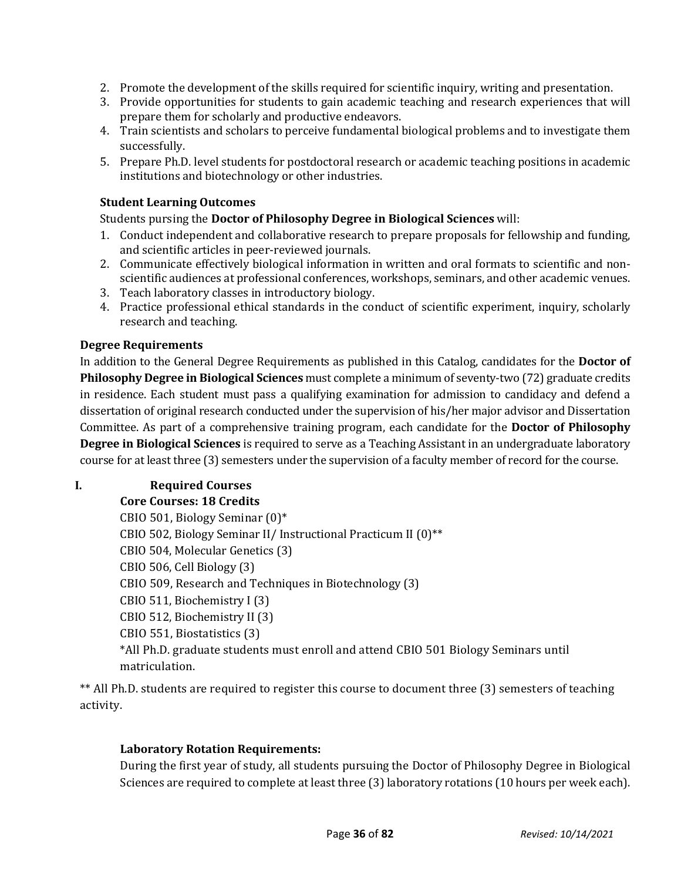- 2. Promote the development of the skills required for scientific inquiry, writing and presentation.
- 3. Provide opportunities for students to gain academic teaching and research experiences that will prepare them for scholarly and productive endeavors.
- 4. Train scientists and scholars to perceive fundamental biological problems and to investigate them successfully.
- 5. Prepare Ph.D. level students for postdoctoral research or academic teaching positions in academic institutions and biotechnology or other industries.

## **Student Learning Outcomes**

Students pursing the **Doctor of Philosophy Degree in Biological Sciences** will:

- 1. Conduct independent and collaborative research to prepare proposals for fellowship and funding, and scientific articles in peer-reviewed journals.
- 2. Communicate effectively biological information in written and oral formats to scientific and nonscientific audiences at professional conferences, workshops, seminars, and other academic venues.
- 3. Teach laboratory classes in introductory biology.
- 4. Practice professional ethical standards in the conduct of scientific experiment, inquiry, scholarly research and teaching.

## **Degree Requirements**

In addition to the General Degree Requirements as published in this Catalog, candidates for the **Doctor of Philosophy Degree in Biological Sciences** must complete a minimum of seventy-two (72) graduate credits in residence. Each student must pass a qualifying examination for admission to candidacy and defend a dissertation of original research conducted under the supervision of his/her major advisor and Dissertation Committee. As part of a comprehensive training program, each candidate for the **Doctor of Philosophy Degree in Biological Sciences** is required to serve as a Teaching Assistant in an undergraduate laboratory course for at least three (3) semesters under the supervision of a faculty member of record for the course.

## **I. Required Courses**

**Core Courses: 18 Credits**

CBIO 501, Biology Seminar (0)\* CBIO 502, Biology Seminar II/ Instructional Practicum II (0)\*\* CBIO 504, Molecular Genetics (3) CBIO 506, Cell Biology (3) CBIO 509, Research and Techniques in Biotechnology (3) CBIO 511, Biochemistry I (3) CBIO 512, Biochemistry II (3) CBIO 551, Biostatistics (3) \*All Ph.D. graduate students must enroll and attend CBIO 501 Biology Seminars until matriculation.

\*\* All Ph.D. students are required to register this course to document three (3) semesters of teaching activity.

## **Laboratory Rotation Requirements:**

During the first year of study, all students pursuing the Doctor of Philosophy Degree in Biological Sciences are required to complete at least three (3) laboratory rotations (10 hours per week each).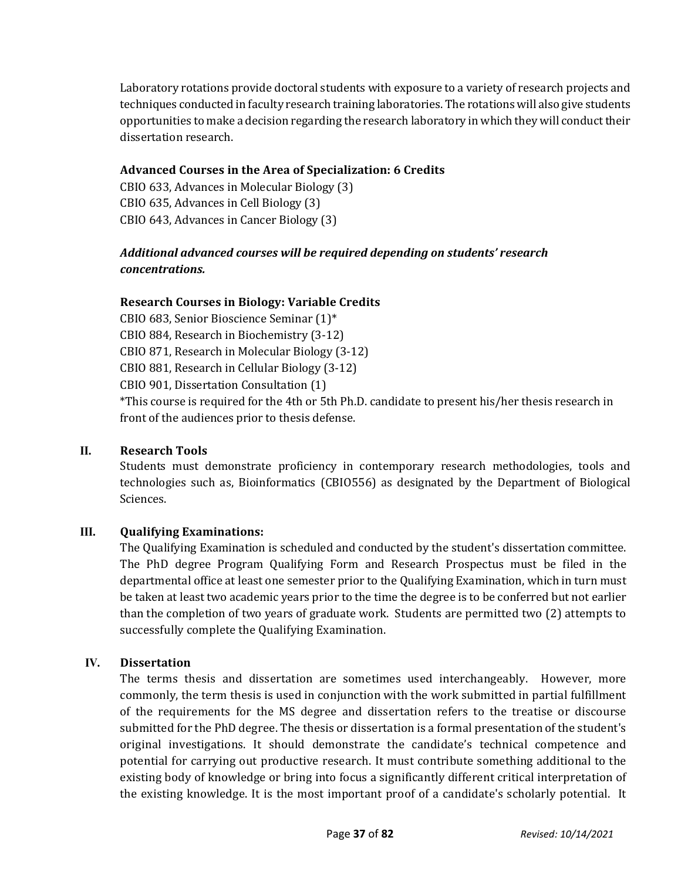Laboratory rotations provide doctoral students with exposure to a variety of research projects and techniques conducted in faculty research training laboratories. The rotations will also give students opportunities to make a decision regarding the research laboratory in which they will conduct their dissertation research.

# **Advanced Courses in the Area of Specialization: 6 Credits**

CBIO 633, Advances in Molecular Biology (3) CBIO 635, Advances in Cell Biology (3) CBIO 643, Advances in Cancer Biology (3)

# *Additional advanced courses will be required depending on students' research concentrations.*

# **Research Courses in Biology: Variable Credits**

CBIO 683, Senior Bioscience Seminar (1)\*

CBIO 884, Research in Biochemistry (3-12)

CBIO 871, Research in Molecular Biology (3-12)

CBIO 881, Research in Cellular Biology (3-12)

CBIO 901, Dissertation Consultation (1)

\*This course is required for the 4th or 5th Ph.D. candidate to present his/her thesis research in front of the audiences prior to thesis defense.

# **II. Research Tools**

Students must demonstrate proficiency in contemporary research methodologies, tools and technologies such as, Bioinformatics (CBIO556) as designated by the Department of Biological Sciences.

# **III. Qualifying Examinations:**

The Qualifying Examination is scheduled and conducted by the student's dissertation committee. The PhD degree Program Qualifying Form and Research Prospectus must be filed in the departmental office at least one semester prior to the Qualifying Examination, which in turn must be taken at least two academic years prior to the time the degree is to be conferred but not earlier than the completion of two years of graduate work. Students are permitted two (2) attempts to successfully complete the Qualifying Examination.

# **IV. Dissertation**

The terms thesis and dissertation are sometimes used interchangeably. However, more commonly, the term thesis is used in conjunction with the work submitted in partial fulfillment of the requirements for the MS degree and dissertation refers to the treatise or discourse submitted for the PhD degree. The thesis or dissertation is a formal presentation of the student's original investigations. It should demonstrate the candidate's technical competence and potential for carrying out productive research. It must contribute something additional to the existing body of knowledge or bring into focus a significantly different critical interpretation of the existing knowledge. It is the most important proof of a candidate's scholarly potential. It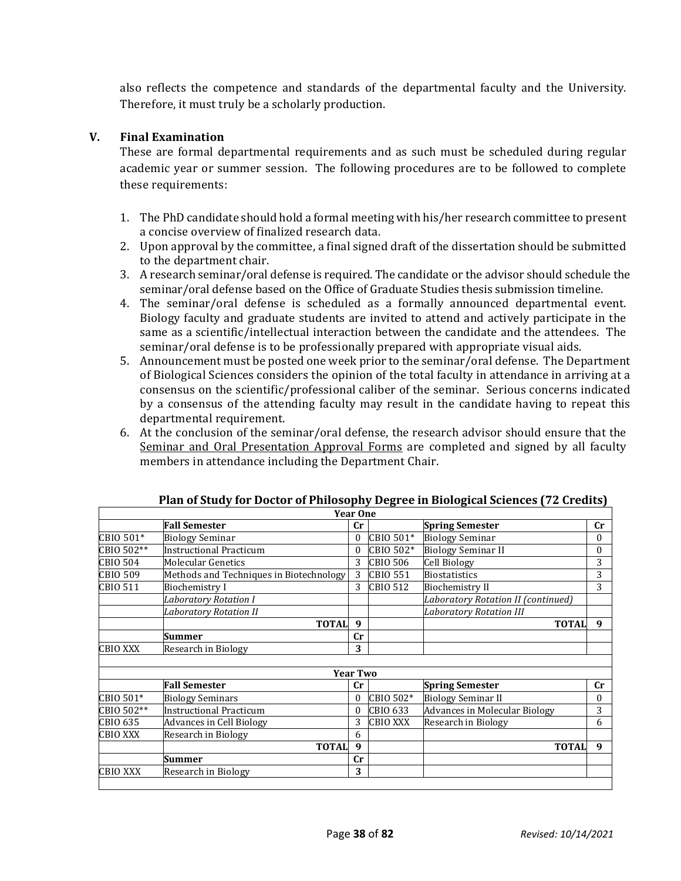also reflects the competence and standards of the departmental faculty and the University. Therefore, it must truly be a scholarly production.

# **V. Final Examination**

These are formal departmental requirements and as such must be scheduled during regular academic year or summer session. The following procedures are to be followed to complete these requirements:

- 1. The PhD candidate should hold a formal meeting with his/her research committee to present a concise overview of finalized research data.
- 2. Upon approval by the committee, a final signed draft of the dissertation should be submitted to the department chair.
- 3. A research seminar/oral defense is required. The candidate or the advisor should schedule the seminar/oral defense based on the Office of Graduate Studies thesis submission timeline.
- 4. The seminar/oral defense is scheduled as a formally announced departmental event. Biology faculty and graduate students are invited to attend and actively participate in the same as a scientific/intellectual interaction between the candidate and the attendees. The seminar/oral defense is to be professionally prepared with appropriate visual aids.
- 5. Announcement must be posted one week prior to the seminar/oral defense. The Department of Biological Sciences considers the opinion of the total faculty in attendance in arriving at a consensus on the scientific/professional caliber of the seminar. Serious concerns indicated by a consensus of the attending faculty may result in the candidate having to repeat this departmental requirement.
- 6. At the conclusion of the seminar/oral defense, the research advisor should ensure that the Seminar and Oral Presentation Approval Forms are completed and signed by all faculty members in attendance including the Department Chair.

|                 |                                         | <b>Year One</b> |                 |                                      |             |
|-----------------|-----------------------------------------|-----------------|-----------------|--------------------------------------|-------------|
|                 | <b>Fall Semester</b>                    | cr              |                 | <b>Spring Semester</b>               | $_{\rm Cr}$ |
| CBIO 501*       | <b>Biology Seminar</b>                  | 0               | CBIO 501*       | <b>Biology Seminar</b>               | 0           |
| CBIO 502**      | Instructional Practicum                 | 0               | CBIO 502*       | <b>Biology Seminar II</b>            | $\theta$    |
| <b>CBIO 504</b> | <b>Molecular Genetics</b>               | 3               | <b>CBIO 506</b> | <b>Cell Biology</b>                  | 3           |
| <b>CBIO 509</b> | Methods and Techniques in Biotechnology | 3               | <b>CBIO 551</b> | <b>Biostatistics</b>                 | 3           |
| CBIO 511        | <b>Biochemistry I</b>                   | 3               | <b>CBIO 512</b> | <b>Biochemistry II</b>               | 3           |
|                 | Laboratory Rotation I                   |                 |                 | Laboratory Rotation II (continued)   |             |
|                 | Laboratory Rotation II                  |                 |                 | <b>Laboratory Rotation III</b>       |             |
|                 | <b>TOTAL</b>                            | 9               |                 | <b>TOTAL</b>                         | 9           |
|                 | Summer                                  | cr              |                 |                                      |             |
| <b>CBIO XXX</b> | Research in Biology                     | 3               |                 |                                      |             |
|                 |                                         |                 |                 |                                      |             |
|                 |                                         | <b>Year Two</b> |                 |                                      |             |
|                 | <b>Fall Semester</b>                    | cr              |                 | <b>Spring Semester</b>               | cr          |
| CBIO 501*       | <b>Biology Seminars</b>                 | 0               | CBIO 502*       | <b>Biology Seminar II</b>            | 0           |
| CBIO 502**      | <b>Instructional Practicum</b>          |                 | CBIO 633        | <b>Advances in Molecular Biology</b> | 3           |
| CBIO 635        | <b>Advances in Cell Biology</b>         | 3               | <b>CBIO XXX</b> | Research in Biology                  | 6           |
| <b>CBIO XXX</b> | Research in Biology                     | 6               |                 |                                      |             |
|                 | <b>TOTAL</b>                            | 9               |                 | <b>TOTAL</b>                         | 9           |
|                 | <b>Summer</b>                           | cr              |                 |                                      |             |
| <b>CBIO XXX</b> | Research in Biology                     | 3               |                 |                                      |             |

| Plan of Study for Doctor of Philosophy Degree in Biological Sciences (72 Credits) |
|-----------------------------------------------------------------------------------|
|-----------------------------------------------------------------------------------|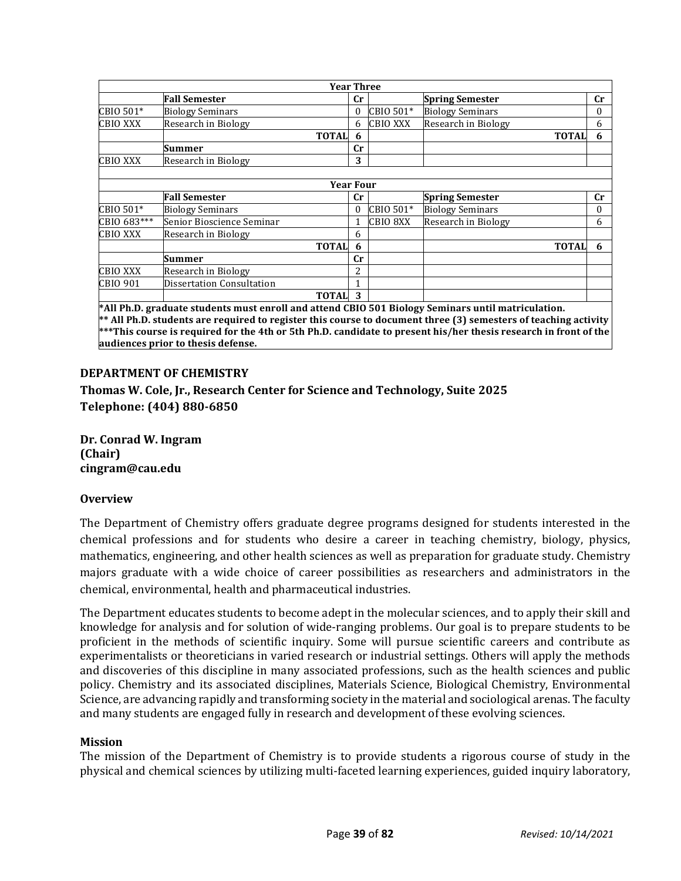|                 | <b>Year Three</b>         |    |                 |                         |             |
|-----------------|---------------------------|----|-----------------|-------------------------|-------------|
|                 | <b>Fall Semester</b>      | cr |                 | <b>Spring Semester</b>  | $_{\rm Cr}$ |
| CBIO 501*       | <b>Biology Seminars</b>   | 0  | CBIO 501*       | <b>Biology Seminars</b> | $\Omega$    |
| <b>CBIO XXX</b> | Research in Biology       | 6  | <b>CBIO XXX</b> | Research in Biology     | 6           |
|                 | <b>TOTAL</b>              | 6  |                 | <b>TOTAL</b>            | 6           |
|                 | Summer                    | cr |                 |                         |             |
| <b>CBIO XXX</b> | Research in Biology       | 3  |                 |                         |             |
|                 |                           |    |                 |                         |             |
|                 | <b>Year Four</b>          |    |                 |                         |             |
|                 | <b>Fall Semester</b>      | cr |                 | <b>Spring Semester</b>  | cr          |
| CBIO 501*       | <b>Biology Seminars</b>   | 0  | CBIO 501*       | <b>Biology Seminars</b> | $\Omega$    |
| CBIO 683***     | Senior Bioscience Seminar |    | CBIO 8XX        | Research in Biology     | 6           |
| <b>CBIO XXX</b> | Research in Biology       | 6  |                 |                         |             |
|                 | <b>TOTAL</b>              | 6  |                 | <b>TOTAL</b>            | 6           |
|                 | Summer                    | cr |                 |                         |             |
| <b>CBIO XXX</b> | Research in Biology       | 2  |                 |                         |             |
| CBIO 901        | Dissertation Consultation |    |                 |                         |             |
|                 | <b>TOTAL</b>              | 3  |                 |                         |             |

**\*All Ph.D. graduate students must enroll and attend CBIO 501 Biology Seminars until matriculation. \*\* All Ph.D. students are required to register this course to document three (3) semesters of teaching activity \*\*\*This course is required for the 4th or 5th Ph.D. candidate to present his/her thesis research in front of the audiences prior to thesis defense.**

#### **DEPARTMENT OF CHEMISTRY**

**Thomas W. Cole, Jr., Research Center for Science and Technology, Suite 2025 Telephone: (404) 880-6850**

**Dr. Conrad W. Ingram (Chair) cingram@cau.edu**

#### **Overview**

The Department of Chemistry offers graduate degree programs designed for students interested in the chemical professions and for students who desire a career in teaching chemistry, biology, physics, mathematics, engineering, and other health sciences as well as preparation for graduate study. Chemistry majors graduate with a wide choice of career possibilities as researchers and administrators in the chemical, environmental, health and pharmaceutical industries.

The Department educates students to become adept in the molecular sciences, and to apply their skill and knowledge for analysis and for solution of wide-ranging problems. Our goal is to prepare students to be proficient in the methods of scientific inquiry. Some will pursue scientific careers and contribute as experimentalists or theoreticians in varied research or industrial settings. Others will apply the methods and discoveries of this discipline in many associated professions, such as the health sciences and public policy. Chemistry and its associated disciplines, Materials Science, Biological Chemistry, Environmental Science, are advancing rapidly and transforming society in the material and sociological arenas. The faculty and many students are engaged fully in research and development of these evolving sciences.

#### **Mission**

The mission of the Department of Chemistry is to provide students a rigorous course of study in the physical and chemical sciences by utilizing multi-faceted learning experiences, guided inquiry laboratory,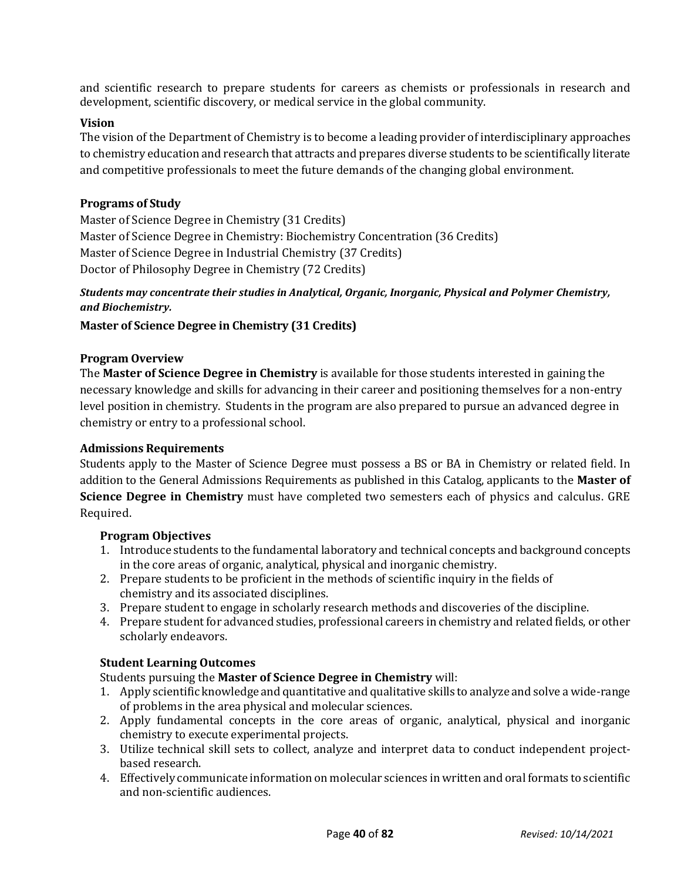and scientific research to prepare students for careers as chemists or professionals in research and development, scientific discovery, or medical service in the global community.

#### **Vision**

The vision of the Department of Chemistry is to become a leading provider of interdisciplinary approaches to chemistry education and research that attracts and prepares diverse students to be scientifically literate and competitive professionals to meet the future demands of the changing global environment.

#### **Programs of Study**

Master of Science Degree in Chemistry (31 Credits) Master of Science Degree in Chemistry: Biochemistry Concentration (36 Credits) Master of Science Degree in Industrial Chemistry (37 Credits) Doctor of Philosophy Degree in Chemistry (72 Credits)

# *Students may concentrate their studies in Analytical, Organic, Inorganic, Physical and Polymer Chemistry, and Biochemistry.*

**Master of Science Degree in Chemistry (31 Credits)**

#### **Program Overview**

The **Master of Science Degree in Chemistry** is available for those students interested in gaining the necessary knowledge and skills for advancing in their career and positioning themselves for a non-entry level position in chemistry. Students in the program are also prepared to pursue an advanced degree in chemistry or entry to a professional school.

#### **Admissions Requirements**

Students apply to the Master of Science Degree must possess a BS or BA in Chemistry or related field. In addition to the General Admissions Requirements as published in this Catalog, applicants to the **Master of Science Degree in Chemistry** must have completed two semesters each of physics and calculus. GRE Required.

#### **Program Objectives**

- 1. Introduce students to the fundamental laboratory and technical concepts and background concepts in the core areas of organic, analytical, physical and inorganic chemistry.
- 2. Prepare students to be proficient in the methods of scientific inquiry in the fields of chemistry and its associated disciplines.
- 3. Prepare student to engage in scholarly research methods and discoveries of the discipline.
- 4. Prepare student for advanced studies, professional careers in chemistry and related fields, or other scholarly endeavors.

#### **Student Learning Outcomes**

Students pursuing the **Master of Science Degree in Chemistry** will:

- 1. Apply scientific knowledge and quantitative and qualitative skills to analyze and solve a wide-range of problems in the area physical and molecular sciences.
- 2. Apply fundamental concepts in the core areas of organic, analytical, physical and inorganic chemistry to execute experimental projects.
- 3. Utilize technical skill sets to collect, analyze and interpret data to conduct independent projectbased research.
- 4. Effectively communicate information on molecular sciences in written and oral formats to scientific and non-scientific audiences.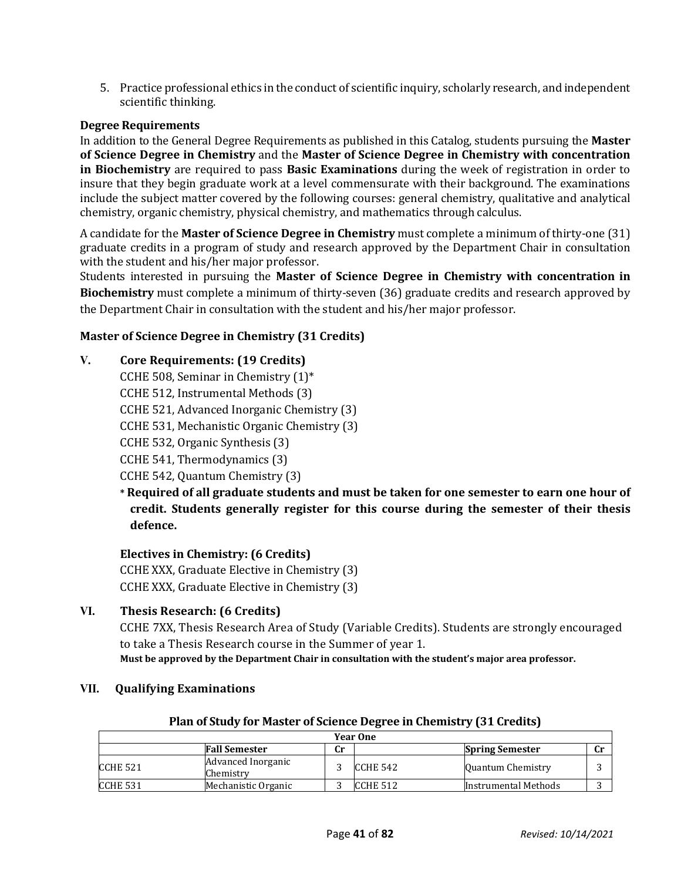5. Practice professional ethics in the conduct of scientific inquiry, scholarly research, and independent scientific thinking.

# **Degree Requirements**

In addition to the General Degree Requirements as published in this Catalog, students pursuing the **Master of Science Degree in Chemistry** and the **Master of Science Degree in Chemistry with concentration in Biochemistry** are required to pass **Basic Examinations** during the week of registration in order to insure that they begin graduate work at a level commensurate with their background. The examinations include the subject matter covered by the following courses: general chemistry, qualitative and analytical chemistry, organic chemistry, physical chemistry, and mathematics through calculus.

A candidate for the **Master of Science Degree in Chemistry** must complete a minimum of thirty-one (31) graduate credits in a program of study and research approved by the Department Chair in consultation with the student and his/her major professor.

Students interested in pursuing the **Master of Science Degree in Chemistry with concentration in Biochemistry** must complete a minimum of thirty-seven (36) graduate credits and research approved by the Department Chair in consultation with the student and his/her major professor.

# **Master of Science Degree in Chemistry (31 Credits)**

# **V. Core Requirements: (19 Credits)**

CCHE 508, Seminar in Chemistry  $(1)^*$ 

CCHE 512, Instrumental Methods (3)

CCHE 521, Advanced Inorganic Chemistry (3)

CCHE 531, Mechanistic Organic Chemistry (3)

CCHE 532, Organic Synthesis (3)

CCHE 541, Thermodynamics (3)

CCHE 542, Quantum Chemistry (3)

**\* Required of all graduate students and must be taken for one semester to earn one hour of credit. Students generally register for this course during the semester of their thesis defence.**

# **Electives in Chemistry: (6 Credits)**

CCHE XXX, Graduate Elective in Chemistry (3) CCHE XXX, Graduate Elective in Chemistry (3)

# **VI. Thesis Research: (6 Credits)**

CCHE 7XX, Thesis Research Area of Study (Variable Credits). Students are strongly encouraged to take a Thesis Research course in the Summer of year 1. **Must be approved by the Department Chair in consultation with the student's major area professor.**

# **VII. Qualifying Examinations**

# **Plan of Study for Master of Science Degree in Chemistry (31 Credits)**

| <b>Year One</b> |                                 |    |          |                        |  |  |  |
|-----------------|---------------------------------|----|----------|------------------------|--|--|--|
|                 | <b>Fall Semester</b>            | Cr |          | <b>Spring Semester</b> |  |  |  |
| ICCHE 521       | Advanced Inorganic<br>Chemistry |    | CCHE 542 | Quantum Chemistry      |  |  |  |
| ICCHE 531       | Mechanistic Organic             |    | CCHE 512 | Instrumental Methods   |  |  |  |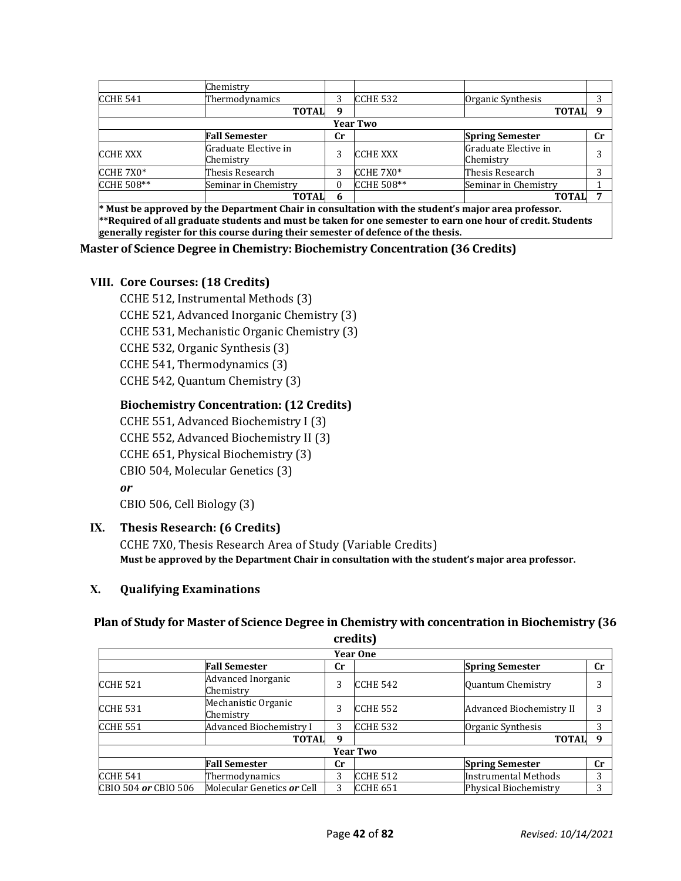|                   | Chemistry                         |    |                   |                                   |           |
|-------------------|-----------------------------------|----|-------------------|-----------------------------------|-----------|
| CCHE 541          | Thermodynamics                    | 3  | <b>CCHE 532</b>   | Organic Synthesis                 |           |
|                   | <b>TOTAL</b>                      | q  |                   | <b>TOTAL</b>                      | $\Omega$  |
|                   |                                   |    | <b>Year Two</b>   |                                   |           |
|                   | <b>Fall Semester</b>              | Cr |                   | <b>Spring Semester</b>            | <b>Cr</b> |
| <b>CCHE XXX</b>   | Graduate Elective in<br>Chemistry | 3  | <b>CCHE XXX</b>   | Graduate Elective in<br>Chemistry |           |
| <b>CCHE 7X0*</b>  | Thesis Research                   | 3  | CCHE 7X0*         | Thesis Research                   | າ         |
| <b>CCHE 508**</b> | Seminar in Chemistry              |    | <b>CCHE 508**</b> | Seminar in Chemistry              |           |
|                   | <b>TOTAL</b>                      | 6  |                   | <b>TOTAL</b>                      |           |

**\* Must be approved by the Department Chair in consultation with the student's major area professor. \*\*Required of all graduate students and must be taken for one semester to earn one hour of credit. Students generally register for this course during their semester of defence of the thesis.**

#### **Master of Science Degree in Chemistry: Biochemistry Concentration (36 Credits)**

#### **VIII. Core Courses: (18 Credits)**

CCHE 512, Instrumental Methods (3) CCHE 521, Advanced Inorganic Chemistry (3) CCHE 531, Mechanistic Organic Chemistry (3) CCHE 532, Organic Synthesis (3) CCHE 541, Thermodynamics (3) CCHE 542, Quantum Chemistry (3)

#### **Biochemistry Concentration: (12 Credits)**

CCHE 551, Advanced Biochemistry I (3) CCHE 552, Advanced Biochemistry II (3) CCHE 651, Physical Biochemistry (3) CBIO 504, Molecular Genetics (3) *or* CBIO 506, Cell Biology (3)

#### **IX. Thesis Research: (6 Credits)**

CCHE 7X0, Thesis Research Area of Study (Variable Credits) **Must be approved by the Department Chair in consultation with the student's major area professor.**

#### **X. Qualifying Examinations**

#### **Plan of Study for Master of Science Degree in Chemistry with concentration in Biochemistry (36**

|                      |                                  |             | credits)        |                             |    |
|----------------------|----------------------------------|-------------|-----------------|-----------------------------|----|
|                      |                                  |             | <b>Year One</b> |                             |    |
|                      | <b>Fall Semester</b>             | $_{\rm Cr}$ |                 | <b>Spring Semester</b>      | cr |
| CCHE 521             | Advanced Inorganic<br>Chemistry  | 3           | <b>CCHE 542</b> | Quantum Chemistry           |    |
| <b>CCHE 531</b>      | Mechanistic Organic<br>Chemistry | 3           | <b>CCHE 552</b> | Advanced Biochemistry II    | 3  |
| <b>CCHE 551</b>      | Advanced Biochemistry I          | 3           | <b>CCHE 532</b> | Organic Synthesis           | 3  |
|                      | <b>TOTAL</b>                     | 9           |                 | <b>TOTAL</b>                | 9  |
|                      |                                  |             | <b>Year Two</b> |                             |    |
|                      | <b>Fall Semester</b>             | $_{\rm Cr}$ |                 | <b>Spring Semester</b>      | cr |
| <b>CCHE 541</b>      | Thermodynamics                   | 3           | <b>CCHE 512</b> | <b>Instrumental Methods</b> | 3  |
| CBIO 504 or CBIO 506 | Molecular Genetics or Cell       | 3           | <b>CCHE 651</b> | Physical Biochemistry       | 3  |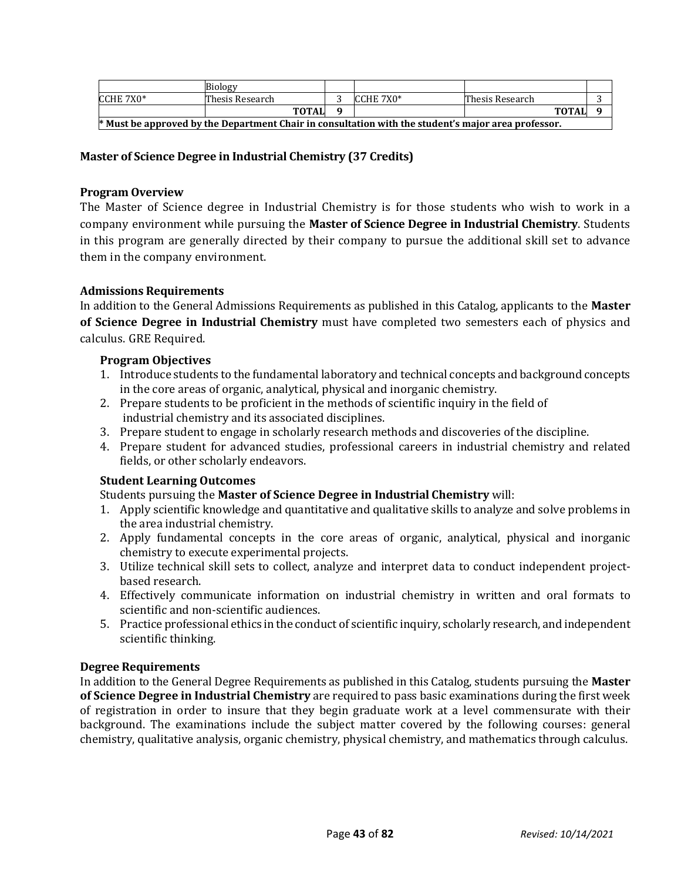|                                                                                                     | <b>Biology</b>  |  |           |                 |  |  |  |  |
|-----------------------------------------------------------------------------------------------------|-----------------|--|-----------|-----------------|--|--|--|--|
| $ICCHE 7X0*$                                                                                        | Thesis Research |  | CCHE 7X0* | Thesis Research |  |  |  |  |
|                                                                                                     | <b>TOTAL</b>    |  |           | <b>TOTAL</b>    |  |  |  |  |
| * Must be approved by the Department Chair in consultation with the student's major area professor. |                 |  |           |                 |  |  |  |  |

# **Master of Science Degree in Industrial Chemistry (37 Credits)**

#### **Program Overview**

The Master of Science degree in Industrial Chemistry is for those students who wish to work in a company environment while pursuing the **Master of Science Degree in Industrial Chemistry**. Students in this program are generally directed by their company to pursue the additional skill set to advance them in the company environment.

#### **Admissions Requirements**

In addition to the General Admissions Requirements as published in this Catalog, applicants to the **Master of Science Degree in Industrial Chemistry** must have completed two semesters each of physics and calculus. GRE Required.

#### **Program Objectives**

- 1. Introduce students to the fundamental laboratory and technical concepts and background concepts in the core areas of organic, analytical, physical and inorganic chemistry.
- 2. Prepare students to be proficient in the methods of scientific inquiry in the field of industrial chemistry and its associated disciplines.
- 3. Prepare student to engage in scholarly research methods and discoveries of the discipline.
- 4. Prepare student for advanced studies, professional careers in industrial chemistry and related fields, or other scholarly endeavors.

#### **Student Learning Outcomes**

Students pursuing the **Master of Science Degree in Industrial Chemistry** will:

- 1. Apply scientific knowledge and quantitative and qualitative skills to analyze and solve problems in the area industrial chemistry.
- 2. Apply fundamental concepts in the core areas of organic, analytical, physical and inorganic chemistry to execute experimental projects.
- 3. Utilize technical skill sets to collect, analyze and interpret data to conduct independent projectbased research.
- 4. Effectively communicate information on industrial chemistry in written and oral formats to scientific and non-scientific audiences.
- 5. Practice professional ethics in the conduct of scientific inquiry, scholarly research, and independent scientific thinking.

#### **Degree Requirements**

In addition to the General Degree Requirements as published in this Catalog, students pursuing the **Master of Science Degree in Industrial Chemistry** are required to pass basic examinations during the first week of registration in order to insure that they begin graduate work at a level commensurate with their background. The examinations include the subject matter covered by the following courses: general chemistry, qualitative analysis, organic chemistry, physical chemistry, and mathematics through calculus.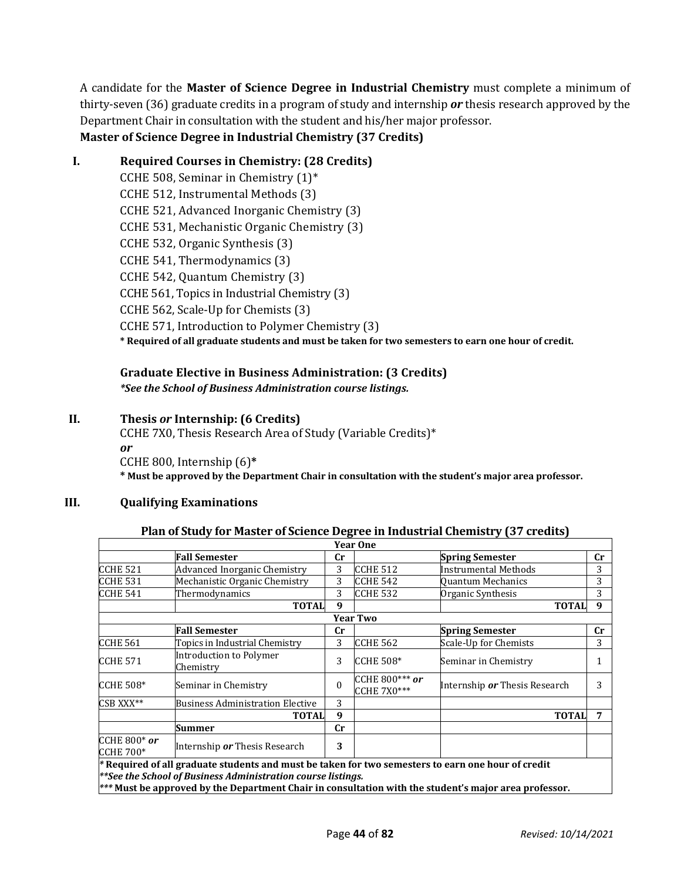A candidate for the **Master of Science Degree in Industrial Chemistry** must complete a minimum of thirty-seven (36) graduate credits in a program of study and internship *or* thesis research approved by the Department Chair in consultation with the student and his/her major professor.

# **Master of Science Degree in Industrial Chemistry (37 Credits)**

# **I. Required Courses in Chemistry: (28 Credits)**

CCHE 508, Seminar in Chemistry  $(1)^*$ CCHE 512, Instrumental Methods (3) CCHE 521, Advanced Inorganic Chemistry (3) CCHE 531, Mechanistic Organic Chemistry (3) CCHE 532, Organic Synthesis (3) CCHE 541, Thermodynamics (3) CCHE 542, Quantum Chemistry (3) CCHE 561, Topics in Industrial Chemistry (3) CCHE 562, Scale-Up for Chemists (3) CCHE 571, Introduction to Polymer Chemistry (3) **\* Required of all graduate students and must be taken for two semesters to earn one hour of credit.**

#### **Graduate Elective in Business Administration: (3 Credits)** *\*See the School of Business Administration course listings.*

# **II. Thesis** *or* **Internship: (6 Credits)**

CCHE 7X0, Thesis Research Area of Study (Variable Credits)\* *or* CCHE 800, Internship (6)**\* \* Must be approved by the Department Chair in consultation with the student's major area professor.**

# **III. Qualifying Examinations**

# **Plan of Study for Master of Science Degree in Industrial Chemistry (37 credits)**

|                                         |                                                                                                       |             | <b>Year One</b>                      |                               |    |
|-----------------------------------------|-------------------------------------------------------------------------------------------------------|-------------|--------------------------------------|-------------------------------|----|
|                                         | <b>Fall Semester</b>                                                                                  | cr          |                                      | <b>Spring Semester</b>        | cr |
| <b>CCHE 521</b>                         | <b>Advanced Inorganic Chemistry</b>                                                                   | 3           | <b>CCHE 512</b>                      | Instrumental Methods          | 3  |
| <b>CCHE 531</b>                         | Mechanistic Organic Chemistry                                                                         | 3           | CCHE 542                             | Quantum Mechanics             | 3  |
| <b>CCHE 541</b>                         | Thermodynamics                                                                                        | 3           | <b>CCHE 532</b>                      | Organic Synthesis             | 3  |
|                                         | <b>TOTAL</b>                                                                                          | 9           |                                      | <b>TOTAL</b>                  | 9  |
|                                         |                                                                                                       |             | <b>Year Two</b>                      |                               |    |
|                                         | <b>Fall Semester</b>                                                                                  | $_{\rm Cr}$ |                                      | <b>Spring Semester</b>        | cr |
| <b>CCHE 561</b>                         | Topics in Industrial Chemistry                                                                        | 3           | <b>CCHE 562</b>                      | Scale-Up for Chemists         | 3  |
| <b>CCHE 571</b>                         | <b>Introduction to Polymer</b><br>Chemistry                                                           | 3           | <b>CCHE 508*</b>                     | Seminar in Chemistry          | 1  |
| <b>CCHE 508*</b>                        | Seminar in Chemistry                                                                                  | $\theta$    | CCHE 800*** or<br><b>CCHE 7X0***</b> | Internship or Thesis Research | 3  |
| CSB XXX**                               | <b>Business Administration Elective</b>                                                               | 3           |                                      |                               |    |
|                                         | <b>TOTAL</b>                                                                                          | 9           |                                      | <b>TOTAL</b>                  | 7  |
|                                         | <b>Summer</b>                                                                                         | $_{\rm Cr}$ |                                      |                               |    |
| <b>CCHE 800* or</b><br><b>CCHE 700*</b> | Internship or Thesis Research                                                                         | 3           |                                      |                               |    |
|                                         | * Required of all graduate students and must be taken for two semesters to earn one hour of credit    |             |                                      |                               |    |
|                                         | **See the School of Business Administration course listings.                                          |             |                                      |                               |    |
|                                         | *** Must be approved by the Department Chair in consultation with the student's major area professor. |             |                                      |                               |    |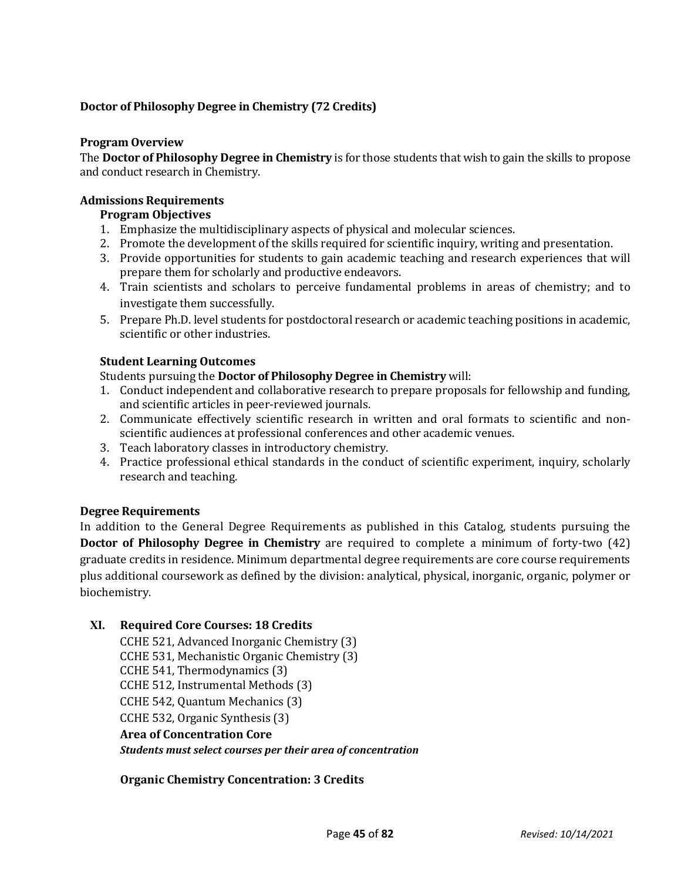# **Doctor of Philosophy Degree in Chemistry (72 Credits)**

#### **Program Overview**

The **Doctor of Philosophy Degree in Chemistry** is for those students that wish to gain the skills to propose and conduct research in Chemistry.

#### **Admissions Requirements**

# **Program Objectives**

- 1. Emphasize the multidisciplinary aspects of physical and molecular sciences.
- 2. Promote the development of the skills required for scientific inquiry, writing and presentation.
- 3. Provide opportunities for students to gain academic teaching and research experiences that will prepare them for scholarly and productive endeavors.
- 4. Train scientists and scholars to perceive fundamental problems in areas of chemistry; and to investigate them successfully.
- 5. Prepare Ph.D. level students for postdoctoral research or academic teaching positions in academic, scientific or other industries.

#### **Student Learning Outcomes**

Students pursuing the **Doctor of Philosophy Degree in Chemistry** will:

- 1. Conduct independent and collaborative research to prepare proposals for fellowship and funding, and scientific articles in peer-reviewed journals.
- 2. Communicate effectively scientific research in written and oral formats to scientific and nonscientific audiences at professional conferences and other academic venues.
- 3. Teach laboratory classes in introductory chemistry.
- 4. Practice professional ethical standards in the conduct of scientific experiment, inquiry, scholarly research and teaching.

#### **Degree Requirements**

In addition to the General Degree Requirements as published in this Catalog, students pursuing the **Doctor of Philosophy Degree in Chemistry** are required to complete a minimum of forty-two (42) graduate credits in residence. Minimum departmental degree requirements are core course requirements plus additional coursework as defined by the division: analytical, physical, inorganic, organic, polymer or biochemistry.

# **XI. Required Core Courses: 18 Credits**

CCHE 521, Advanced Inorganic Chemistry (3) CCHE 531, Mechanistic Organic Chemistry (3) CCHE 541, Thermodynamics (3) CCHE 512, Instrumental Methods (3) CCHE 542, Quantum Mechanics (3) CCHE 532, Organic Synthesis (3) **Area of Concentration Core** *Students must select courses per their area of concentration*

#### **Organic Chemistry Concentration: 3 Credits**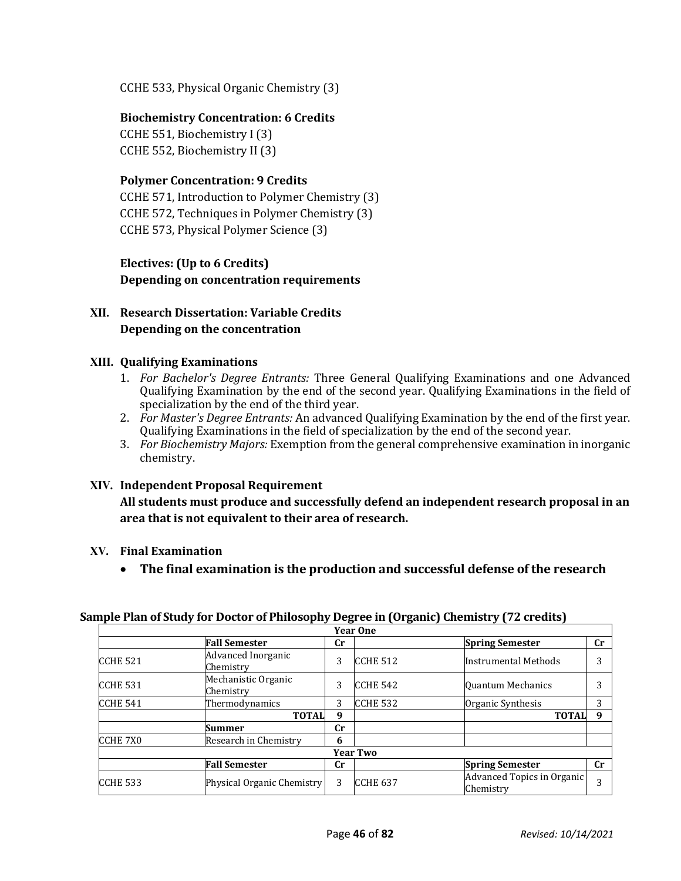CCHE 533, Physical Organic Chemistry (3)

# **Biochemistry Concentration: 6 Credits**

CCHE 551, Biochemistry I (3) CCHE 552, Biochemistry II (3)

# **Polymer Concentration: 9 Credits**

CCHE 571, Introduction to Polymer Chemistry (3) CCHE 572, Techniques in Polymer Chemistry (3) CCHE 573, Physical Polymer Science (3)

# **Electives: (Up to 6 Credits) Depending on concentration requirements**

# **XII. Research Dissertation: Variable Credits Depending on the concentration**

#### **XIII. Qualifying Examinations**

- 1. *For Bachelor's Degree Entrants:* Three General Qualifying Examinations and one Advanced Qualifying Examination by the end of the second year. Qualifying Examinations in the field of specialization by the end of the third year.
- 2. *For Master's Degree Entrants:* An advanced Qualifying Examination by the end of the first year. Qualifying Examinations in the field of specialization by the end of the second year.
- 3. *For Biochemistry Majors:* Exemption from the general comprehensive examination in inorganic chemistry.

#### **XIV. Independent Proposal Requirement**

**All students must produce and successfully defend an independent research proposal in an area that is not equivalent to their area of research.**

# **XV. Final Examination**

• **The final examination is the production and successful defense of the research** 

|                      |                                  |             | <b>Year One</b> |                                         |             |
|----------------------|----------------------------------|-------------|-----------------|-----------------------------------------|-------------|
|                      | <b>Fall Semester</b>             | Cr          |                 | <b>Spring Semester</b>                  | $_{\rm Cr}$ |
| ICCHE <sub>521</sub> | Advanced Inorganic<br>Chemistry  | 3           | <b>CCHE 512</b> | Instrumental Methods                    | 3           |
| CCHE <sub>531</sub>  | Mechanistic Organic<br>Chemistry | 3           | <b>CCHE 542</b> | Quantum Mechanics                       | 3           |
| CCHE <sub>541</sub>  | Thermodynamics                   | 3           | <b>CCHE 532</b> | Organic Synthesis                       | 3           |
|                      | <b>TOTAL</b>                     | 9           |                 | <b>TOTAL</b>                            | 9           |
|                      | Summer                           | $_{\rm Cr}$ |                 |                                         |             |
| <b>CCHE 7X0</b>      | Research in Chemistry            | 6           |                 |                                         |             |
|                      |                                  |             | <b>Year Two</b> |                                         |             |
|                      | <b>Fall Semester</b>             | Cr          |                 | <b>Spring Semester</b>                  | $_{\rm Cr}$ |
| ICCHE 533            | Physical Organic Chemistry       | 3           | ICCHE 637       | Advanced Topics in Organic<br>Chemistrv | 3           |

#### **Sample Plan of Study for Doctor of Philosophy Degree in (Organic) Chemistry (72 credits)**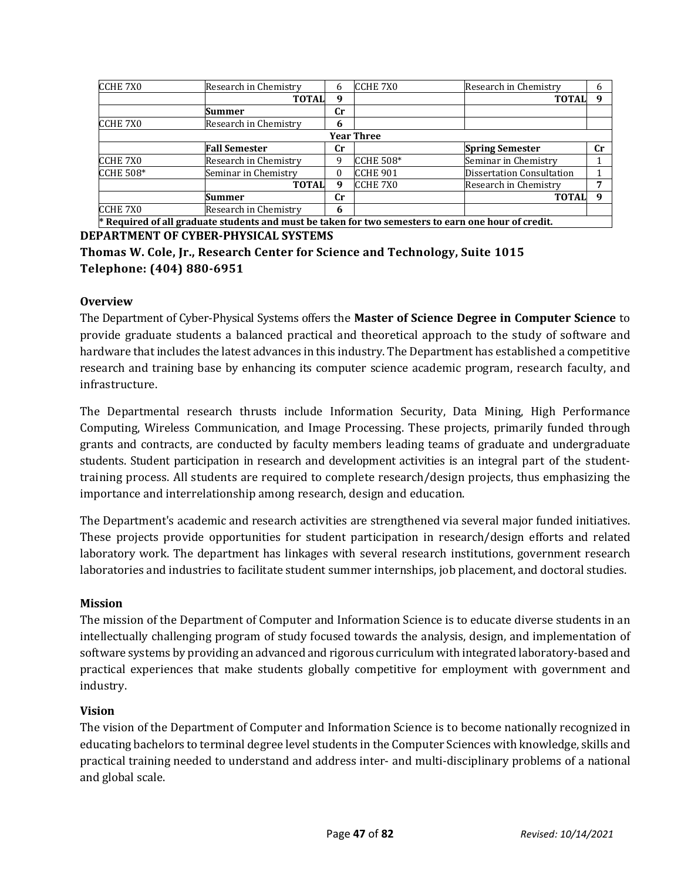| <b>CCHE 7X0</b>  | Research in Chemistry                                                                               | 6  | <b>CCHE 7X0</b>   | Research in Chemistry            | h           |
|------------------|-----------------------------------------------------------------------------------------------------|----|-------------------|----------------------------------|-------------|
|                  | <b>TOTAL</b>                                                                                        | 9  |                   | <b>TOTAL</b>                     | 9           |
|                  | Summer                                                                                              | Сr |                   |                                  |             |
| <b>CCHE 7X0</b>  | Research in Chemistry                                                                               | 6  |                   |                                  |             |
|                  |                                                                                                     |    | <b>Year Three</b> |                                  |             |
|                  | <b>Fall Semester</b>                                                                                | Cr |                   | <b>Spring Semester</b>           | $_{\rm Cr}$ |
| CCHE 7X0         | Research in Chemistry                                                                               | q  | <b>CCHE 508*</b>  | Seminar in Chemistry             |             |
| <b>CCHE 508*</b> | Seminar in Chemistry                                                                                |    | <b>CCHE 901</b>   | <b>Dissertation Consultation</b> |             |
|                  | <b>TOTAL</b>                                                                                        | 9  | CCHE 7X0          | Research in Chemistry            |             |
|                  | Summer                                                                                              | Cr |                   | <b>TOTAL</b>                     | q           |
| CCHE 7X0         | Research in Chemistry                                                                               | 6  |                   |                                  |             |
|                  | * Required of all graduate students and must be taken for two semesters to earn one hour of credit. |    |                   |                                  |             |

**DEPARTMENT OF CYBER-PHYSICAL SYSTEMS**

**Thomas W. Cole, Jr., Research Center for Science and Technology, Suite 1015 Telephone: (404) 880-6951**

# **Overview**

The Department of Cyber-Physical Systems offers the **Master of Science Degree in Computer Science** to provide graduate students a balanced practical and theoretical approach to the study of software and hardware that includes the latest advances in this industry. The Department has established a competitive research and training base by enhancing its computer science academic program, research faculty, and infrastructure.

The Departmental research thrusts include Information Security, Data Mining, High Performance Computing, Wireless Communication, and Image Processing. These projects, primarily funded through grants and contracts, are conducted by faculty members leading teams of graduate and undergraduate students. Student participation in research and development activities is an integral part of the studenttraining process. All students are required to complete research/design projects, thus emphasizing the importance and interrelationship among research, design and education.

The Department's academic and research activities are strengthened via several major funded initiatives. These projects provide opportunities for student participation in research/design efforts and related laboratory work. The department has linkages with several research institutions, government research laboratories and industries to facilitate student summer internships, job placement, and doctoral studies.

# **Mission**

The mission of the Department of Computer and Information Science is to educate diverse students in an intellectually challenging program of study focused towards the analysis, design, and implementation of software systems by providing an advanced and rigorous curriculum with integrated laboratory-based and practical experiences that make students globally competitive for employment with government and industry.

# **Vision**

The vision of the Department of Computer and Information Science is to become nationally recognized in educating bachelors to terminal degree level students in the Computer Sciences with knowledge, skills and practical training needed to understand and address inter- and multi-disciplinary problems of a national and global scale.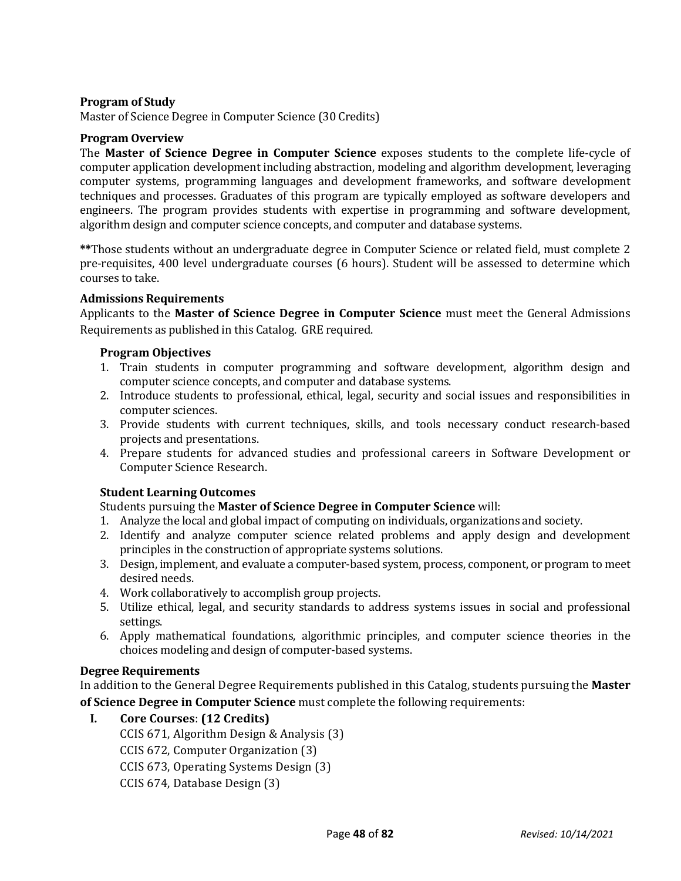# **Program of Study**

Master of Science Degree in Computer Science (30 Credits)

#### **Program Overview**

The **Master of Science Degree in Computer Science** exposes students to the complete life-cycle of computer application development including abstraction, modeling and algorithm development, leveraging computer systems, programming languages and development frameworks, and software development techniques and processes. Graduates of this program are typically employed as software developers and engineers. The program provides students with expertise in programming and software development, algorithm design and computer science concepts, and computer and database systems.

**\*\***Those students without an undergraduate degree in Computer Science or related field, must complete 2 pre-requisites, 400 level undergraduate courses (6 hours). Student will be assessed to determine which courses to take.

#### **Admissions Requirements**

Applicants to the **Master of Science Degree in Computer Science** must meet the General Admissions Requirements as published in this Catalog. GRE required.

#### **Program Objectives**

- 1. Train students in computer programming and software development, algorithm design and computer science concepts, and computer and database systems.
- 2. Introduce students to professional, ethical, legal, security and social issues and responsibilities in computer sciences.
- 3. Provide students with current techniques, skills, and tools necessary conduct research-based projects and presentations.
- 4. Prepare students for advanced studies and professional careers in Software Development or Computer Science Research.

# **Student Learning Outcomes**

Students pursuing the **Master of Science Degree in Computer Science** will:

- 1. Analyze the local and global impact of computing on individuals, organizations and society.
- 2. Identify and analyze computer science related problems and apply design and development principles in the construction of appropriate systems solutions.
- 3. Design, implement, and evaluate a computer-based system, process, component, or program to meet desired needs.
- 4. Work collaboratively to accomplish group projects.
- 5. Utilize ethical, legal, and security standards to address systems issues in social and professional settings.
- 6. Apply mathematical foundations, algorithmic principles, and computer science theories in the choices modeling and design of computer-based systems.

#### **Degree Requirements**

In addition to the General Degree Requirements published in this Catalog, students pursuing the **Master of Science Degree in Computer Science** must complete the following requirements:

**I. Core Courses**: **(12 Credits)** CCIS 671, Algorithm Design & Analysis (3) CCIS 672, Computer Organization (3) CCIS 673, Operating Systems Design (3) CCIS 674, Database Design (3)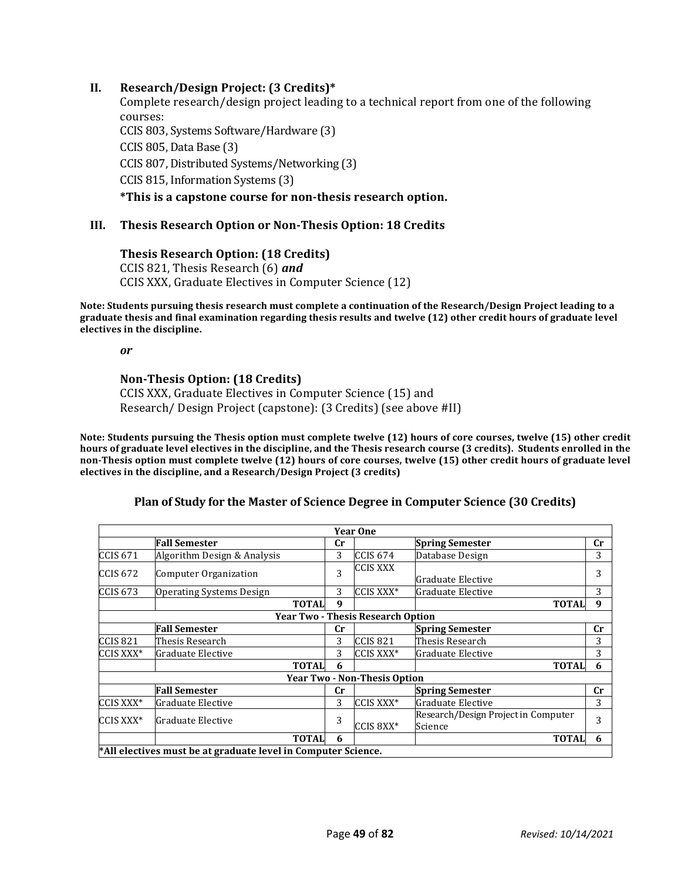#### **II. Research/Design Project: (3 Credits)\***

Complete research/design project leading to a technical report from one of the following courses: CCIS 803, Systems Software/Hardware (3) CCIS 805, Data Base (3) CCIS 807, Distributed Systems/Networking (3) CCIS 815, Information Systems (3) **\*This is a capstone course for non-thesis research option.**

#### **III. Thesis Research Option or Non-Thesis Option: 18 Credits**

#### **Thesis Research Option: (18 Credits)**

CCIS 821, Thesis Research (6) *and* CCIS XXX, Graduate Electives in Computer Science (12)

**Note: Students pursuing thesis research must complete a continuation of the Research/Design Project leading to a graduate thesis and final examination regarding thesis results and twelve (12) other credit hours of graduate level electives in the discipline.**

*or*

#### **Non-Thesis Option: (18 Credits)**

CCIS XXX, Graduate Electives in Computer Science (15) and Research/ Design Project (capstone): (3 Credits) (see above #II)

**Note: Students pursuing the Thesis option must complete twelve (12) hours of core courses, twelve (15) other credit hours of graduate level electives in the discipline, and the Thesis research course (3 credits). Students enrolled in the non-Thesis option must complete twelve (12) hours of core courses, twelve (15) other credit hours of graduate level electives in the discipline, and a Research/Design Project (3 credits)**

#### **Plan of Study for the Master of Science Degree in Computer Science (30 Credits)**

|                     |                                                               |             | <b>Year One</b>                          |                                                |             |
|---------------------|---------------------------------------------------------------|-------------|------------------------------------------|------------------------------------------------|-------------|
|                     | <b>Fall Semester</b>                                          | Cr          |                                          | <b>Spring Semester</b>                         | Cr          |
| <b>CCIS 671</b>     | Algorithm Design & Analysis                                   | 3           | <b>CCIS 674</b>                          | Database Design                                | 3           |
| <b>CCIS 672</b>     | Computer Organization                                         | 3           | <b>CCIS XXX</b>                          | Graduate Elective                              |             |
| <b>CCIS 673</b>     | <b>Operating Systems Design</b>                               | 3           | CCIS XXX*                                | Graduate Elective                              | 3           |
|                     | <b>TOTAL</b>                                                  | 9           |                                          | <b>TOTAL</b>                                   | 9           |
|                     |                                                               |             | <b>Year Two - Thesis Research Option</b> |                                                |             |
|                     | <b>Fall Semester</b>                                          | $_{\rm Cr}$ |                                          | <b>Spring Semester</b>                         | $_{\rm Cr}$ |
| CCIS <sub>821</sub> | Thesis Research                                               | 3           | <b>CCIS 821</b>                          | Thesis Research                                | 3           |
| CCIS XXX*           | Graduate Elective                                             | 3           | CCIS XXX*                                | Graduate Elective                              | 3           |
|                     | <b>TOTAL</b>                                                  | 6           |                                          | <b>TOTAL</b>                                   | 6           |
|                     |                                                               |             | <b>Year Two - Non-Thesis Option</b>      |                                                |             |
|                     | <b>Fall Semester</b>                                          | Cr          |                                          | <b>Spring Semester</b>                         | $_{\rm Cr}$ |
| CCIS XXX*           | Graduate Elective                                             | 3           | CCIS XXX*                                | Graduate Elective                              | 3           |
| CCIS XXX*           | lGraduate Elective                                            | 3           | CCIS 8XX*                                | Research/Design Project in Computer<br>Science | 3           |
|                     | <b>TOTAL</b>                                                  | 6           |                                          | <b>TOTAL</b>                                   | 6           |
|                     | *All electives must be at graduate level in Computer Science. |             |                                          |                                                |             |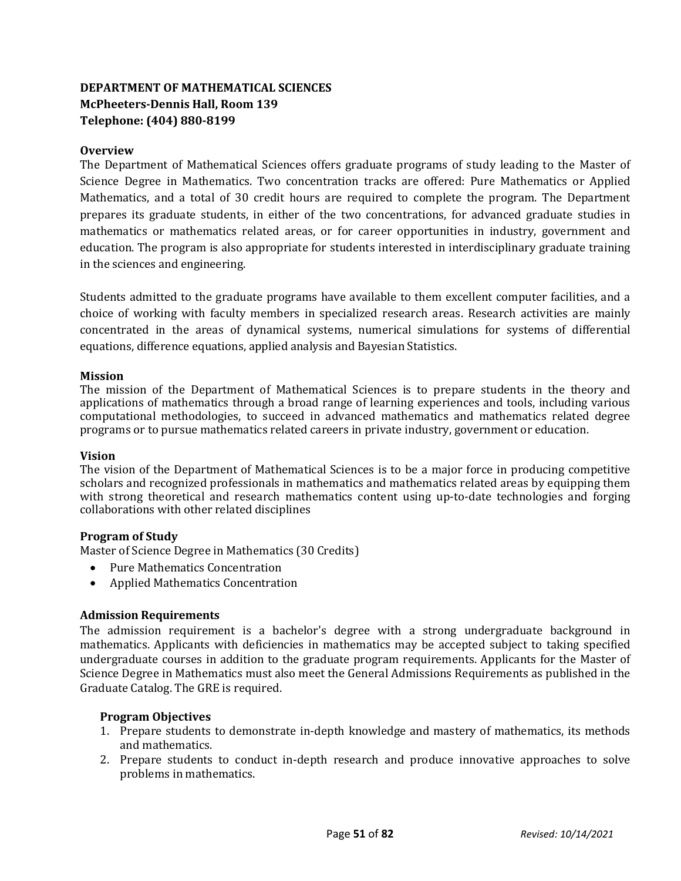# **DEPARTMENT OF MATHEMATICAL SCIENCES McPheeters-Dennis Hall, Room 139 Telephone: (404) 880-8199**

# **Overview**

The Department of Mathematical Sciences offers graduate programs of study leading to the Master of Science Degree in Mathematics. Two concentration tracks are offered: Pure Mathematics or Applied Mathematics, and a total of 30 credit hours are required to complete the program. The Department prepares its graduate students, in either of the two concentrations, for advanced graduate studies in mathematics or mathematics related areas, or for career opportunities in industry, government and education. The program is also appropriate for students interested in interdisciplinary graduate training in the sciences and engineering.

Students admitted to the graduate programs have available to them excellent computer facilities, and a choice of working with faculty members in specialized research areas. Research activities are mainly concentrated in the areas of dynamical systems, numerical simulations for systems of differential equations, difference equations, applied analysis and Bayesian Statistics.

#### **Mission**

The mission of the Department of Mathematical Sciences is to prepare students in the theory and applications of mathematics through a broad range of learning experiences and tools, including various computational methodologies, to succeed in advanced mathematics and mathematics related degree programs or to pursue mathematics related careers in private industry, government or education.

#### **Vision**

The vision of the Department of Mathematical Sciences is to be a major force in producing competitive scholars and recognized professionals in mathematics and mathematics related areas by equipping them with strong theoretical and research mathematics content using up-to-date technologies and forging collaborations with other related disciplines

#### **Program of Study**

Master of Science Degree in Mathematics (30 Credits)

- Pure Mathematics Concentration
- Applied Mathematics Concentration

#### **Admission Requirements**

The admission requirement is a bachelor's degree with a strong undergraduate background in mathematics. Applicants with deficiencies in mathematics may be accepted subject to taking specified undergraduate courses in addition to the graduate program requirements. Applicants for the Master of Science Degree in Mathematics must also meet the General Admissions Requirements as published in the Graduate Catalog. The GRE is required.

#### **Program Objectives**

- 1. Prepare students to demonstrate in-depth knowledge and mastery of mathematics, its methods and mathematics.
- 2. Prepare students to conduct in-depth research and produce innovative approaches to solve problems in mathematics.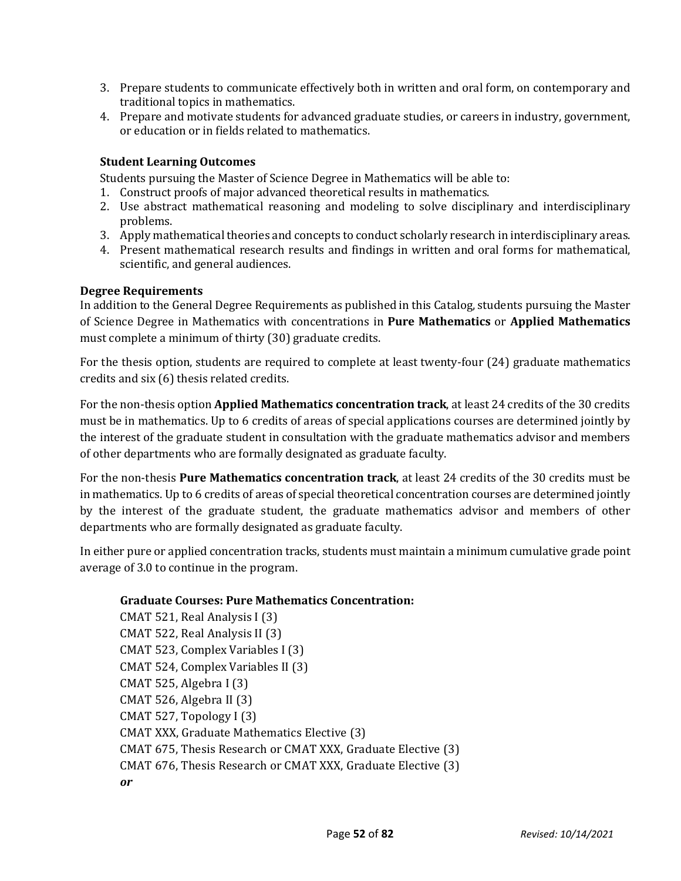- 3. Prepare students to communicate effectively both in written and oral form, on contemporary and traditional topics in mathematics.
- 4. Prepare and motivate students for advanced graduate studies, or careers in industry, government, or education or in fields related to mathematics.

# **Student Learning Outcomes**

Students pursuing the Master of Science Degree in Mathematics will be able to:

- 1. Construct proofs of major advanced theoretical results in mathematics.
- 2. Use abstract mathematical reasoning and modeling to solve disciplinary and interdisciplinary problems.
- 3. Apply mathematical theories and concepts to conduct scholarly research in interdisciplinary areas.
- 4. Present mathematical research results and findings in written and oral forms for mathematical, scientific, and general audiences.

#### **Degree Requirements**

In addition to the General Degree Requirements as published in this Catalog, students pursuing the Master of Science Degree in Mathematics with concentrations in **Pure Mathematics** or **Applied Mathematics**  must complete a minimum of thirty (30) graduate credits.

For the thesis option, students are required to complete at least twenty-four (24) graduate mathematics credits and six (6) thesis related credits.

For the non-thesis option **Applied Mathematics concentration track**, at least 24 credits of the 30 credits must be in mathematics. Up to 6 credits of areas of special applications courses are determined jointly by the interest of the graduate student in consultation with the graduate mathematics advisor and members of other departments who are formally designated as graduate faculty.

For the non-thesis **Pure Mathematics concentration track**, at least 24 credits of the 30 credits must be in mathematics. Up to 6 credits of areas of special theoretical concentration courses are determined jointly by the interest of the graduate student, the graduate mathematics advisor and members of other departments who are formally designated as graduate faculty.

In either pure or applied concentration tracks, students must maintain a minimum cumulative grade point average of 3.0 to continue in the program.

#### **Graduate Courses: Pure Mathematics Concentration:**

CMAT 521, Real Analysis I (3) CMAT 522, Real Analysis II (3) CMAT 523, Complex Variables I (3) CMAT 524, Complex Variables II (3) CMAT 525, Algebra I (3) CMAT 526, Algebra II (3) CMAT 527, Topology I (3) CMAT XXX, Graduate Mathematics Elective (3) CMAT 675, Thesis Research or CMAT XXX, Graduate Elective (3) CMAT 676, Thesis Research or CMAT XXX, Graduate Elective (3) *or*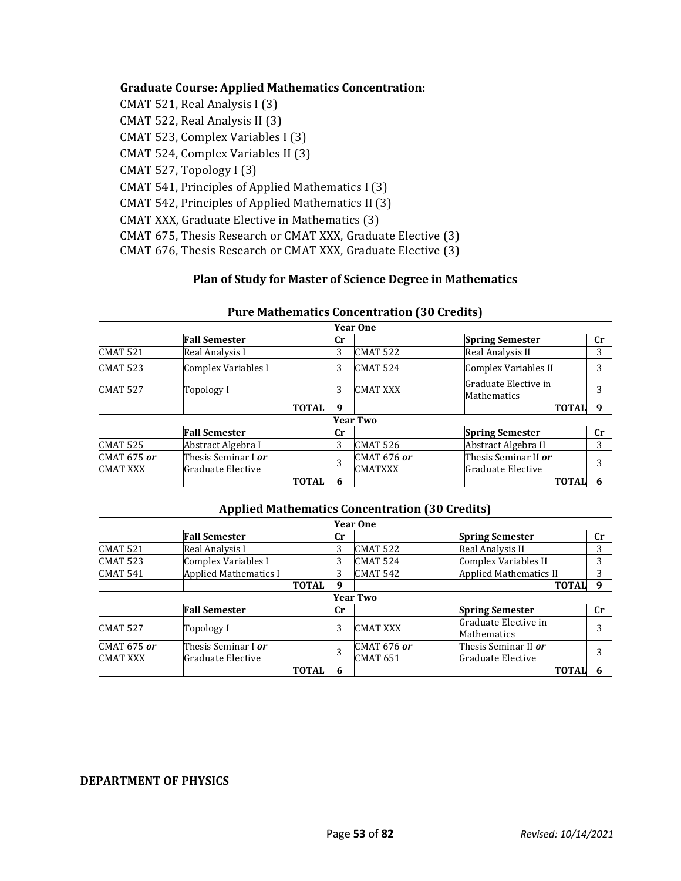#### **Graduate Course: Applied Mathematics Concentration:**

CMAT 521, Real Analysis I (3) CMAT 522, Real Analysis II (3) CMAT 523, Complex Variables I (3) CMAT 524, Complex Variables II (3) CMAT 527, Topology I (3) CMAT 541, Principles of Applied Mathematics I (3) CMAT 542, Principles of Applied Mathematics II (3) CMAT XXX, Graduate Elective in Mathematics (3) CMAT 675, Thesis Research or CMAT XXX, Graduate Elective (3) CMAT 676, Thesis Research or CMAT XXX, Graduate Elective (3)

#### **Plan of Study for Master of Science Degree in Mathematics**

|                     |                            |              |             | <b>Year One</b>    |                                     |    |
|---------------------|----------------------------|--------------|-------------|--------------------|-------------------------------------|----|
|                     | <b>Fall Semester</b>       |              | $_{\rm Cr}$ |                    | <b>Spring Semester</b>              | cr |
| <b>CMAT 521</b>     | Real Analysis I            |              | 3           | <b>CMAT 522</b>    | Real Analysis II                    | 3  |
| <b>CMAT 523</b>     | Complex Variables I        |              | 3           | <b>CMAT 524</b>    | Complex Variables II                | 3  |
| CMAT <sub>527</sub> | Topology I                 |              | 3           | <b>CMAT XXX</b>    | Graduate Elective in<br>Mathematics | 3  |
|                     |                            | <b>TOTAL</b> | 9           |                    | <b>TOTAL</b>                        | 9  |
|                     |                            |              |             | <b>Year Two</b>    |                                     |    |
|                     | <b>Fall Semester</b>       |              | Сr          |                    | <b>Spring Semester</b>              | cr |
| <b>CMAT 525</b>     | Abstract Algebra I         |              | 3           | <b>CMAT 526</b>    | Abstract Algebra II                 | 3  |
| <b>CMAT 675 or</b>  | Thesis Seminar I <i>or</i> |              | 3           | <b>CMAT 676 or</b> | Thesis Seminar II or                | 3  |
| <b>CMAT XXX</b>     | Graduate Elective          |              |             | <b>CMATXXX</b>     | Graduate Elective                   |    |
|                     |                            | <b>TOTAL</b> | 6           |                    | <b>TOTAL</b>                        |    |

# **Pure Mathematics Concentration (30 Credits)**

#### **Applied Mathematics Concentration (30 Credits)**

| <b>Year One</b> |                              |             |                 |                               |             |  |  |
|-----------------|------------------------------|-------------|-----------------|-------------------------------|-------------|--|--|
|                 | <b>Fall Semester</b>         | $_{\rm Cr}$ |                 | <b>Spring Semester</b>        | cr          |  |  |
| <b>CMAT 521</b> | Real Analysis I              | 3           | <b>CMAT 522</b> | Real Analysis II              | 3           |  |  |
| CMAT 523        | Complex Variables I          | 3           | <b>CMAT 524</b> | Complex Variables II          | 3           |  |  |
| CMAT 541        | <b>Applied Mathematics I</b> | 3           | <b>CMAT 542</b> | <b>Applied Mathematics II</b> | 3           |  |  |
|                 | <b>TOTAL</b>                 | 9           |                 | <b>TOTAL</b>                  | 9           |  |  |
| <b>Year Two</b> |                              |             |                 |                               |             |  |  |
|                 | <b>Fall Semester</b>         | $_{\rm Cr}$ |                 | <b>Spring Semester</b>        | $_{\rm Cr}$ |  |  |
| <b>CMAT 527</b> | Topology I                   | 3           | <b>CMAT XXX</b> | Graduate Elective in          | 3           |  |  |
|                 |                              |             |                 | <b>Mathematics</b>            |             |  |  |
| CMAT 675 or     | Thesis Seminar I <i>or</i>   | 3           | CMAT 676 or     | Thesis Seminar II <i>or</i>   | 3           |  |  |
| <b>CMAT XXX</b> | Graduate Elective            |             | <b>CMAT 651</b> | Graduate Elective             |             |  |  |
|                 | <b>TOTAL</b>                 | 6           |                 | <b>TOTAL</b>                  |             |  |  |

#### **DEPARTMENT OF PHYSICS**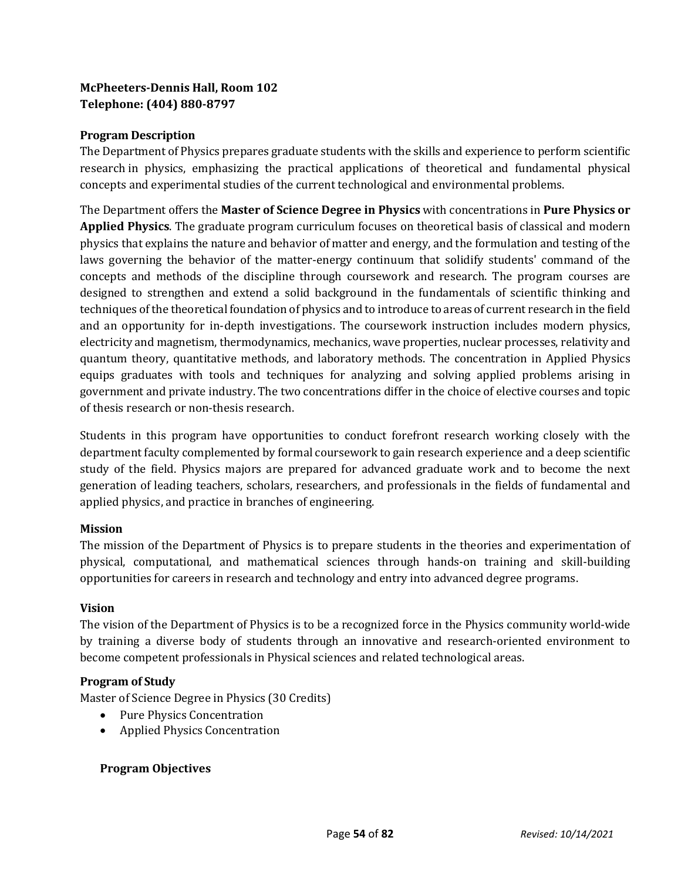# **McPheeters-Dennis Hall, Room 102 Telephone: (404) 880-8797**

# **Program Description**

The Department of Physics prepares graduate students with the skills and experience to perform scientific research in physics, emphasizing the practical applications of theoretical and fundamental physical concepts and experimental studies of the current technological and environmental problems.

The Department offers the **Master of Science Degree in Physics** with concentrations in **Pure Physics or Applied Physics**. The graduate program curriculum focuses on theoretical basis of classical and modern physics that explains the nature and behavior of matter and energy, and the formulation and testing of the laws governing the behavior of the matter-energy continuum that solidify students' command of the concepts and methods of the discipline through coursework and research. The program courses are designed to strengthen and extend a solid background in the fundamentals of scientific thinking and techniques of the theoretical foundation of physics and to introduce to areas of current research in the field and an opportunity for in-depth investigations. The coursework instruction includes modern physics, electricity and magnetism, thermodynamics, mechanics, wave properties, nuclear processes, relativity and quantum theory, quantitative methods, and laboratory methods. The concentration in Applied Physics equips graduates with tools and techniques for analyzing and solving applied problems arising in government and private industry. The two concentrations differ in the choice of elective courses and topic of thesis research or non-thesis research.

Students in this program have opportunities to conduct forefront research working closely with the department faculty complemented by formal coursework to gain research experience and a deep scientific study of the field. Physics majors are prepared for advanced graduate work and to become the next generation of leading teachers, scholars, researchers, and professionals in the fields of fundamental and applied physics, and practice in branches of engineering.

# **Mission**

The mission of the Department of Physics is to prepare students in the theories and experimentation of physical, computational, and mathematical sciences through hands-on training and skill-building opportunities for careers in research and technology and entry into advanced degree programs.

# **Vision**

The vision of the Department of Physics is to be a recognized force in the Physics community world-wide by training a diverse body of students through an innovative and research-oriented environment to become competent professionals in Physical sciences and related technological areas.

# **Program of Study**

Master of Science Degree in Physics (30 Credits)

- Pure Physics Concentration
- Applied Physics Concentration

# **Program Objectives**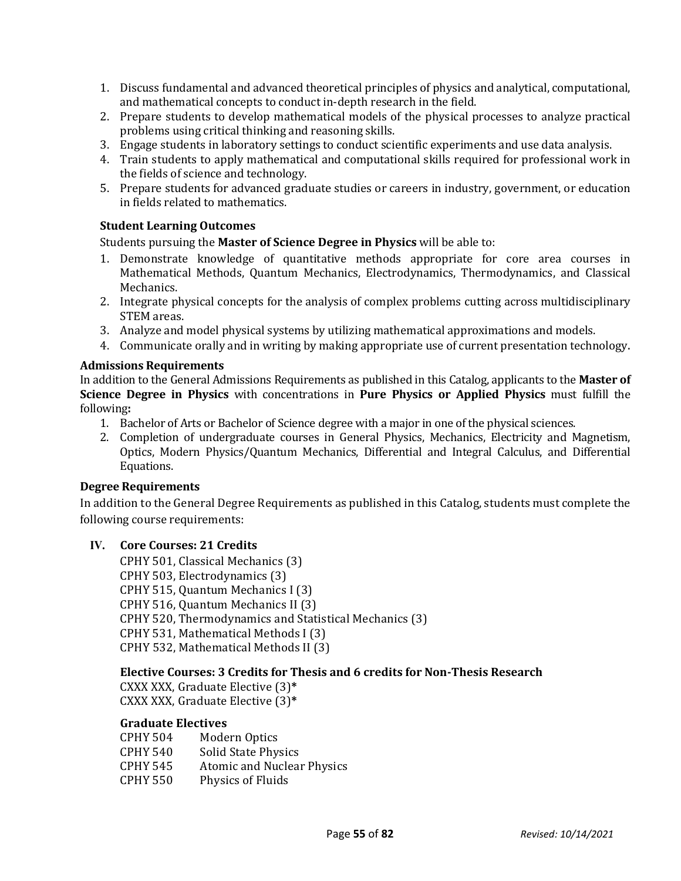- 1. Discuss fundamental and advanced theoretical principles of physics and analytical, computational, and mathematical concepts to conduct in-depth research in the field.
- 2. Prepare students to develop mathematical models of the physical processes to analyze practical problems using critical thinking and reasoning skills.
- 3. Engage students in laboratory settings to conduct scientific experiments and use data analysis.
- 4. Train students to apply mathematical and computational skills required for professional work in the fields of science and technology.
- 5. Prepare students for advanced graduate studies or careers in industry, government, or education in fields related to mathematics.

# **Student Learning Outcomes**

Students pursuing the **Master of Science Degree in Physics** will be able to:

- 1. Demonstrate knowledge of quantitative methods appropriate for core area courses in Mathematical Methods, Quantum Mechanics, Electrodynamics, Thermodynamics, and Classical Mechanics.
- 2. Integrate physical concepts for the analysis of complex problems cutting across multidisciplinary STEM areas.
- 3. Analyze and model physical systems by utilizing mathematical approximations and models.
- 4. Communicate orally and in writing by making appropriate use of current presentation technology.

#### **Admissions Requirements**

In addition to the General Admissions Requirements as published in this Catalog, applicants to the **Master of Science Degree in Physics** with concentrations in **Pure Physics or Applied Physics** must fulfill the following**:**

- 1. Bachelor of Arts or Bachelor of Science degree with a major in one of the physical sciences.
- 2. Completion of undergraduate courses in General Physics, Mechanics, Electricity and Magnetism, Optics, Modern Physics/Quantum Mechanics, Differential and Integral Calculus, and Differential Equations.

# **Degree Requirements**

In addition to the General Degree Requirements as published in this Catalog, students must complete the following course requirements:

# **IV. Core Courses: 21 Credits**

CPHY 501, Classical Mechanics (3) CPHY 503, Electrodynamics (3) CPHY 515, Quantum Mechanics I (3) CPHY 516, Quantum Mechanics II (3) CPHY 520, Thermodynamics and Statistical Mechanics (3) CPHY 531, Mathematical Methods I (3) CPHY 532, Mathematical Methods II (3)

# **Elective Courses: 3 Credits for Thesis and 6 credits for Non-Thesis Research**

CXXX XXX, Graduate Elective (3)**\*** CXXX XXX, Graduate Elective (3)**\***

# **Graduate Electives**

| Modern Optics                     |
|-----------------------------------|
| Solid State Physics               |
| <b>Atomic and Nuclear Physics</b> |
| Physics of Fluids                 |
|                                   |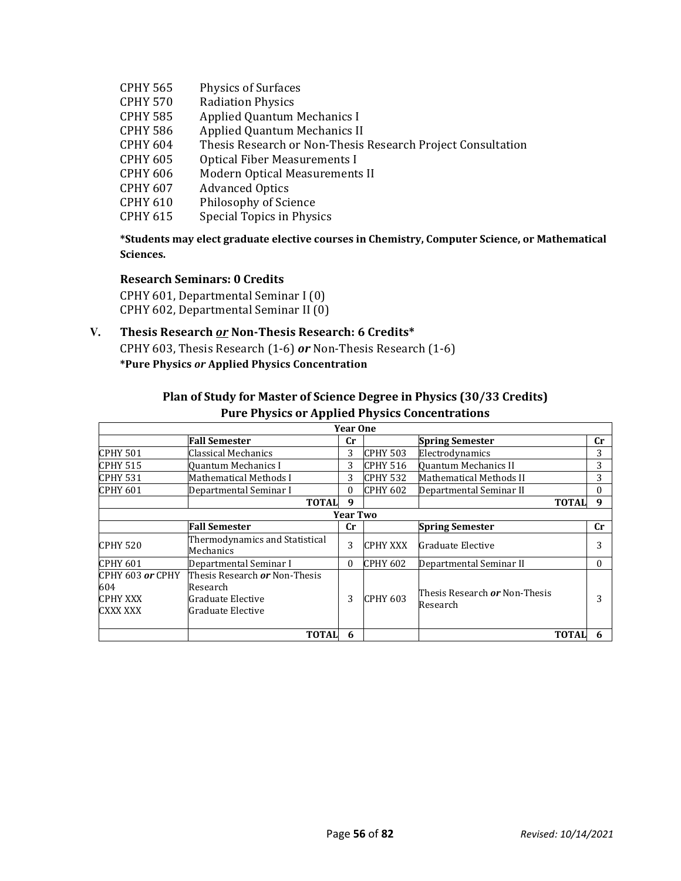- CPHY 565 Physics of Surfaces<br>CPHY 570 Radiation Physics
- CPHY 570 Radiation Physics<br>CPHY 585 Applied Quantum
- CPHY 585 Applied Quantum Mechanics I<br>CPHY 586 Applied Quantum Mechanics II
- CPHY 586 Applied Quantum Mechanics II<br>CPHY 604 Thesis Research or Non-Thesis
- CPHY 604 Thesis Research or Non-Thesis Research Project Consultation
- CPHY 605 Optical Fiber Measurements I<br>CPHY 606 Modern Optical Measurements
- CPHY 606 Modern Optical Measurements II<br>CPHY 607 Advanced Optics
- CPHY 607 Advanced Optics<br>CPHY 610 Philosophy of Sci
- CPHY 610 Philosophy of Science<br>CPHY 615 Special Topics in Phys
- Special Topics in Physics

**\*Students may elect graduate elective courses in Chemistry, Computer Science, or Mathematical Sciences.**

#### **Research Seminars: 0 Credits**

CPHY 601, Departmental Seminar I (0) CPHY 602, Departmental Seminar II (0)

# **V. Thesis Research** *or* **Non-Thesis Research: 6 Credits\***

CPHY 603, Thesis Research (1-6) *or* Non-Thesis Research (1-6) **\*Pure Physics** *or* **Applied Physics Concentration** 

|                                                          | <b>Pure Physics or Applied Physics Concentrations</b>                                             |                 |                 |                                                  |           |
|----------------------------------------------------------|---------------------------------------------------------------------------------------------------|-----------------|-----------------|--------------------------------------------------|-----------|
|                                                          |                                                                                                   | <b>Year One</b> |                 |                                                  |           |
|                                                          | <b>Fall Semester</b>                                                                              | $_{\rm Cr}$     |                 | <b>Spring Semester</b>                           | <b>Cr</b> |
| <b>CPHY 501</b>                                          | Classical Mechanics                                                                               | 3               | <b>CPHY 503</b> | Electrodynamics                                  | 3         |
| <b>CPHY 515</b>                                          | Quantum Mechanics I                                                                               | 3               | <b>CPHY 516</b> | Quantum Mechanics II                             | 3         |
| <b>CPHY 531</b>                                          | Mathematical Methods I                                                                            | 3               | <b>CPHY 532</b> | Mathematical Methods II                          | 3         |
| <b>CPHY 601</b>                                          | Departmental Seminar I                                                                            | $\theta$        | <b>CPHY 602</b> | Departmental Seminar II                          | 0         |
|                                                          | <b>TOTAL</b>                                                                                      | 9               |                 | <b>TOTAL</b>                                     | 9         |
|                                                          |                                                                                                   | <b>Year Two</b> |                 |                                                  |           |
|                                                          | <b>Fall Semester</b>                                                                              | $_{\rm Cr}$     |                 | <b>Spring Semester</b>                           | <b>Cr</b> |
| ICPHY 520                                                | Thermodynamics and Statistical<br>Mechanics                                                       | 3               | <b>CPHY XXX</b> | Graduate Elective                                |           |
| <b>CPHY 601</b>                                          | Departmental Seminar I                                                                            | $\theta$        | <b>CPHY 602</b> | Departmental Seminar II                          | $\Omega$  |
| ICPHY 603 <i>or</i> CPHY<br>604<br>ІСРНҮ ХХХ<br>CXXX XXX | Thesis Research <b><i>or</i></b> Non-Thesis<br>Research<br>Graduate Elective<br>Graduate Elective | 3               | CPHY 603        | Thesis Research <b>or</b> Non-Thesis<br>Research |           |
|                                                          | <b>TOTAL</b>                                                                                      | 6               |                 | <b>TOTAL</b>                                     |           |

# **Plan of Study for Master of Science Degree in Physics (30/33 Credits)**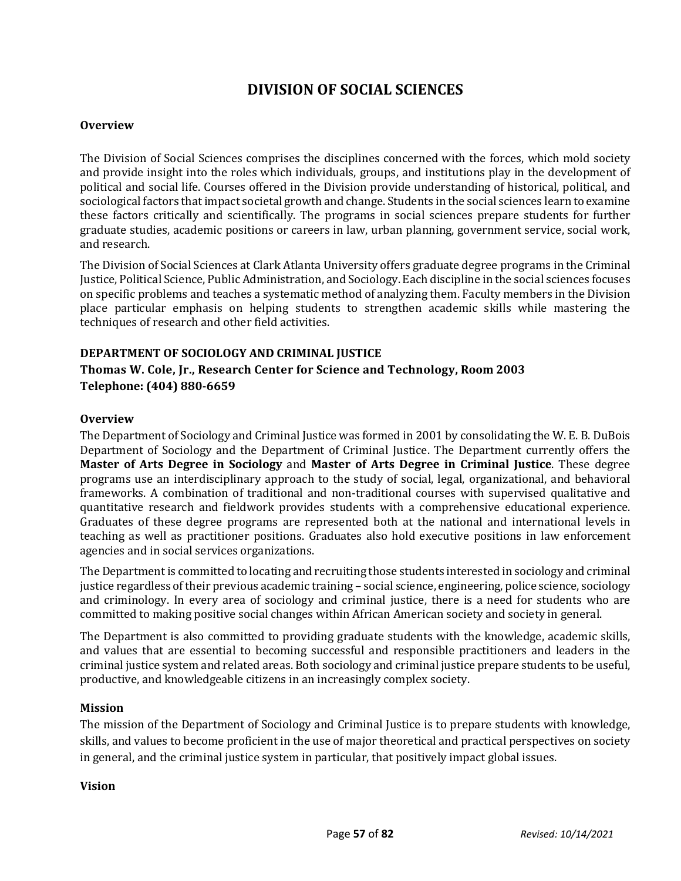# **DIVISION OF SOCIAL SCIENCES**

#### **Overview**

The Division of Social Sciences comprises the disciplines concerned with the forces, which mold society and provide insight into the roles which individuals, groups, and institutions play in the development of political and social life. Courses offered in the Division provide understanding of historical, political, and sociological factors that impact societal growth and change. Students in the social sciences learn to examine these factors critically and scientifically. The programs in social sciences prepare students for further graduate studies, academic positions or careers in law, urban planning, government service, social work, and research.

The Division of Social Sciences at Clark Atlanta University offers graduate degree programs in the Criminal Justice, Political Science, Public Administration, and Sociology. Each discipline in the social sciences focuses on specific problems and teaches a systematic method of analyzing them. Faculty members in the Division place particular emphasis on helping students to strengthen academic skills while mastering the techniques of research and other field activities.

#### **DEPARTMENT OF SOCIOLOGY AND CRIMINAL JUSTICE**

# **Thomas W. Cole, Jr., Research Center for Science and Technology, Room 2003 Telephone: (404) 880-6659**

#### **Overview**

The Department of Sociology and Criminal Justice was formed in 2001 by consolidating the W. E. B. DuBois Department of Sociology and the Department of Criminal Justice. The Department currently offers the **Master of Arts Degree in Sociology** and **Master of Arts Degree in Criminal Justice**. These degree programs use an interdisciplinary approach to the study of social, legal, organizational, and behavioral frameworks. A combination of traditional and non-traditional courses with supervised qualitative and quantitative research and fieldwork provides students with a comprehensive educational experience. Graduates of these degree programs are represented both at the national and international levels in teaching as well as practitioner positions. Graduates also hold executive positions in law enforcement agencies and in social services organizations.

The Department is committed to locating and recruiting those students interested in sociology and criminal justice regardless of their previous academic training – social science, engineering, police science, sociology and criminology. In every area of sociology and criminal justice, there is a need for students who are committed to making positive social changes within African American society and society in general.

The Department is also committed to providing graduate students with the knowledge, academic skills, and values that are essential to becoming successful and responsible practitioners and leaders in the criminal justice system and related areas. Both sociology and criminal justice prepare students to be useful, productive, and knowledgeable citizens in an increasingly complex society.

#### **Mission**

The mission of the Department of Sociology and Criminal Justice is to prepare students with knowledge, skills, and values to become proficient in the use of major theoretical and practical perspectives on society in general, and the criminal justice system in particular, that positively impact global issues.

#### **Vision**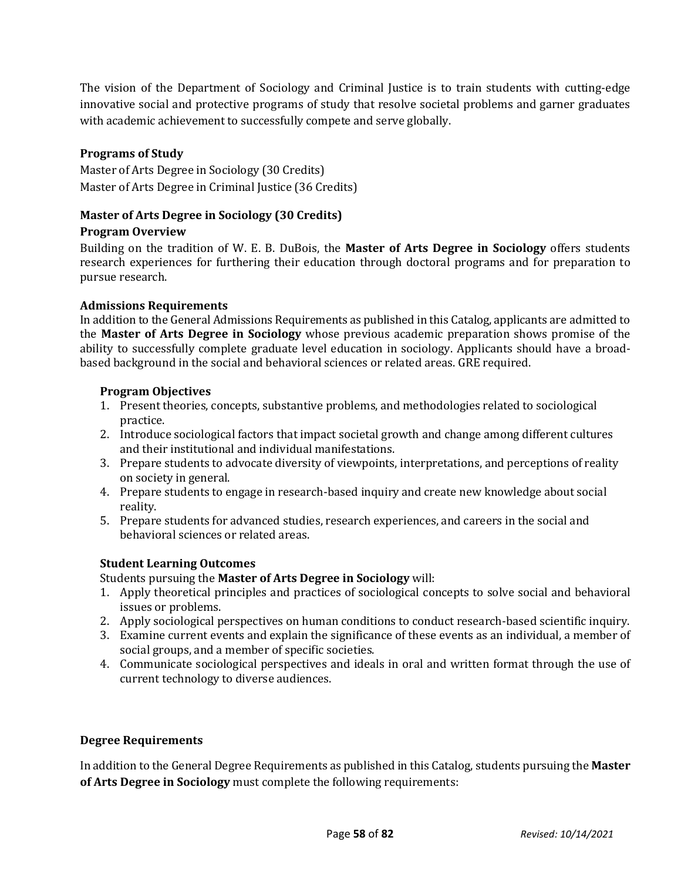The vision of the Department of Sociology and Criminal Justice is to train students with cutting-edge innovative social and protective programs of study that resolve societal problems and garner graduates with academic achievement to successfully compete and serve globally.

# **Programs of Study**

Master of Arts Degree in Sociology (30 Credits) Master of Arts Degree in Criminal Justice (36 Credits)

# **Master of Arts Degree in Sociology (30 Credits)**

#### **Program Overview**

Building on the tradition of W. E. B. DuBois, the **Master of Arts Degree in Sociology** offers students research experiences for furthering their education through doctoral programs and for preparation to pursue research.

#### **Admissions Requirements**

In addition to the General Admissions Requirements as published in this Catalog, applicants are admitted to the **Master of Arts Degree in Sociology** whose previous academic preparation shows promise of the ability to successfully complete graduate level education in sociology. Applicants should have a broadbased background in the social and behavioral sciences or related areas. GRE required.

#### **Program Objectives**

- 1. Present theories, concepts, substantive problems, and methodologies related to sociological practice.
- 2. Introduce sociological factors that impact societal growth and change among different cultures and their institutional and individual manifestations.
- 3. Prepare students to advocate diversity of viewpoints, interpretations, and perceptions of reality on society in general.
- 4. Prepare students to engage in research-based inquiry and create new knowledge about social reality.
- 5. Prepare students for advanced studies, research experiences, and careers in the social and behavioral sciences or related areas.

# **Student Learning Outcomes**

Students pursuing the **Master of Arts Degree in Sociology** will:

- 1. Apply theoretical principles and practices of sociological concepts to solve social and behavioral issues or problems.
- 2. Apply sociological perspectives on human conditions to conduct research-based scientific inquiry.
- 3. Examine current events and explain the significance of these events as an individual, a member of social groups, and a member of specific societies.
- 4. Communicate sociological perspectives and ideals in oral and written format through the use of current technology to diverse audiences.

#### **Degree Requirements**

In addition to the General Degree Requirements as published in this Catalog, students pursuing the **Master of Arts Degree in Sociology** must complete the following requirements: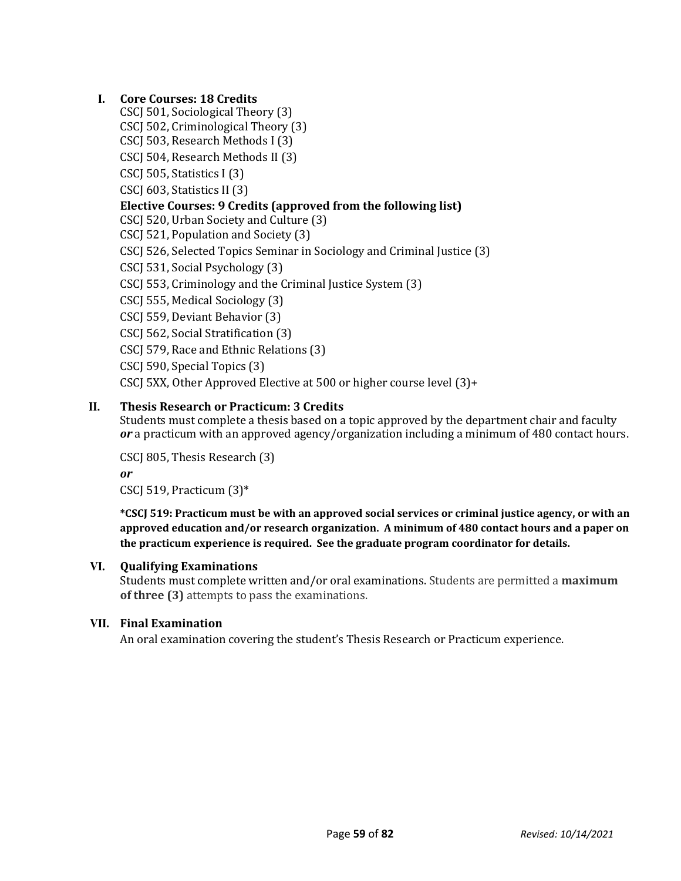# **I. Core Courses: 18 Credits**

- CSCJ 501, Sociological Theory (3)
- CSCJ 502, Criminological Theory (3)
- CSCJ 503, Research Methods I (3)
- CSCJ 504, Research Methods II (3)
- CSCJ 505, Statistics I (3)

CSCJ 603, Statistics II (3)

# **Elective Courses: 9 Credits (approved from the following list)**

CSCJ 520, Urban Society and Culture (3)

CSCJ 521, Population and Society (3)

CSCJ 526, Selected Topics Seminar in Sociology and Criminal Justice (3)

CSCJ 531, Social Psychology (3)

CSCJ 553, Criminology and the Criminal Justice System (3)

CSCJ 555, Medical Sociology (3)

- CSCJ 559, Deviant Behavior (3)
- CSCJ 562, Social Stratification (3)
- CSCJ 579, Race and Ethnic Relations (3)

CSCJ 590, Special Topics (3)

CSCJ 5XX, Other Approved Elective at 500 or higher course level (3)+

# **II. Thesis Research or Practicum: 3 Credits**

Students must complete a thesis based on a topic approved by the department chair and faculty *or* a practicum with an approved agency/organization including a minimum of 480 contact hours.

CSCJ 805, Thesis Research (3)

*or*

CSCJ 519, Practicum (3)\*

**\*CSCJ 519: Practicum must be with an approved social services or criminal justice agency, or with an approved education and/or research organization. A minimum of 480 contact hours and a paper on the practicum experience is required. See the graduate program coordinator for details.**

# **VI. Qualifying Examinations**

Students must complete written and/or oral examinations. Students are permitted a **maximum of three (3)** attempts to pass the examinations.

# **VII. Final Examination**

An oral examination covering the student's Thesis Research or Practicum experience.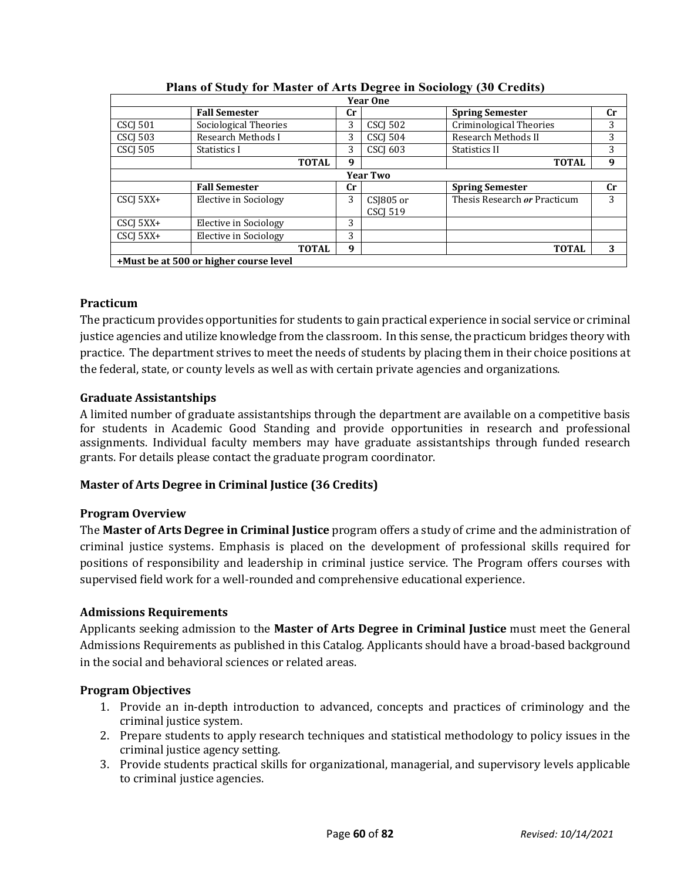|                 |                       |              |           | <b>Year One</b>              |                              |           |  |
|-----------------|-----------------------|--------------|-----------|------------------------------|------------------------------|-----------|--|
|                 | <b>Fall Semester</b>  |              | Cr        |                              | <b>Spring Semester</b>       | cr        |  |
| <b>CSCI 501</b> | Sociological Theories |              | 3         | <b>CSCI 502</b>              | Criminological Theories      | 3         |  |
| <b>CSCJ 503</b> | Research Methods I    |              | 3         | CSCJ 504                     | Research Methods II          | 3         |  |
| <b>CSCI 505</b> | Statistics I          |              | 3         | <b>CSCI 603</b>              | Statistics II                | 3         |  |
|                 |                       | <b>TOTAL</b> | 9         |                              | <b>TOTAL</b>                 | 9         |  |
| <b>Year Two</b> |                       |              |           |                              |                              |           |  |
|                 | <b>Fall Semester</b>  |              | <b>Cr</b> |                              | <b>Spring Semester</b>       | <b>Cr</b> |  |
| CSCJ 5XX+       | Elective in Sociology |              | 3         | CSJ805 or<br><b>CSCI 519</b> | Thesis Research or Practicum | 3         |  |
| CSCJ 5XX+       | Elective in Sociology |              | 3         |                              |                              |           |  |
| CSCI 5XX+       | Elective in Sociology |              | 3         |                              |                              |           |  |
|                 |                       |              |           |                              |                              |           |  |
|                 |                       | <b>TOTAL</b> | 9         |                              | <b>TOTAL</b>                 | 3         |  |

#### **Plans of Study for Master of Arts Degree in Sociology (30 Credits)**

# **Practicum**

The practicum provides opportunities for students to gain practical experience in social service or criminal justice agencies and utilize knowledge from the classroom. In this sense, the practicum bridges theory with practice. The department strives to meet the needs of students by placing them in their choice positions at the federal, state, or county levels as well as with certain private agencies and organizations.

# **Graduate Assistantships**

A limited number of graduate assistantships through the department are available on a competitive basis for students in Academic Good Standing and provide opportunities in research and professional assignments. Individual faculty members may have graduate assistantships through funded research grants. For details please contact the graduate program coordinator.

# **Master of Arts Degree in Criminal Justice (36 Credits)**

# **Program Overview**

The **Master of Arts Degree in Criminal Justice** program offers a study of crime and the administration of criminal justice systems. Emphasis is placed on the development of professional skills required for positions of responsibility and leadership in criminal justice service. The Program offers courses with supervised field work for a well-rounded and comprehensive educational experience.

# **Admissions Requirements**

Applicants seeking admission to the **Master of Arts Degree in Criminal Justice** must meet the General Admissions Requirements as published in this Catalog. Applicants should have a broad-based background in the social and behavioral sciences or related areas.

# **Program Objectives**

- 1. Provide an in-depth introduction to advanced, concepts and practices of criminology and the criminal justice system.
- 2. Prepare students to apply research techniques and statistical methodology to policy issues in the criminal justice agency setting.
- 3. Provide students practical skills for organizational, managerial, and supervisory levels applicable to criminal justice agencies.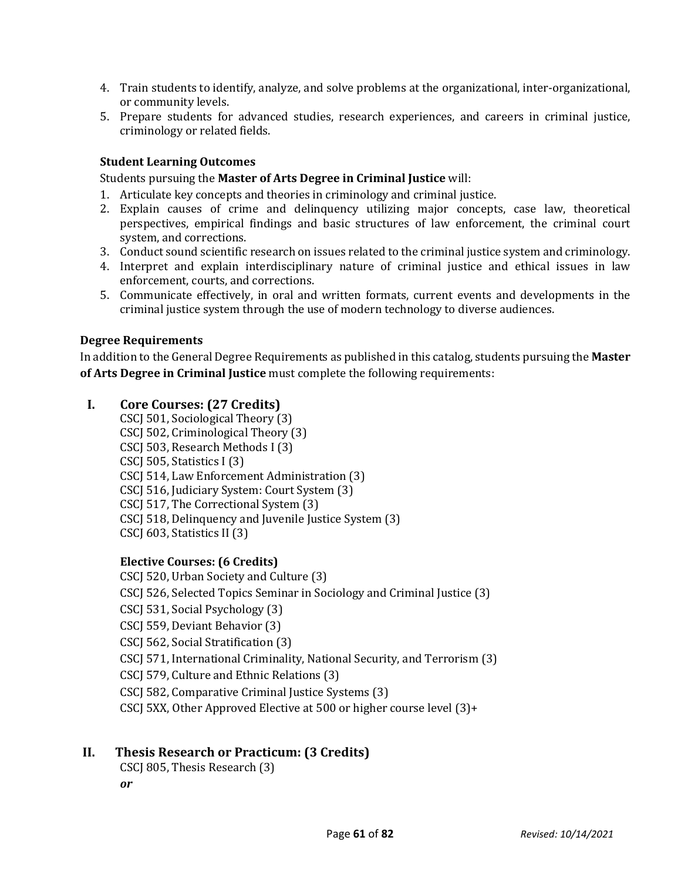- 4. Train students to identify, analyze, and solve problems at the organizational, inter-organizational, or community levels.
- 5. Prepare students for advanced studies, research experiences, and careers in criminal justice, criminology or related fields.

# **Student Learning Outcomes**

Students pursuing the **Master of Arts Degree in Criminal Justice** will:

- 1. Articulate key concepts and theories in criminology and criminal justice.
- 2. Explain causes of crime and delinquency utilizing major concepts, case law, theoretical perspectives, empirical findings and basic structures of law enforcement, the criminal court system, and corrections.
- 3. Conduct sound scientific research on issues related to the criminal justice system and criminology.
- 4. Interpret and explain interdisciplinary nature of criminal justice and ethical issues in law enforcement, courts, and corrections.
- 5. Communicate effectively, in oral and written formats, current events and developments in the criminal justice system through the use of modern technology to diverse audiences.

#### **Degree Requirements**

In addition to the General Degree Requirements as published in this catalog, students pursuing the **Master of Arts Degree in Criminal Justice** must complete the following requirements:

# **I. Core Courses: (27 Credits)**

CSCJ 501, Sociological Theory (3) CSCJ 502, Criminological Theory (3) CSCJ 503, Research Methods I (3) CSCJ 505, Statistics I (3) CSCJ 514, Law Enforcement Administration (3) CSCJ 516, Judiciary System: Court System (3) CSCJ 517, The Correctional System (3) CSCJ 518, Delinquency and Juvenile Justice System (3) CSCJ 603, Statistics II (3)

# **Elective Courses: (6 Credits)**

CSCJ 520, Urban Society and Culture (3) CSCJ 526, Selected Topics Seminar in Sociology and Criminal Justice (3) CSCJ 531, Social Psychology (3) CSCJ 559, Deviant Behavior (3) CSCJ 562, Social Stratification (3) CSCJ 571, International Criminality, National Security, and Terrorism (3) CSCJ 579, Culture and Ethnic Relations (3) CSCJ 582, Comparative Criminal Justice Systems (3) CSCJ 5XX, Other Approved Elective at 500 or higher course level (3)+

# **II. Thesis Research or Practicum: (3 Credits)**

CSCJ 805, Thesis Research (3)

*or*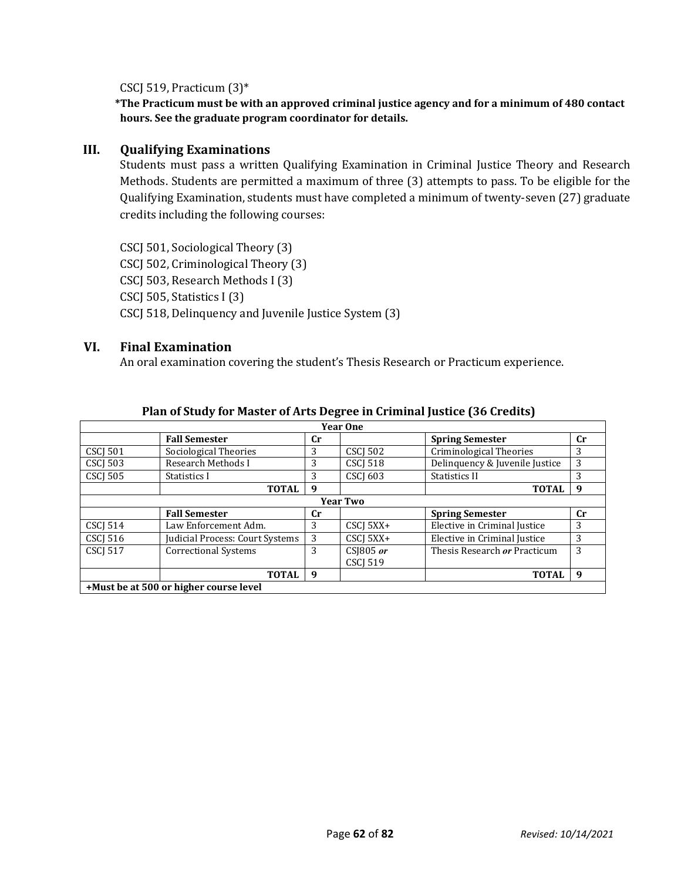CSCJ 519, Practicum (3)\*

**\*The Practicum must be with an approved criminal justice agency and for a minimum of 480 contact hours. See the graduate program coordinator for details.**

#### **III. Qualifying Examinations**

Students must pass a written Qualifying Examination in Criminal Justice Theory and Research Methods. Students are permitted a maximum of three (3) attempts to pass. To be eligible for the Qualifying Examination, students must have completed a minimum of twenty-seven (27) graduate credits including the following courses:

CSCJ 501, Sociological Theory (3) CSCJ 502, Criminological Theory (3) CSCJ 503, Research Methods I (3) CSCJ 505, Statistics I (3) CSCJ 518, Delinquency and Juvenile Justice System (3)

#### **VI. Final Examination**

An oral examination covering the student's Thesis Research or Practicum experience.

| <b>Year One</b>                        |                                 |             |                 |                                |                |  |  |
|----------------------------------------|---------------------------------|-------------|-----------------|--------------------------------|----------------|--|--|
|                                        | <b>Fall Semester</b>            | $_{\rm Cr}$ |                 | <b>Spring Semester</b>         | $\mathbf{C}$ r |  |  |
| <b>CSCJ 501</b>                        | Sociological Theories           | 3           | <b>CSCI 502</b> | Criminological Theories        | 3              |  |  |
| CSCJ 503                               | Research Methods I              | 3           | <b>CSCI 518</b> | Delinquency & Juvenile Justice | 3              |  |  |
| <b>CSCI 505</b>                        | Statistics I                    | 3           | <b>CSCI 603</b> | <b>Statistics II</b>           | 3              |  |  |
|                                        | <b>TOTAL</b>                    | 9           |                 | <b>TOTAL</b>                   | 9              |  |  |
| <b>Year Two</b>                        |                                 |             |                 |                                |                |  |  |
|                                        | <b>Fall Semester</b>            | $_{\rm Cr}$ |                 | <b>Spring Semester</b>         | <b>Cr</b>      |  |  |
| CSCJ 514                               | Law Enforcement Adm.            | 3           | CSCJ 5XX+       | Elective in Criminal Justice   | 3              |  |  |
| <b>CSCJ 516</b>                        | Judicial Process: Court Systems | 3           | CSCJ 5XX+       | Elective in Criminal Justice   | 3              |  |  |
| <b>CSCI 517</b>                        | Correctional Systems            | 3           | $CS$ [805 $or$  | Thesis Research or Practicum   | 3              |  |  |
|                                        |                                 |             | <b>CSCI 519</b> |                                |                |  |  |
|                                        | <b>TOTAL</b>                    | 9           |                 | <b>TOTAL</b>                   | 9              |  |  |
| +Must be at 500 or higher course level |                                 |             |                 |                                |                |  |  |

#### **Plan of Study for Master of Arts Degree in Criminal Justice (36 Credits)**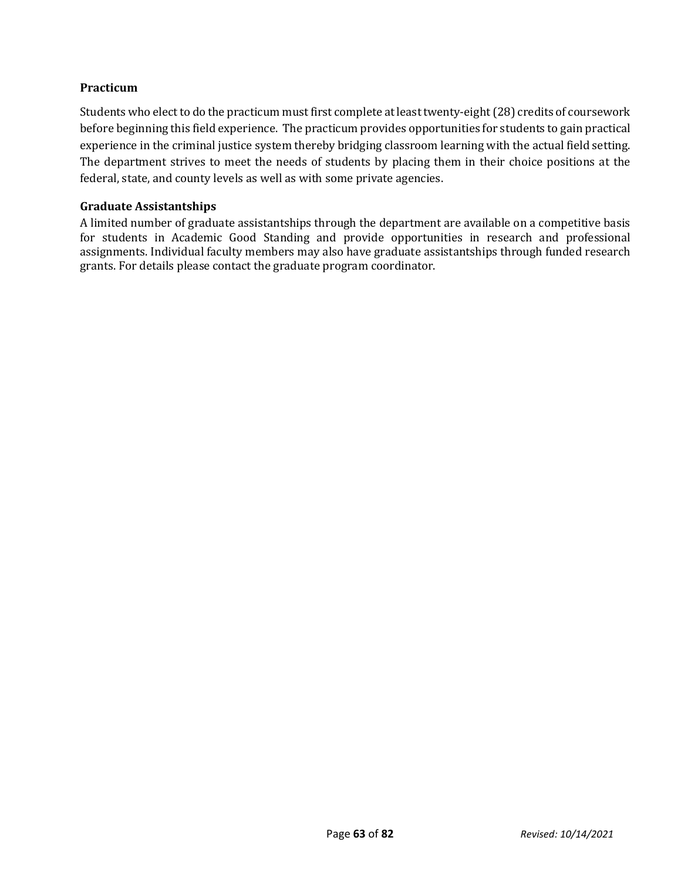# **Practicum**

Students who elect to do the practicum must first complete at least twenty-eight (28) credits of coursework before beginning this field experience. The practicum provides opportunities for students to gain practical experience in the criminal justice system thereby bridging classroom learning with the actual field setting. The department strives to meet the needs of students by placing them in their choice positions at the federal, state, and county levels as well as with some private agencies.

#### **Graduate Assistantships**

A limited number of graduate assistantships through the department are available on a competitive basis for students in Academic Good Standing and provide opportunities in research and professional assignments. Individual faculty members may also have graduate assistantships through funded research grants. For details please contact the graduate program coordinator.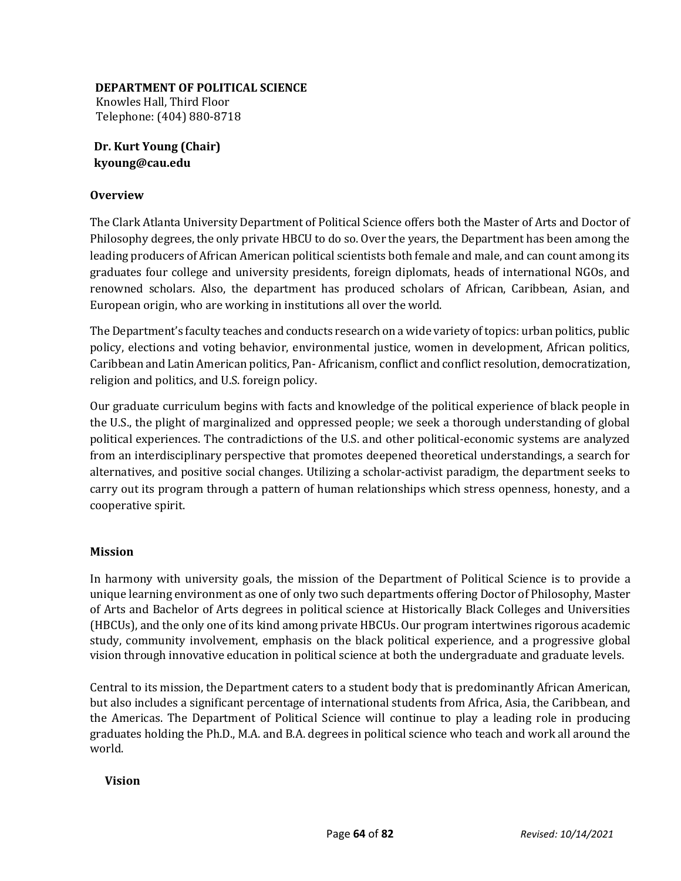#### **DEPARTMENT OF POLITICAL SCIENCE**

Knowles Hall, Third Floor Telephone: (404) 880-8718

**Dr. Kurt Young (Chair) kyoung@cau.edu** 

# **Overview**

The Clark Atlanta University Department of Political Science offers both the Master of Arts and Doctor of Philosophy degrees, the only private HBCU to do so. Over the years, the Department has been among the leading producers of African American political scientists both female and male, and can count among its graduates four college and university presidents, foreign diplomats, heads of international NGOs, and renowned scholars. Also, the department has produced scholars of African, Caribbean, Asian, and European origin, who are working in institutions all over the world.

The Department's faculty teaches and conducts research on a wide variety of topics: urban politics, public policy, elections and voting behavior, environmental justice, women in development, African politics, Caribbean and Latin American politics, Pan- Africanism, conflict and conflict resolution, democratization, religion and politics, and U.S. foreign policy.

Our graduate curriculum begins with facts and knowledge of the political experience of black people in the U.S., the plight of marginalized and oppressed people; we seek a thorough understanding of global political experiences. The contradictions of the U.S. and other political-economic systems are analyzed from an interdisciplinary perspective that promotes deepened theoretical understandings, a search for alternatives, and positive social changes. Utilizing a scholar-activist paradigm, the department seeks to carry out its program through a pattern of human relationships which stress openness, honesty, and a cooperative spirit.

# **Mission**

In harmony with university goals, the mission of the Department of Political Science is to provide a unique learning environment as one of only two such departments offering Doctor of Philosophy, Master of Arts and Bachelor of Arts degrees in political science at Historically Black Colleges and Universities (HBCUs), and the only one of its kind among private HBCUs. Our program intertwines rigorous academic study, community involvement, emphasis on the black political experience, and a progressive global vision through innovative education in political science at both the undergraduate and graduate levels.

Central to its mission, the Department caters to a student body that is predominantly African American, but also includes a significant percentage of international students from Africa, Asia, the Caribbean, and the Americas. The Department of Political Science will continue to play a leading role in producing graduates holding the Ph.D., M.A. and B.A. degrees in political science who teach and work all around the world.

#### **Vision**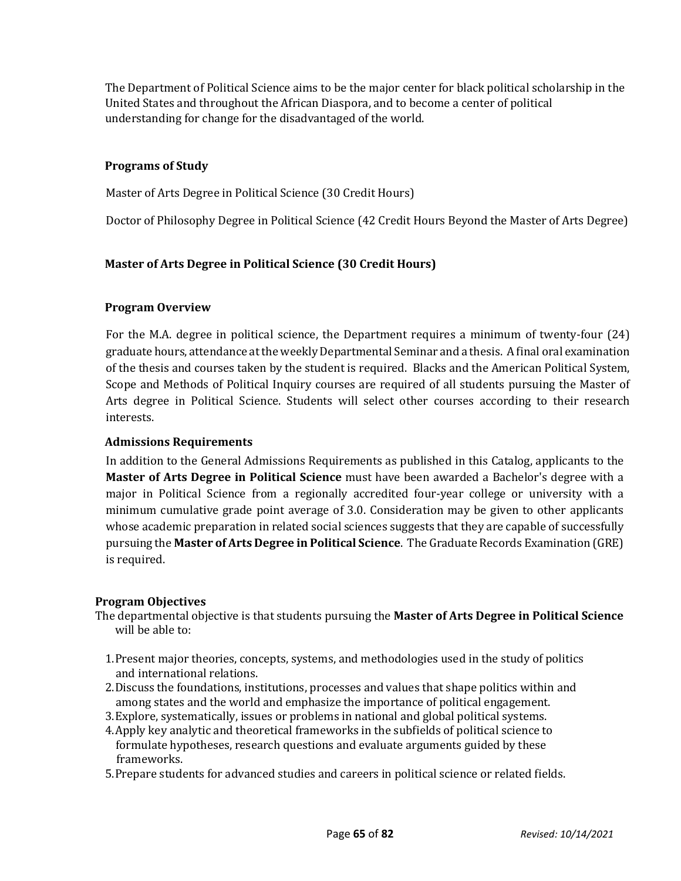The Department of Political Science aims to be the major center for black political scholarship in the United States and throughout the African Diaspora, and to become a center of political understanding for change for the disadvantaged of the world.

# **Programs of Study**

Master of Arts Degree in Political Science (30 Credit Hours)

Doctor of Philosophy Degree in Political Science (42 Credit Hours Beyond the Master of Arts Degree)

#### **Master of Arts Degree in Political Science (30 Credit Hours)**

#### **Program Overview**

For the M.A. degree in political science, the Department requires a minimum of twenty-four (24) graduate hours, attendance at the weekly Departmental Seminar and a thesis. A final oral examination of the thesis and courses taken by the student is required. Blacks and the American Political System, Scope and Methods of Political Inquiry courses are required of all students pursuing the Master of Arts degree in Political Science. Students will select other courses according to their research interests.

#### **Admissions Requirements**

In addition to the General Admissions Requirements as published in this Catalog, applicants to the **Master of Arts Degree in Political Science** must have been awarded a Bachelor's degree with a major in Political Science from a regionally accredited four-year college or university with a minimum cumulative grade point average of 3.0. Consideration may be given to other applicants whose academic preparation in related social sciences suggests that they are capable of successfully pursuing the **Master of Arts Degree in Political Science**. The Graduate Records Examination (GRE) is required.

#### **Program Objectives**

The departmental objective is that students pursuing the **Master of Arts Degree in Political Science** will be able to:

- 1.Present major theories, concepts, systems, and methodologies used in the study of politics and international relations.
- 2.Discuss the foundations, institutions, processes and values that shape politics within and among states and the world and emphasize the importance of political engagement.
- 3.Explore, systematically, issues or problems in national and global political systems.
- 4.Apply key analytic and theoretical frameworks in the subfields of political science to formulate hypotheses, research questions and evaluate arguments guided by these frameworks.
- 5.Prepare students for advanced studies and careers in political science or related fields.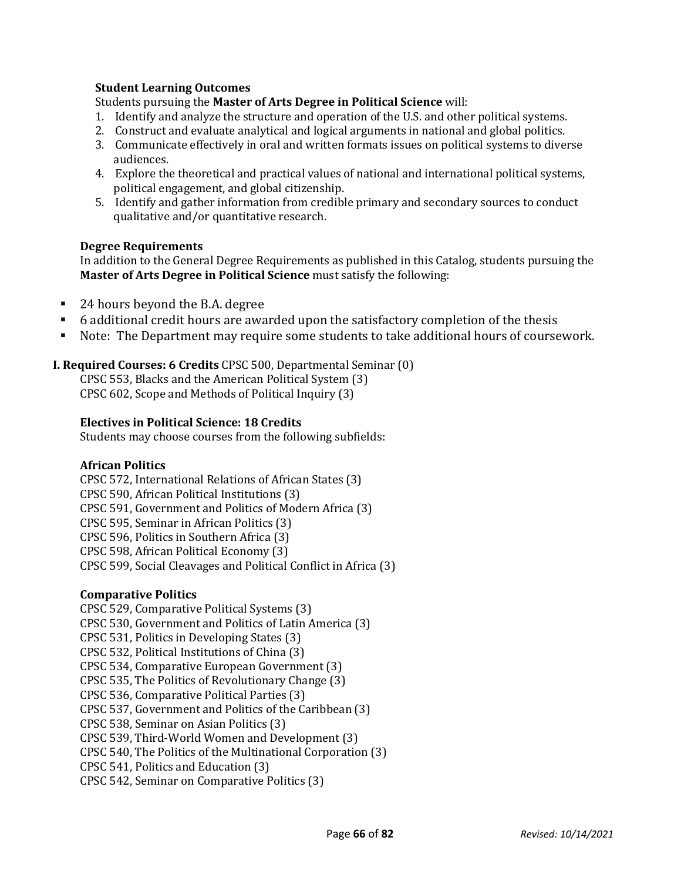#### **Student Learning Outcomes**

Students pursuing the **Master of Arts Degree in Political Science** will:

- 1. Identify and analyze the structure and operation of the U.S. and other political systems.
- 2. Construct and evaluate analytical and logical arguments in national and global politics.
- 3. Communicate effectively in oral and written formats issues on political systems to diverse audiences.
- 4. Explore the theoretical and practical values of national and international political systems, political engagement, and global citizenship.
- 5. Identify and gather information from credible primary and secondary sources to conduct qualitative and/or quantitative research.

#### **Degree Requirements**

In addition to the General Degree Requirements as published in this Catalog, students pursuing the **Master of Arts Degree in Political Science** must satisfy the following:

- 24 hours beyond the B.A. degree
- 6 additional credit hours are awarded upon the satisfactory completion of the thesis
- Note: The Department may require some students to take additional hours of coursework.

# **I. Required Courses: 6 Credits** CPSC 500, Departmental Seminar (0)

CPSC 553, Blacks and the American Political System (3) CPSC 602, Scope and Methods of Political Inquiry (3)

#### **Electives in Political Science: 18 Credits**

Students may choose courses from the following subfields:

# **African Politics**

CPSC 572, International Relations of African States (3) CPSC 590, African Political Institutions (3) CPSC 591, Government and Politics of Modern Africa (3) CPSC 595, Seminar in African Politics (3) CPSC 596, Politics in Southern Africa (3) CPSC 598, African Political Economy (3) CPSC 599, Social Cleavages and Political Conflict in Africa (3)

# **Comparative Politics**

CPSC 529, Comparative Political Systems (3) CPSC 530, Government and Politics of Latin America (3) CPSC 531, Politics in Developing States (3) CPSC 532, Political Institutions of China (3) CPSC 534, Comparative European Government (3) CPSC 535, The Politics of Revolutionary Change (3) CPSC 536, Comparative Political Parties (3) CPSC 537, Government and Politics of the Caribbean (3) CPSC 538, Seminar on Asian Politics (3) CPSC 539, Third-World Women and Development (3) CPSC 540, The Politics of the Multinational Corporation (3) CPSC 541, Politics and Education (3) CPSC 542, Seminar on Comparative Politics (3)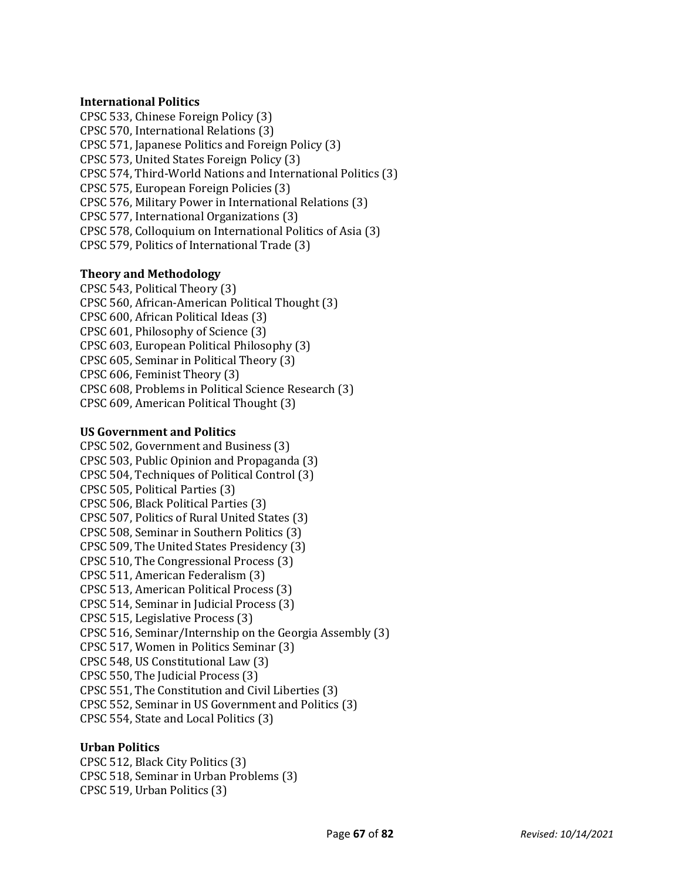#### **International Politics**

CPSC 533, Chinese Foreign Policy (3) CPSC 570, International Relations (3) CPSC 571, Japanese Politics and Foreign Policy (3) CPSC 573, United States Foreign Policy (3) CPSC 574, Third-World Nations and International Politics (3) CPSC 575, European Foreign Policies (3) CPSC 576, Military Power in International Relations (3) CPSC 577, International Organizations (3) CPSC 578, Colloquium on International Politics of Asia (3) CPSC 579, Politics of International Trade (3)

#### **Theory and Methodology**

CPSC 543, Political Theory (3) CPSC 560, African-American Political Thought (3) CPSC 600, African Political Ideas (3) CPSC 601, Philosophy of Science (3) CPSC 603, European Political Philosophy (3) CPSC 605, Seminar in Political Theory (3) CPSC 606, Feminist Theory (3) CPSC 608, Problems in Political Science Research (3) CPSC 609, American Political Thought (3)

#### **US Government and Politics**

CPSC 502, Government and Business (3) CPSC 503, Public Opinion and Propaganda (3) CPSC 504, Techniques of Political Control (3) CPSC 505, Political Parties (3) CPSC 506, Black Political Parties (3) CPSC 507, Politics of Rural United States (3) CPSC 508, Seminar in Southern Politics (3) CPSC 509, The United States Presidency (3) CPSC 510, The Congressional Process (3) CPSC 511, American Federalism (3) CPSC 513, American Political Process (3) CPSC 514, Seminar in Judicial Process (3) CPSC 515, Legislative Process (3) CPSC 516, Seminar/Internship on the Georgia Assembly (3) CPSC 517, Women in Politics Seminar (3) CPSC 548, US Constitutional Law (3) CPSC 550, The Judicial Process (3) CPSC 551, The Constitution and Civil Liberties (3) CPSC 552, Seminar in US Government and Politics (3) CPSC 554, State and Local Politics (3)

# **Urban Politics**

CPSC 512, Black City Politics (3) CPSC 518, Seminar in Urban Problems (3) CPSC 519, Urban Politics (3)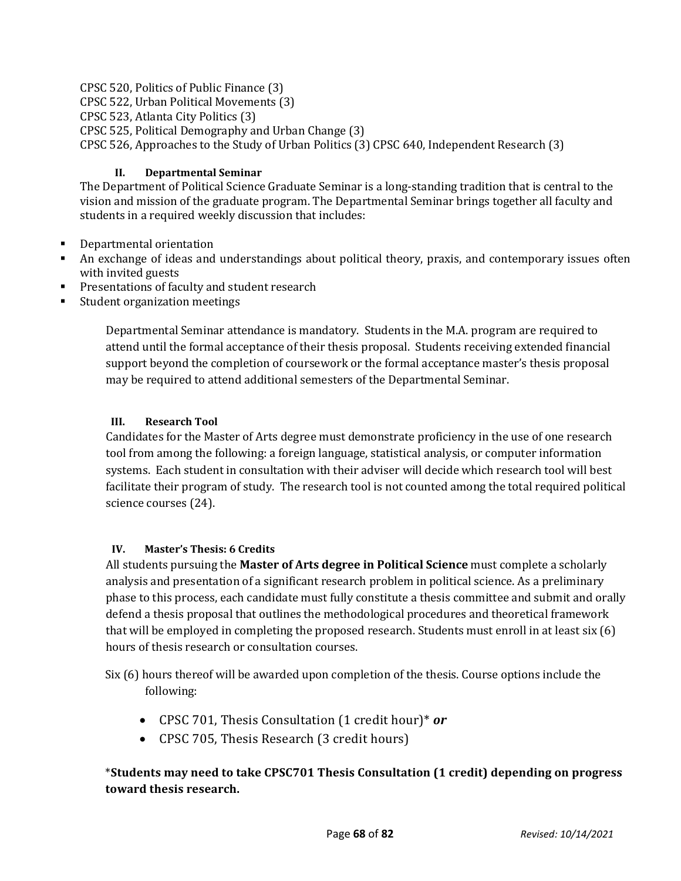CPSC 520, Politics of Public Finance (3)

CPSC 522, Urban Political Movements (3)

CPSC 523, Atlanta City Politics (3)

CPSC 525, Political Demography and Urban Change (3)

CPSC 526, Approaches to the Study of Urban Politics (3) CPSC 640, Independent Research (3)

# **II. Departmental Seminar**

The Department of Political Science Graduate Seminar is a long-standing tradition that is central to the vision and mission of the graduate program. The Departmental Seminar brings together all faculty and students in a required weekly discussion that includes:

- **Departmental orientation**
- An exchange of ideas and understandings about political theory, praxis, and contemporary issues often with invited guests
- **Presentations of faculty and student research**
- Student organization meetings

Departmental Seminar attendance is mandatory. Students in the M.A. program are required to attend until the formal acceptance of their thesis proposal. Students receiving extended financial support beyond the completion of coursework or the formal acceptance master's thesis proposal may be required to attend additional semesters of the Departmental Seminar.

# **III. Research Tool**

Candidates for the Master of Arts degree must demonstrate proficiency in the use of one research tool from among the following: a foreign language, statistical analysis, or computer information systems. Each student in consultation with their adviser will decide which research tool will best facilitate their program of study. The research tool is not counted among the total required political science courses (24).

# **IV. Master's Thesis: 6 Credits**

All students pursuing the **Master of Arts degree in Political Science** must complete a scholarly analysis and presentation of a significant research problem in political science. As a preliminary phase to this process, each candidate must fully constitute a thesis committee and submit and orally defend a thesis proposal that outlines the methodological procedures and theoretical framework that will be employed in completing the proposed research. Students must enroll in at least six (6) hours of thesis research or consultation courses.

Six (6) hours thereof will be awarded upon completion of the thesis. Course options include the following:

- CPSC 701, Thesis Consultation (1 credit hour)\* *or*
- CPSC 705, Thesis Research (3 credit hours)

# \***Students may need to take CPSC701 Thesis Consultation (1 credit) depending on progress toward thesis research.**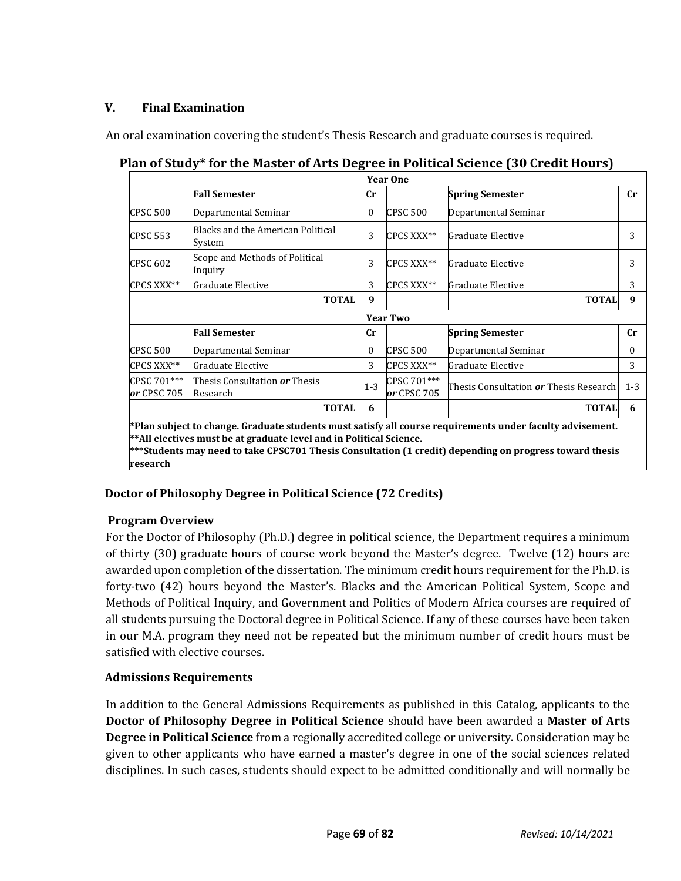# **V. Final Examination**

An oral examination covering the student's Thesis Research and graduate courses is required.

| <b>Year One</b>                                                                                                                                                                                                                                                                                          |                                                         |          |                            |                                                      |             |  |  |
|----------------------------------------------------------------------------------------------------------------------------------------------------------------------------------------------------------------------------------------------------------------------------------------------------------|---------------------------------------------------------|----------|----------------------------|------------------------------------------------------|-------------|--|--|
|                                                                                                                                                                                                                                                                                                          | <b>Fall Semester</b>                                    | cr       |                            | <b>Spring Semester</b>                               | $_{\rm Cr}$ |  |  |
| <b>CPSC 500</b>                                                                                                                                                                                                                                                                                          | Departmental Seminar                                    | $\theta$ | <b>CPSC 500</b>            | Departmental Seminar                                 |             |  |  |
| <b>CPSC 553</b>                                                                                                                                                                                                                                                                                          | Blacks and the American Political<br>System             | 3        | CPCS XXX**                 | Graduate Elective                                    | 3           |  |  |
| <b>CPSC 602</b>                                                                                                                                                                                                                                                                                          | Scope and Methods of Political<br>Inquiry               | 3        | CPCS XXX**                 | Graduate Elective                                    | 3           |  |  |
| CPCS XXX**                                                                                                                                                                                                                                                                                               | Graduate Elective                                       | 3        | CPCS XXX**                 | Graduate Elective                                    | 3           |  |  |
|                                                                                                                                                                                                                                                                                                          | <b>TOTAL</b>                                            | 9        |                            | <b>TOTAL</b>                                         | 9           |  |  |
|                                                                                                                                                                                                                                                                                                          | <b>Year Two</b>                                         |          |                            |                                                      |             |  |  |
|                                                                                                                                                                                                                                                                                                          | <b>Fall Semester</b>                                    | cr       |                            | <b>Spring Semester</b>                               | $_{\rm Cr}$ |  |  |
| <b>CPSC 500</b>                                                                                                                                                                                                                                                                                          | Departmental Seminar                                    | $\Omega$ | <b>CPSC 500</b>            | Departmental Seminar                                 | $\theta$    |  |  |
| CPCS XXX**                                                                                                                                                                                                                                                                                               | Graduate Elective                                       | 3        | CPCS XXX**                 | Graduate Elective                                    | 3           |  |  |
| CPSC 701***<br>or CPSC 705                                                                                                                                                                                                                                                                               | Thesis Consultation <b><i>or</i></b> Thesis<br>Research | $1 - 3$  | CPSC 701***<br>or CPSC 705 | Thesis Consultation <b><i>or</i></b> Thesis Research | $1 - 3$     |  |  |
|                                                                                                                                                                                                                                                                                                          | <b>TOTAL</b>                                            | 6        |                            | <b>TOTAL</b>                                         | 6           |  |  |
| *Plan subject to change. Graduate students must satisfy all course requirements under faculty advisement.<br>** All electives must be at graduate level and in Political Science.<br>***Students may need to take CPSC701 Thesis Consultation (1 credit) depending on progress toward thesis<br>research |                                                         |          |                            |                                                      |             |  |  |

# **Plan of Study\* for the Master of Arts Degree in Political Science (30 Credit Hours)**

# **Doctor of Philosophy Degree in Political Science (72 Credits)**

# **Program Overview**

For the Doctor of Philosophy (Ph.D.) degree in political science, the Department requires a minimum of thirty (30) graduate hours of course work beyond the Master's degree. Twelve (12) hours are awarded upon completion of the dissertation. The minimum credit hours requirement for the Ph.D. is forty-two (42) hours beyond the Master's. Blacks and the American Political System, Scope and Methods of Political Inquiry, and Government and Politics of Modern Africa courses are required of all students pursuing the Doctoral degree in Political Science. If any of these courses have been taken in our M.A. program they need not be repeated but the minimum number of credit hours must be satisfied with elective courses.

# **Admissions Requirements**

In addition to the General Admissions Requirements as published in this Catalog, applicants to the **Doctor of Philosophy Degree in Political Science** should have been awarded a **Master of Arts Degree in Political Science** from a regionally accredited college or university. Consideration may be given to other applicants who have earned a master's degree in one of the social sciences related disciplines. In such cases, students should expect to be admitted conditionally and will normally be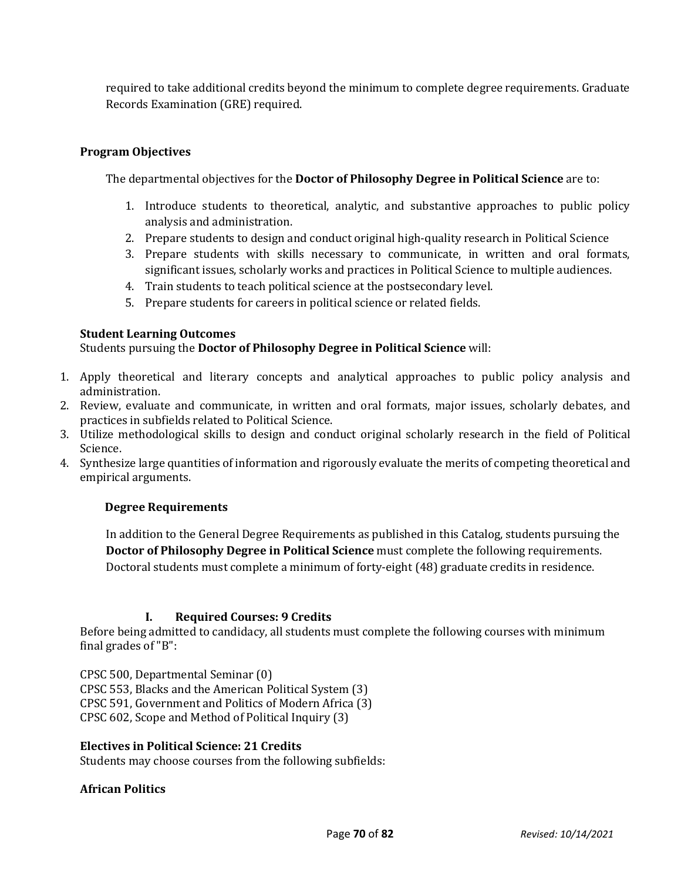required to take additional credits beyond the minimum to complete degree requirements. Graduate Records Examination (GRE) required.

# **Program Objectives**

The departmental objectives for the **Doctor of Philosophy Degree in Political Science** are to:

- 1. Introduce students to theoretical, analytic, and substantive approaches to public policy analysis and administration.
- 2. Prepare students to design and conduct original high-quality research in Political Science
- 3. Prepare students with skills necessary to communicate, in written and oral formats, significant issues, scholarly works and practices in Political Science to multiple audiences.
- 4. Train students to teach political science at the postsecondary level.
- 5. Prepare students for careers in political science or related fields.

#### **Student Learning Outcomes**

Students pursuing the **Doctor of Philosophy Degree in Political Science** will:

- 1. Apply theoretical and literary concepts and analytical approaches to public policy analysis and administration.
- 2. Review, evaluate and communicate, in written and oral formats, major issues, scholarly debates, and practices in subfields related to Political Science.
- 3. Utilize methodological skills to design and conduct original scholarly research in the field of Political Science.
- 4. Synthesize large quantities of information and rigorously evaluate the merits of competing theoretical and empirical arguments.

# **Degree Requirements**

In addition to the General Degree Requirements as published in this Catalog, students pursuing the **Doctor of Philosophy Degree in Political Science** must complete the following requirements. Doctoral students must complete a minimum of forty-eight (48) graduate credits in residence.

#### **I. Required Courses: 9 Credits**

Before being admitted to candidacy, all students must complete the following courses with minimum final grades of "B":

CPSC 500, Departmental Seminar (0) CPSC 553, Blacks and the American Political System (3) CPSC 591, Government and Politics of Modern Africa (3) CPSC 602, Scope and Method of Political Inquiry (3)

#### **Electives in Political Science: 21 Credits**

Students may choose courses from the following subfields:

#### **African Politics**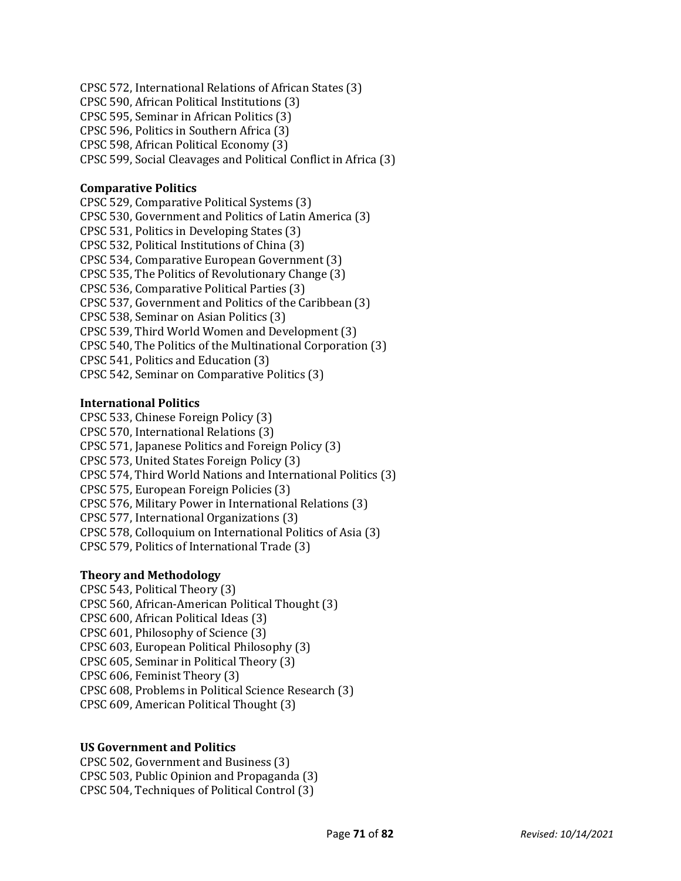CPSC 572, International Relations of African States (3) CPSC 590, African Political Institutions (3) CPSC 595, Seminar in African Politics (3) CPSC 596, Politics in Southern Africa (3) CPSC 598, African Political Economy (3) CPSC 599, Social Cleavages and Political Conflict in Africa (3)

#### **Comparative Politics**

CPSC 529, Comparative Political Systems (3) CPSC 530, Government and Politics of Latin America (3) CPSC 531, Politics in Developing States (3) CPSC 532, Political Institutions of China (3) CPSC 534, Comparative European Government (3) CPSC 535, The Politics of Revolutionary Change (3) CPSC 536, Comparative Political Parties (3) CPSC 537, Government and Politics of the Caribbean (3) CPSC 538, Seminar on Asian Politics (3) CPSC 539, Third World Women and Development (3) CPSC 540, The Politics of the Multinational Corporation (3) CPSC 541, Politics and Education (3) CPSC 542, Seminar on Comparative Politics (3)

#### **International Politics**

CPSC 533, Chinese Foreign Policy (3) CPSC 570, International Relations (3) CPSC 571, Japanese Politics and Foreign Policy (3) CPSC 573, United States Foreign Policy (3) CPSC 574, Third World Nations and International Politics (3) CPSC 575, European Foreign Policies (3) CPSC 576, Military Power in International Relations (3) CPSC 577, International Organizations (3) CPSC 578, Colloquium on International Politics of Asia (3) CPSC 579, Politics of International Trade (3)

#### **Theory and Methodology**

CPSC 543, Political Theory (3) CPSC 560, African-American Political Thought (3) CPSC 600, African Political Ideas (3) CPSC 601, Philosophy of Science (3) CPSC 603, European Political Philosophy (3) CPSC 605, Seminar in Political Theory (3) CPSC 606, Feminist Theory (3) CPSC 608, Problems in Political Science Research (3) CPSC 609, American Political Thought (3)

#### **US Government and Politics**

CPSC 502, Government and Business (3) CPSC 503, Public Opinion and Propaganda (3) CPSC 504, Techniques of Political Control (3)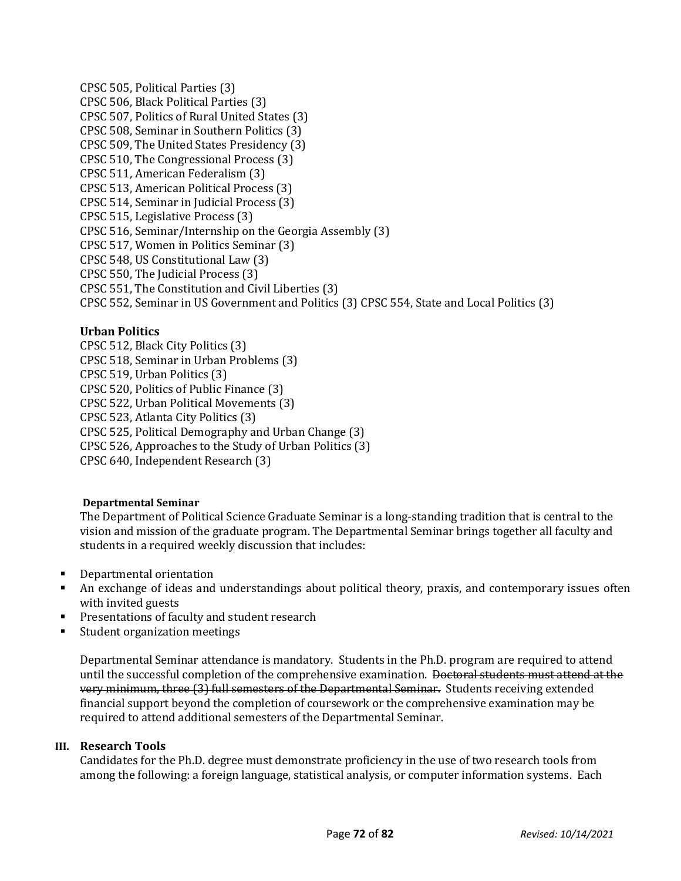CPSC 505, Political Parties (3) CPSC 506, Black Political Parties (3) CPSC 507, Politics of Rural United States (3) CPSC 508, Seminar in Southern Politics (3) CPSC 509, The United States Presidency (3) CPSC 510, The Congressional Process (3) CPSC 511, American Federalism (3) CPSC 513, American Political Process (3) CPSC 514, Seminar in Judicial Process (3) CPSC 515, Legislative Process (3) CPSC 516, Seminar/Internship on the Georgia Assembly (3) CPSC 517, Women in Politics Seminar (3) CPSC 548, US Constitutional Law (3) CPSC 550, The Judicial Process (3) CPSC 551, The Constitution and Civil Liberties (3) CPSC 552, Seminar in US Government and Politics (3) CPSC 554, State and Local Politics (3)

# **Urban Politics**

CPSC 512, Black City Politics (3) CPSC 518, Seminar in Urban Problems (3) CPSC 519, Urban Politics (3) CPSC 520, Politics of Public Finance (3) CPSC 522, Urban Political Movements (3) CPSC 523, Atlanta City Politics (3) CPSC 525, Political Demography and Urban Change (3) CPSC 526, Approaches to the Study of Urban Politics (3) CPSC 640, Independent Research (3)

# **Departmental Seminar**

The Department of Political Science Graduate Seminar is a long-standing tradition that is central to the vision and mission of the graduate program. The Departmental Seminar brings together all faculty and students in a required weekly discussion that includes:

- **Departmental orientation**
- An exchange of ideas and understandings about political theory, praxis, and contemporary issues often with invited guests
- **Presentations of faculty and student research**
- Student organization meetings

Departmental Seminar attendance is mandatory. Students in the Ph.D. program are required to attend until the successful completion of the comprehensive examination. <del>Doctoral students must attend at the</del> very minimum, three (3) full semesters of the Departmental Seminar. Students receiving extended financial support beyond the completion of coursework or the comprehensive examination may be required to attend additional semesters of the Departmental Seminar.

# **III. Research Tools**

Candidates for the Ph.D. degree must demonstrate proficiency in the use of two research tools from among the following: a foreign language, statistical analysis, or computer information systems. Each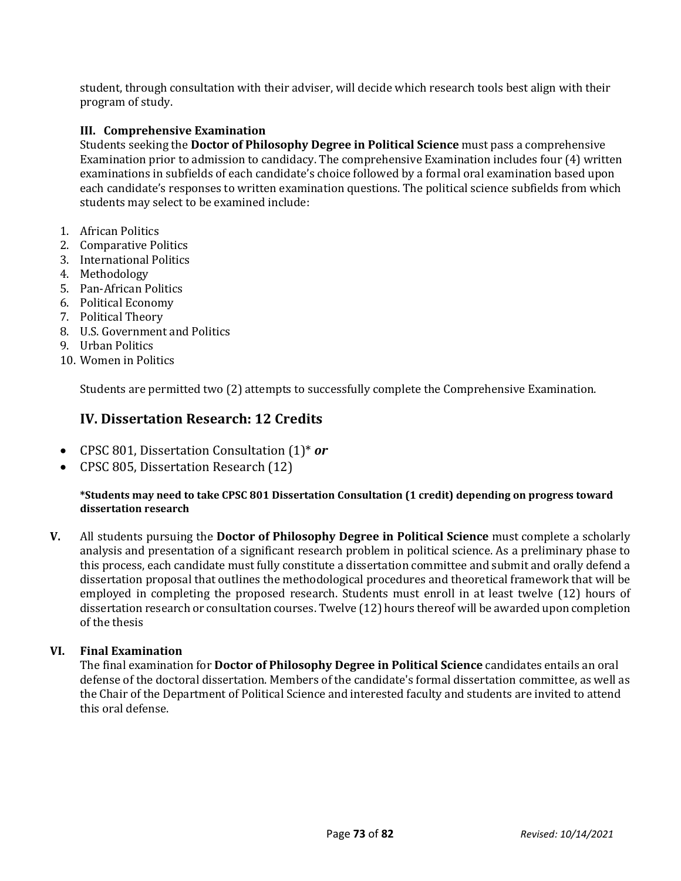student, through consultation with their adviser, will decide which research tools best align with their program of study.

# **III. Comprehensive Examination**

Students seeking the **Doctor of Philosophy Degree in Political Science** must pass a comprehensive Examination prior to admission to candidacy. The comprehensive Examination includes four (4) written examinations in subfields of each candidate's choice followed by a formal oral examination based upon each candidate's responses to written examination questions. The political science subfields from which students may select to be examined include:

- 1. African Politics
- 2. Comparative Politics
- 3. International Politics
- 4. Methodology
- 5. Pan-African Politics
- 6. Political Economy
- 7. Political Theory
- 8. U.S. Government and Politics
- 9. Urban Politics
- 10. Women in Politics

Students are permitted two (2) attempts to successfully complete the Comprehensive Examination.

# **IV. Dissertation Research: 12 Credits**

- CPSC 801, Dissertation Consultation (1)\* *or*
- CPSC 805, Dissertation Research (12)

#### **\*Students may need to take CPSC 801 Dissertation Consultation (1 credit) depending on progress toward dissertation research**

**V.** All students pursuing the **Doctor of Philosophy Degree in Political Science** must complete a scholarly analysis and presentation of a significant research problem in political science. As a preliminary phase to this process, each candidate must fully constitute a dissertation committee and submit and orally defend a dissertation proposal that outlines the methodological procedures and theoretical framework that will be employed in completing the proposed research. Students must enroll in at least twelve (12) hours of dissertation research or consultation courses. Twelve (12) hours thereof will be awarded upon completion of the thesis

# **VI. Final Examination**

The final examination for **Doctor of Philosophy Degree in Political Science** candidates entails an oral defense of the doctoral dissertation. Members of the candidate's formal dissertation committee, as well as the Chair of the Department of Political Science and interested faculty and students are invited to attend this oral defense.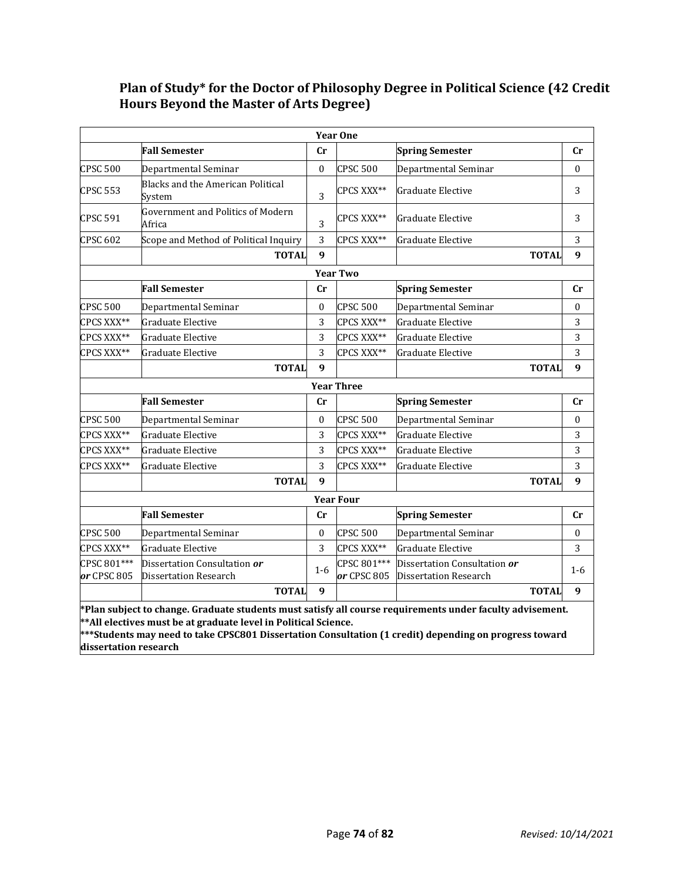# **Plan of Study\* for the Doctor of Philosophy Degree in Political Science (42 Credit Hours Beyond the Master of Arts Degree)**

|                                                                                                                                                                                                                                                                                                                  |                                                    |                  | <b>Year One</b>   |                              |              |                  |
|------------------------------------------------------------------------------------------------------------------------------------------------------------------------------------------------------------------------------------------------------------------------------------------------------------------|----------------------------------------------------|------------------|-------------------|------------------------------|--------------|------------------|
|                                                                                                                                                                                                                                                                                                                  | <b>Fall Semester</b>                               | Cr               |                   | <b>Spring Semester</b>       |              | Cr               |
| <b>CPSC 500</b>                                                                                                                                                                                                                                                                                                  | Departmental Seminar                               | $\Omega$         | <b>CPSC 500</b>   | Departmental Seminar         |              | $\Omega$         |
| <b>CPSC 553</b>                                                                                                                                                                                                                                                                                                  | Blacks and the American Political<br>System        | 3                | CPCS XXX**        | <b>Graduate Elective</b>     |              | 3                |
| <b>CPSC 591</b>                                                                                                                                                                                                                                                                                                  | <b>Government and Politics of Modern</b><br>Africa | 3                | CPCS XXX**        | Graduate Elective            |              | 3                |
| <b>CPSC 602</b>                                                                                                                                                                                                                                                                                                  | Scope and Method of Political Inquiry              | 3                | CPCS XXX**        | Graduate Elective            |              | 3                |
|                                                                                                                                                                                                                                                                                                                  | <b>TOTAL</b>                                       | $\boldsymbol{q}$ |                   |                              | <b>TOTAL</b> | 9                |
|                                                                                                                                                                                                                                                                                                                  |                                                    |                  | <b>Year Two</b>   |                              |              |                  |
|                                                                                                                                                                                                                                                                                                                  | <b>Fall Semester</b>                               | cr               |                   | <b>Spring Semester</b>       |              | $_{\rm Cr}$      |
| CPSC 500                                                                                                                                                                                                                                                                                                         | Departmental Seminar                               | 0                | <b>CPSC 500</b>   | Departmental Seminar         |              | 0                |
| CPCS XXX**                                                                                                                                                                                                                                                                                                       | Graduate Elective                                  | 3                | CPCS XXX**        | Graduate Elective            |              | 3                |
| CPCS XXX**                                                                                                                                                                                                                                                                                                       | Graduate Elective                                  | 3                | CPCS XXX**        | Graduate Elective            |              | 3                |
| CPCS XXX**                                                                                                                                                                                                                                                                                                       | Graduate Elective                                  | 3                | CPCS XXX**        | Graduate Elective            |              | 3                |
|                                                                                                                                                                                                                                                                                                                  | <b>TOTAL</b>                                       | $\mathbf{q}$     |                   |                              | <b>TOTAL</b> | $\boldsymbol{9}$ |
|                                                                                                                                                                                                                                                                                                                  |                                                    |                  | <b>Year Three</b> |                              |              |                  |
|                                                                                                                                                                                                                                                                                                                  | <b>Fall Semester</b>                               | Cr               |                   | <b>Spring Semester</b>       |              | Cr               |
| <b>CPSC 500</b>                                                                                                                                                                                                                                                                                                  | Departmental Seminar                               | $\boldsymbol{0}$ | <b>CPSC 500</b>   | Departmental Seminar         |              | $\boldsymbol{0}$ |
| CPCS XXX**                                                                                                                                                                                                                                                                                                       | Graduate Elective                                  | 3                | CPCS XXX**        | <b>Graduate Elective</b>     |              | 3                |
| CPCS XXX**                                                                                                                                                                                                                                                                                                       | Graduate Elective                                  | 3                | CPCS XXX**        | Graduate Elective            |              | 3                |
| CPCS XXX**                                                                                                                                                                                                                                                                                                       | Graduate Elective                                  | 3                | CPCS XXX**        | Graduate Elective            |              | 3                |
|                                                                                                                                                                                                                                                                                                                  | <b>TOTAL</b>                                       | $\boldsymbol{q}$ |                   |                              | <b>TOTAL</b> | 9                |
| <b>Year Four</b>                                                                                                                                                                                                                                                                                                 |                                                    |                  |                   |                              |              |                  |
|                                                                                                                                                                                                                                                                                                                  | <b>Fall Semester</b>                               | cr               |                   | <b>Spring Semester</b>       |              | Cr               |
| <b>CPSC 500</b>                                                                                                                                                                                                                                                                                                  | Departmental Seminar                               | $\mathbf{0}$     | <b>CPSC 500</b>   | Departmental Seminar         |              | $\boldsymbol{0}$ |
| CPCS XXX**                                                                                                                                                                                                                                                                                                       | Graduate Elective                                  | 3                | CPCS XXX**        | Graduate Elective            |              | 3                |
| CPSC 801***                                                                                                                                                                                                                                                                                                      | Dissertation Consultation <i>or</i>                | $1-6$            | CPSC 801***       | Dissertation Consultation or |              | $1 - 6$          |
| or CPSC 805                                                                                                                                                                                                                                                                                                      | Dissertation Research                              |                  | or CPSC 805       | <b>Dissertation Research</b> |              |                  |
|                                                                                                                                                                                                                                                                                                                  | <b>TOTAL</b>                                       | 9                |                   |                              | <b>TOTAL</b> | 9                |
| *Plan subject to change. Graduate students must satisfy all course requirements under faculty advisement.<br>** All electives must be at graduate level in Political Science.<br>***Students may need to take CPSC801 Dissertation Consultation (1 credit) depending on progress toward<br>dissertation research |                                                    |                  |                   |                              |              |                  |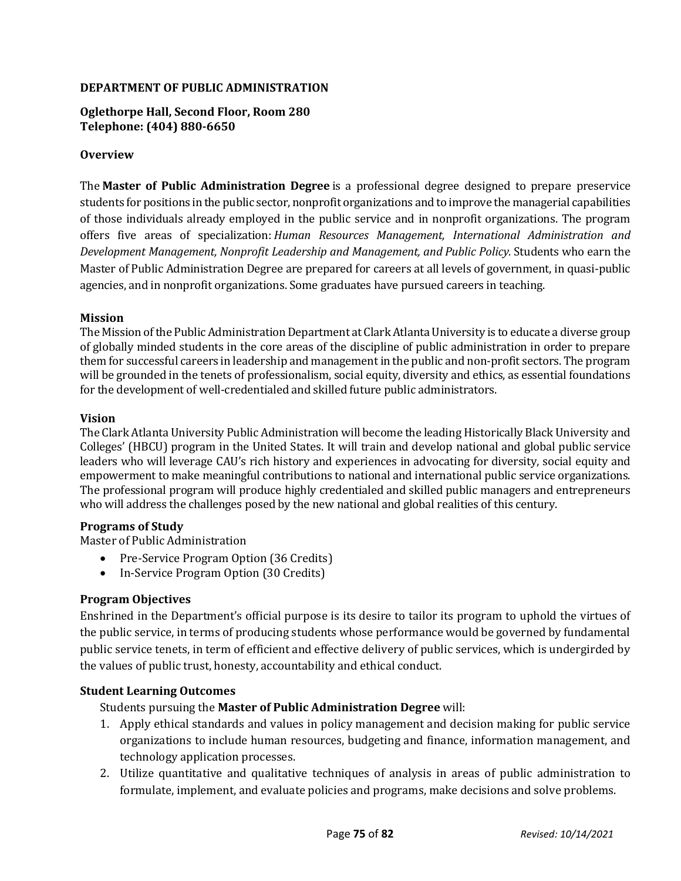# **DEPARTMENT OF PUBLIC ADMINISTRATION**

**Oglethorpe Hall, Second Floor, Room 280 Telephone: (404) 880-6650**

# **Overview**

The **Master of Public Administration Degree** is a professional degree designed to prepare preservice students for positions in the public sector, nonprofit organizations and to improve the managerial capabilities of those individuals already employed in the public service and in nonprofit organizations. The program offers five areas of specialization: *Human Resources Management, International Administration and Development Management, Nonprofit Leadership and Management, and Public Policy.* Students who earn the Master of Public Administration Degree are prepared for careers at all levels of government, in quasi-public agencies, and in nonprofit organizations. Some graduates have pursued careers in teaching.

#### **Mission**

The Mission of the Public Administration Department at Clark Atlanta University is to educate a diverse group of globally minded students in the core areas of the discipline of public administration in order to prepare them for successful careers in leadership and management in the public and non-profit sectors. The program will be grounded in the tenets of professionalism, social equity, diversity and ethics, as essential foundations for the development of well-credentialed and skilled future public administrators.

#### **Vision**

The Clark Atlanta University Public Administration will become the leading Historically Black University and Colleges' (HBCU) program in the United States. It will train and develop national and global public service leaders who will leverage CAU's rich history and experiences in advocating for diversity, social equity and empowerment to make meaningful contributions to national and international public service organizations. The professional program will produce highly credentialed and skilled public managers and entrepreneurs who will address the challenges posed by the new national and global realities of this century.

# **Programs of Study**

Master of Public Administration

- Pre-Service Program Option (36 Credits)
- In-Service Program Option (30 Credits)

# **Program Objectives**

Enshrined in the Department's official purpose is its desire to tailor its program to uphold the virtues of the public service, in terms of producing students whose performance would be governed by fundamental public service tenets, in term of efficient and effective delivery of public services, which is undergirded by the values of public trust, honesty, accountability and ethical conduct.

# **Student Learning Outcomes**

Students pursuing the **Master of Public Administration Degree** will:

- 1. Apply ethical standards and values in policy management and decision making for public service organizations to include human resources, budgeting and finance, information management, and technology application processes.
- 2. Utilize quantitative and qualitative techniques of analysis in areas of public administration to formulate, implement, and evaluate policies and programs, make decisions and solve problems.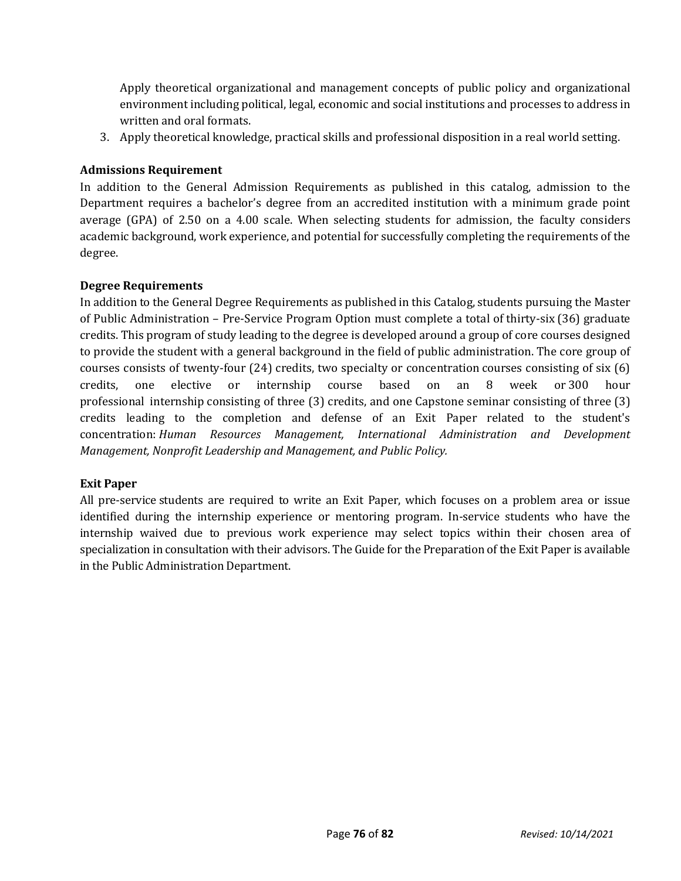Apply theoretical organizational and management concepts of public policy and organizational environment including political, legal, economic and social institutions and processes to address in written and oral formats.

3. Apply theoretical knowledge, practical skills and professional disposition in a real world setting.

# **Admissions Requirement**

In addition to the General Admission Requirements as published in this catalog, admission to the Department requires a bachelor's degree from an accredited institution with a minimum grade point average (GPA) of 2.50 on a 4.00 scale. When selecting students for admission, the faculty considers academic background, work experience, and potential for successfully completing the requirements of the degree.

# **Degree Requirements**

In addition to the General Degree Requirements as published in this Catalog, students pursuing the Master of Public Administration – Pre-Service Program Option must complete a total of thirty-six (36) graduate credits. This program of study leading to the degree is developed around a group of core courses designed to provide the student with a general background in the field of public administration. The core group of courses consists of twenty-four (24) credits, two specialty or concentration courses consisting of six (6) credits, one elective or internship course based on an 8 week or 300 hour professional internship consisting of three (3) credits, and one Capstone seminar consisting of three (3) credits leading to the completion and defense of an Exit Paper related to the student's concentration: *Human Resources Management, International Administration and Development Management, Nonprofit Leadership and Management, and Public Policy.*

# **Exit Paper**

All pre-service students are required to write an Exit Paper, which focuses on a problem area or issue identified during the internship experience or mentoring program. In-service students who have the internship waived due to previous work experience may select topics within their chosen area of specialization in consultation with their advisors. The Guide for the Preparation of the Exit Paper is available in the Public Administration Department.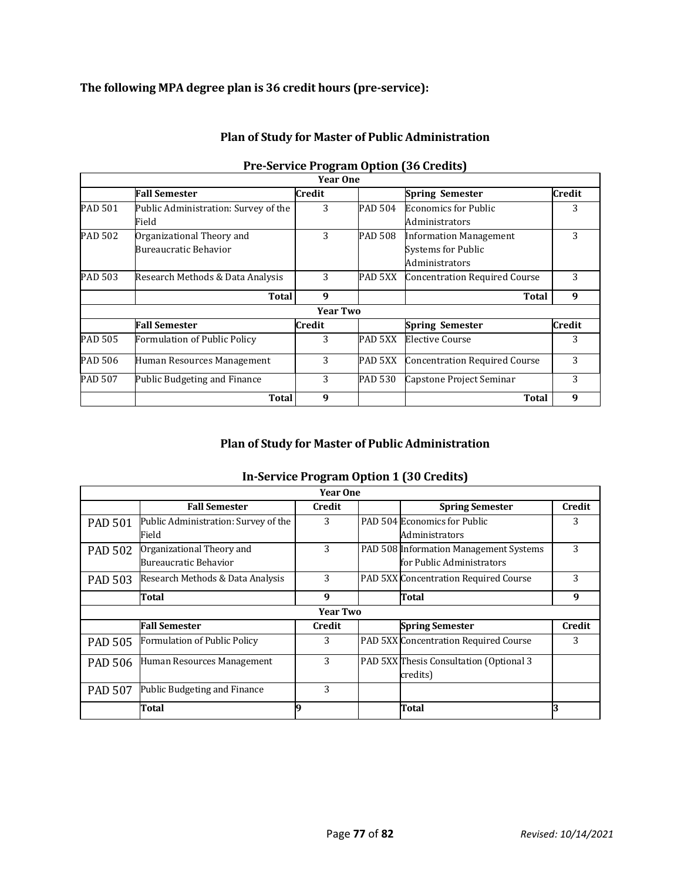# **The following MPA degree plan is 36 credit hours (pre-service):**

|         |                                                    | <b>Year One</b> |         |                                                                              |        |
|---------|----------------------------------------------------|-----------------|---------|------------------------------------------------------------------------------|--------|
|         | <b>Fall Semester</b>                               | Credit          |         | <b>Spring Semester</b>                                                       | Credit |
| PAD 501 | Public Administration: Survey of the<br>Field      | 3               | PAD 504 | <b>Economics for Public</b><br>Administrators                                | 3      |
| PAD 502 | Organizational Theory and<br>Bureaucratic Behavior | 3               | PAD 508 | <b>Information Management</b><br><b>Systems for Public</b><br>Administrators | 3      |
| PAD 503 | Research Methods & Data Analysis                   | 3               | PAD 5XX | <b>Concentration Required Course</b>                                         | 3      |
|         | Total                                              | 9               |         | Total                                                                        | 9      |
|         |                                                    | <b>Year Two</b> |         |                                                                              |        |
|         | <b>Fall Semester</b>                               | Credit          |         | <b>Spring Semester</b>                                                       | Credit |
| PAD 505 | Formulation of Public Policy                       | 3               | PAD 5XX | <b>Elective Course</b>                                                       | 3      |
| PAD 506 | Human Resources Management                         | 3               | PAD 5XX | <b>Concentration Required Course</b>                                         | 3      |
| PAD 507 | Public Budgeting and Finance                       | 3               | PAD 530 | Capstone Project Seminar                                                     | 3      |
|         | <b>Total</b>                                       | 9               |         | <b>Total</b>                                                                 | 9      |

# **Plan of Study for Master of Public Administration**

# **Pre-Service Program Option (36 Credits)**

# **Plan of Study for Master of Public Administration**

# **In-Service Program Option 1 (30 Credits)**

| <b>Year One</b> |                                      |        |  |                                         |               |  |
|-----------------|--------------------------------------|--------|--|-----------------------------------------|---------------|--|
|                 | <b>Fall Semester</b>                 | Credit |  | <b>Spring Semester</b>                  | <b>Credit</b> |  |
| <b>PAD 501</b>  | Public Administration: Survey of the | 3      |  | PAD 504 Economics for Public            | 3             |  |
|                 | Field                                |        |  | <b>Administrators</b>                   |               |  |
| <b>PAD 502</b>  | Organizational Theory and            | 3      |  | PAD 508 Information Management Systems  | 3             |  |
|                 | Bureaucratic Behavior                |        |  | for Public Administrators               |               |  |
| <b>PAD 503</b>  | Research Methods & Data Analysis     | 3      |  | PAD 5XX Concentration Required Course   | 3             |  |
|                 | Total                                | 9      |  | Total                                   | 9             |  |
| <b>Year Two</b> |                                      |        |  |                                         |               |  |
|                 | <b>Fall Semester</b>                 | Credit |  | <b>Spring Semester</b>                  | <b>Credit</b> |  |
| <b>PAD 505</b>  | Formulation of Public Policy         | 3      |  | PAD 5XX Concentration Required Course   | 3             |  |
| <b>PAD 506</b>  | Human Resources Management           | 3      |  | PAD 5XX Thesis Consultation (Optional 3 |               |  |
|                 |                                      |        |  | credits)                                |               |  |
| <b>PAD 507</b>  | Public Budgeting and Finance         | 3      |  |                                         |               |  |
|                 | Total                                |        |  | Total                                   |               |  |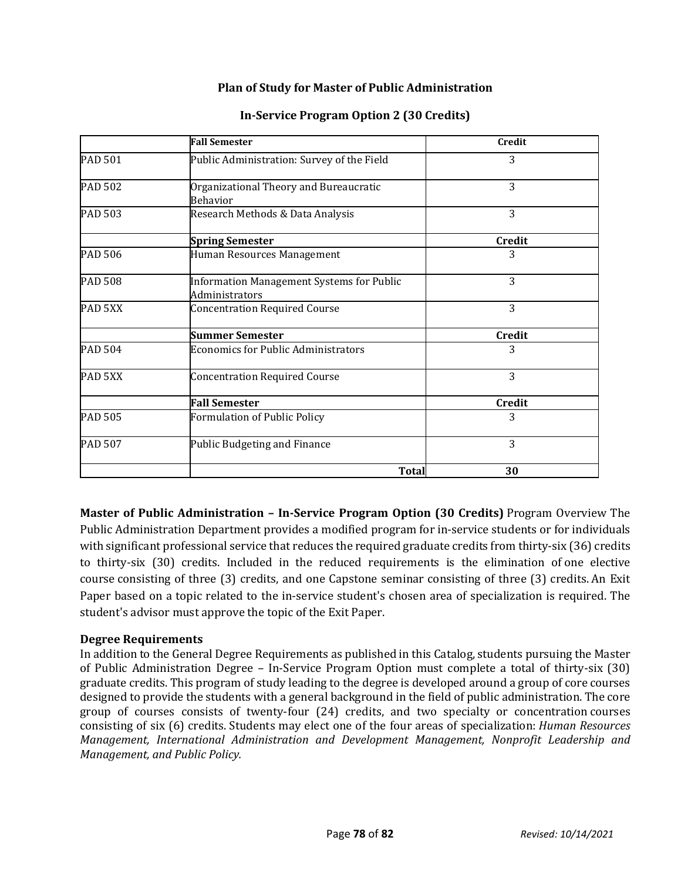# **Plan of Study for Master of Public Administration**

|                | <b>Fall Semester</b>                                        | <b>Credit</b> |
|----------------|-------------------------------------------------------------|---------------|
| <b>PAD 501</b> | Public Administration: Survey of the Field                  | 3             |
| <b>PAD 502</b> | Organizational Theory and Bureaucratic<br><b>Behavior</b>   | 3             |
| <b>PAD 503</b> | Research Methods & Data Analysis                            | 3             |
|                | <b>Spring Semester</b>                                      | <b>Credit</b> |
| <b>PAD 506</b> | Human Resources Management                                  | 3             |
| <b>PAD 508</b> | Information Management Systems for Public<br>Administrators | 3             |
| PAD 5XX        | <b>Concentration Required Course</b>                        | 3             |
|                | <b>Summer Semester</b>                                      | <b>Credit</b> |
| <b>PAD 504</b> | <b>Economics for Public Administrators</b>                  | 3             |
| PAD 5XX        | <b>Concentration Required Course</b>                        | 3             |
|                | <b>Fall Semester</b>                                        | <b>Credit</b> |
| <b>PAD 505</b> | Formulation of Public Policy                                | 3             |
| PAD 507        | Public Budgeting and Finance                                | 3             |
|                | Total                                                       | 30            |

# **In-Service Program Option 2 (30 Credits)**

**Master of Public Administration – In-Service Program Option (30 Credits)** Program Overview The Public Administration Department provides a modified program for in-service students or for individuals with significant professional service that reduces the required graduate credits from thirty-six (36) credits to thirty-six (30) credits. Included in the reduced requirements is the elimination of one elective course consisting of three (3) credits, and one Capstone seminar consisting of three (3) credits. An Exit Paper based on a topic related to the in-service student's chosen area of specialization is required. The student's advisor must approve the topic of the Exit Paper.

# **Degree Requirements**

In addition to the General Degree Requirements as published in this Catalog, students pursuing the Master of Public Administration Degree – In-Service Program Option must complete a total of thirty-six (30) graduate credits. This program of study leading to the degree is developed around a group of core courses designed to provide the students with a general background in the field of public administration. The core group of courses consists of twenty-four (24) credits, and two specialty or concentration courses consisting of six (6) credits. Students may elect one of the four areas of specialization: *Human Resources Management, International Administration and Development Management, Nonprofit Leadership and Management, and Public Policy.*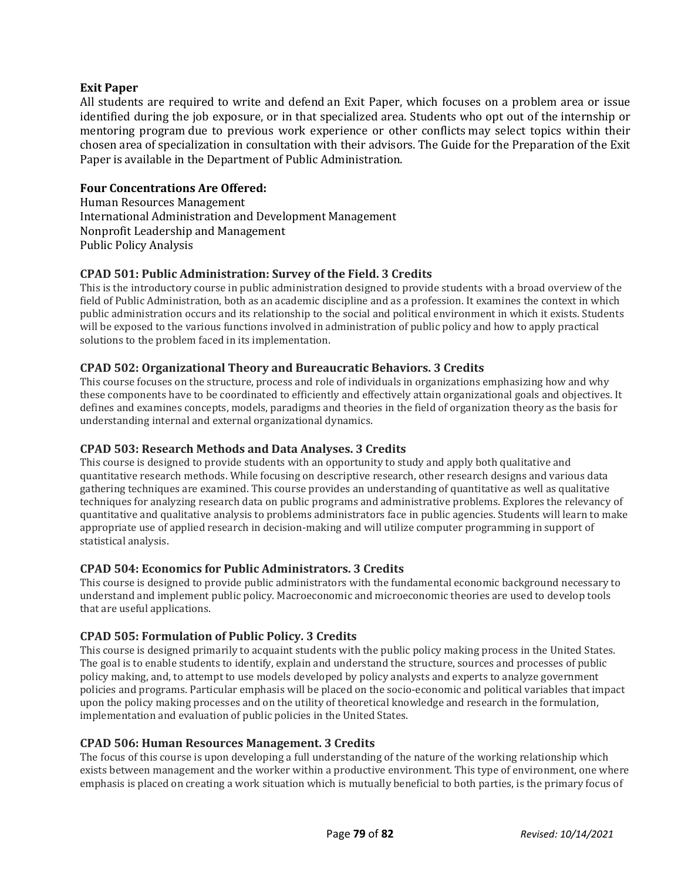#### **Exit Paper**

All students are required to write and defend an Exit Paper, which focuses on a problem area or issue identified during the job exposure, or in that specialized area. Students who opt out of the internship or mentoring program due to previous work experience or other conflicts may select topics within their chosen area of specialization in consultation with their advisors. The Guide for the Preparation of the Exit Paper is available in the Department of Public Administration.

# **Four Concentrations Are Offered:**

Human Resources Management International Administration and Development Management Nonprofit Leadership and Management Public Policy Analysis

# **CPAD 501: Public Administration: Survey of the Field. 3 Credits**

This is the introductory course in public administration designed to provide students with a broad overview of the field of Public Administration, both as an academic discipline and as a profession. It examines the context in which public administration occurs and its relationship to the social and political environment in which it exists. Students will be exposed to the various functions involved in administration of public policy and how to apply practical solutions to the problem faced in its implementation.

#### **CPAD 502: Organizational Theory and Bureaucratic Behaviors. 3 Credits**

This course focuses on the structure, process and role of individuals in organizations emphasizing how and why these components have to be coordinated to efficiently and effectively attain organizational goals and objectives. It defines and examines concepts, models, paradigms and theories in the field of organization theory as the basis for understanding internal and external organizational dynamics.

#### **CPAD 503: Research Methods and Data Analyses. 3 Credits**

This course is designed to provide students with an opportunity to study and apply both qualitative and quantitative research methods. While focusing on descriptive research, other research designs and various data gathering techniques are examined. This course provides an understanding of quantitative as well as qualitative techniques for analyzing research data on public programs and administrative problems. Explores the relevancy of quantitative and qualitative analysis to problems administrators face in public agencies. Students will learn to make appropriate use of applied research in decision-making and will utilize computer programming in support of statistical analysis.

#### **CPAD 504: Economics for Public Administrators. 3 Credits**

This course is designed to provide public administrators with the fundamental economic background necessary to understand and implement public policy. Macroeconomic and microeconomic theories are used to develop tools that are useful applications.

# **CPAD 505: Formulation of Public Policy. 3 Credits**

This course is designed primarily to acquaint students with the public policy making process in the United States. The goal is to enable students to identify, explain and understand the structure, sources and processes of public policy making, and, to attempt to use models developed by policy analysts and experts to analyze government policies and programs. Particular emphasis will be placed on the socio-economic and political variables that impact upon the policy making processes and on the utility of theoretical knowledge and research in the formulation, implementation and evaluation of public policies in the United States.

#### **CPAD 506: Human Resources Management. 3 Credits**

The focus of this course is upon developing a full understanding of the nature of the working relationship which exists between management and the worker within a productive environment. This type of environment, one where emphasis is placed on creating a work situation which is mutually beneficial to both parties, is the primary focus of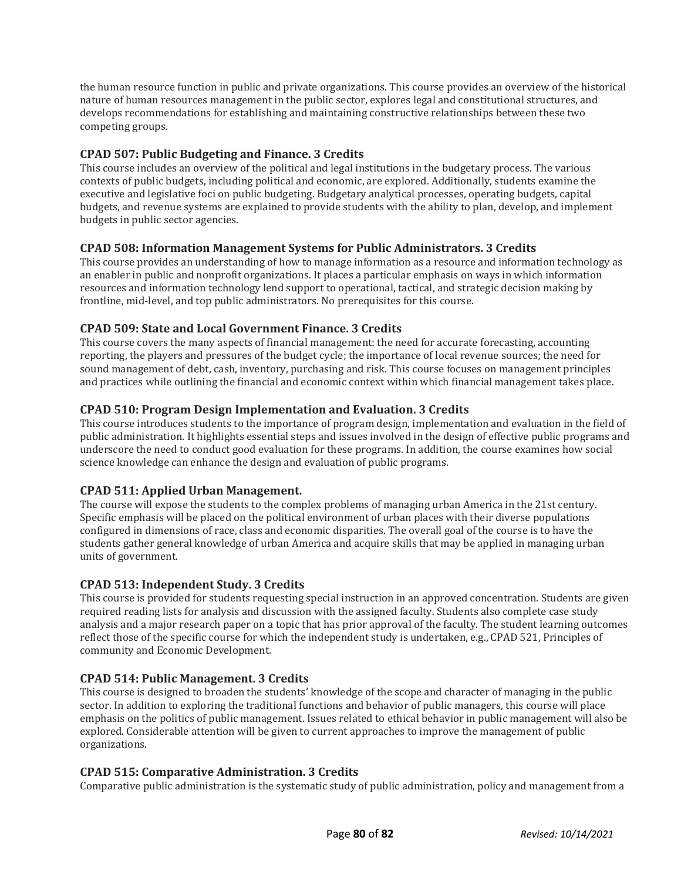the human resource function in public and private organizations. This course provides an overview of the historical nature of human resources management in the public sector, explores legal and constitutional structures, and develops recommendations for establishing and maintaining constructive relationships between these two competing groups.

# **CPAD 507: Public Budgeting and Finance. 3 Credits**

This course includes an overview of the political and legal institutions in the budgetary process. The various contexts of public budgets, including political and economic, are explored. Additionally, students examine the executive and legislative foci on public budgeting. Budgetary analytical processes, operating budgets, capital budgets, and revenue systems are explained to provide students with the ability to plan, develop, and implement budgets in public sector agencies.

#### **CPAD 508: Information Management Systems for Public Administrators. 3 Credits**

This course provides an understanding of how to manage information as a resource and information technology as an enabler in public and nonprofit organizations. It places a particular emphasis on ways in which information resources and information technology lend support to operational, tactical, and strategic decision making by frontline, mid-level, and top public administrators. No prerequisites for this course.

#### **CPAD 509: State and Local Government Finance. 3 Credits**

This course covers the many aspects of financial management: the need for accurate forecasting, accounting reporting, the players and pressures of the budget cycle; the importance of local revenue sources; the need for sound management of debt, cash, inventory, purchasing and risk. This course focuses on management principles and practices while outlining the financial and economic context within which financial management takes place.

# **CPAD 510: Program Design Implementation and Evaluation. 3 Credits**

This course introduces students to the importance of program design, implementation and evaluation in the field of public administration. It highlights essential steps and issues involved in the design of effective public programs and underscore the need to conduct good evaluation for these programs. In addition, the course examines how social science knowledge can enhance the design and evaluation of public programs.

#### **CPAD 511: Applied Urban Management.**

The course will expose the students to the complex problems of managing urban America in the 21st century. Specific emphasis will be placed on the political environment of urban places with their diverse populations configured in dimensions of race, class and economic disparities. The overall goal of the course is to have the students gather general knowledge of urban America and acquire skills that may be applied in managing urban units of government.

#### **CPAD 513: Independent Study. 3 Credits**

This course is provided for students requesting special instruction in an approved concentration. Students are given required reading lists for analysis and discussion with the assigned faculty. Students also complete case study analysis and a major research paper on a topic that has prior approval of the faculty. The student learning outcomes reflect those of the specific course for which the independent study is undertaken, e.g., CPAD 521, Principles of community and Economic Development.

#### **CPAD 514: Public Management. 3 Credits**

This course is designed to broaden the students' knowledge of the scope and character of managing in the public sector. In addition to exploring the traditional functions and behavior of public managers, this course will place emphasis on the politics of public management. Issues related to ethical behavior in public management will also be explored. Considerable attention will be given to current approaches to improve the management of public organizations.

#### **CPAD 515: Comparative Administration. 3 Credits**

Comparative public administration is the systematic study of public administration, policy and management from a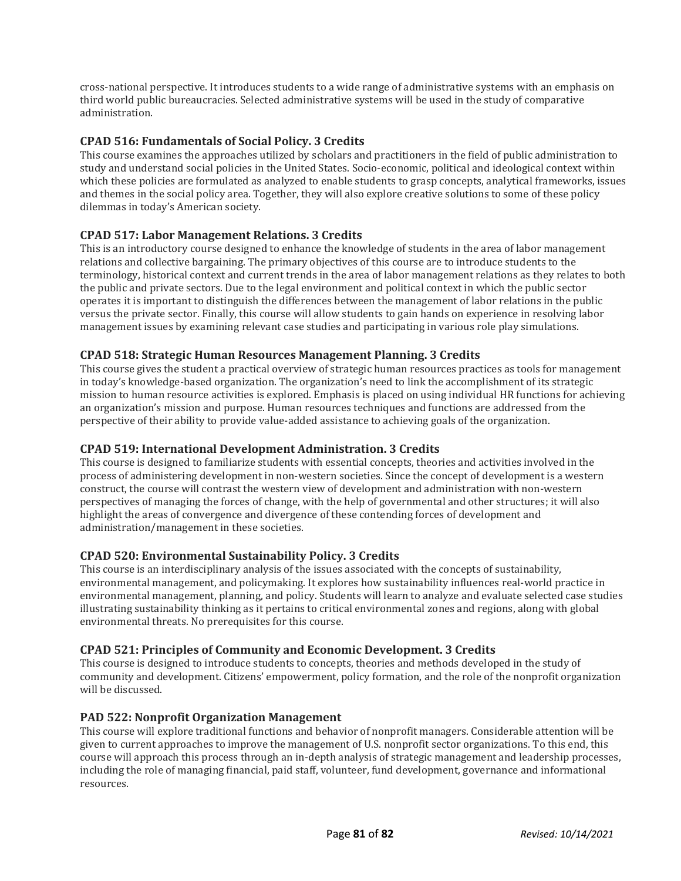cross-national perspective. It introduces students to a wide range of administrative systems with an emphasis on third world public bureaucracies. Selected administrative systems will be used in the study of comparative administration.

# **CPAD 516: Fundamentals of Social Policy. 3 Credits**

This course examines the approaches utilized by scholars and practitioners in the field of public administration to study and understand social policies in the United States. Socio-economic, political and ideological context within which these policies are formulated as analyzed to enable students to grasp concepts, analytical frameworks, issues and themes in the social policy area. Together, they will also explore creative solutions to some of these policy dilemmas in today's American society.

# **CPAD 517: Labor Management Relations. 3 Credits**

This is an introductory course designed to enhance the knowledge of students in the area of labor management relations and collective bargaining. The primary objectives of this course are to introduce students to the terminology, historical context and current trends in the area of labor management relations as they relates to both the public and private sectors. Due to the legal environment and political context in which the public sector operates it is important to distinguish the differences between the management of labor relations in the public versus the private sector. Finally, this course will allow students to gain hands on experience in resolving labor management issues by examining relevant case studies and participating in various role play simulations.

# **CPAD 518: Strategic Human Resources Management Planning. 3 Credits**

This course gives the student a practical overview of strategic human resources practices as tools for management in today's knowledge-based organization. The organization's need to link the accomplishment of its strategic mission to human resource activities is explored. Emphasis is placed on using individual HR functions for achieving an organization's mission and purpose. Human resources techniques and functions are addressed from the perspective of their ability to provide value-added assistance to achieving goals of the organization.

#### **CPAD 519: International Development Administration. 3 Credits**

This course is designed to familiarize students with essential concepts, theories and activities involved in the process of administering development in non-western societies. Since the concept of development is a western construct, the course will contrast the western view of development and administration with non-western perspectives of managing the forces of change, with the help of governmental and other structures; it will also highlight the areas of convergence and divergence of these contending forces of development and administration/management in these societies.

#### **CPAD 520: Environmental Sustainability Policy. 3 Credits**

This course is an interdisciplinary analysis of the issues associated with the concepts of sustainability, environmental management, and policymaking. It explores how sustainability influences real-world practice in environmental management, planning, and policy. Students will learn to analyze and evaluate selected case studies illustrating sustainability thinking as it pertains to critical environmental zones and regions, along with global environmental threats. No prerequisites for this course.

#### **CPAD 521: Principles of Community and Economic Development. 3 Credits**

This course is designed to introduce students to concepts, theories and methods developed in the study of community and development. Citizens' empowerment, policy formation, and the role of the nonprofit organization will be discussed.

#### **PAD 522: Nonprofit Organization Management**

This course will explore traditional functions and behavior of nonprofit managers. Considerable attention will be given to current approaches to improve the management of U.S. nonprofit sector organizations. To this end, this course will approach this process through an in-depth analysis of strategic management and leadership processes, including the role of managing financial, paid staff, volunteer, fund development, governance and informational resources.